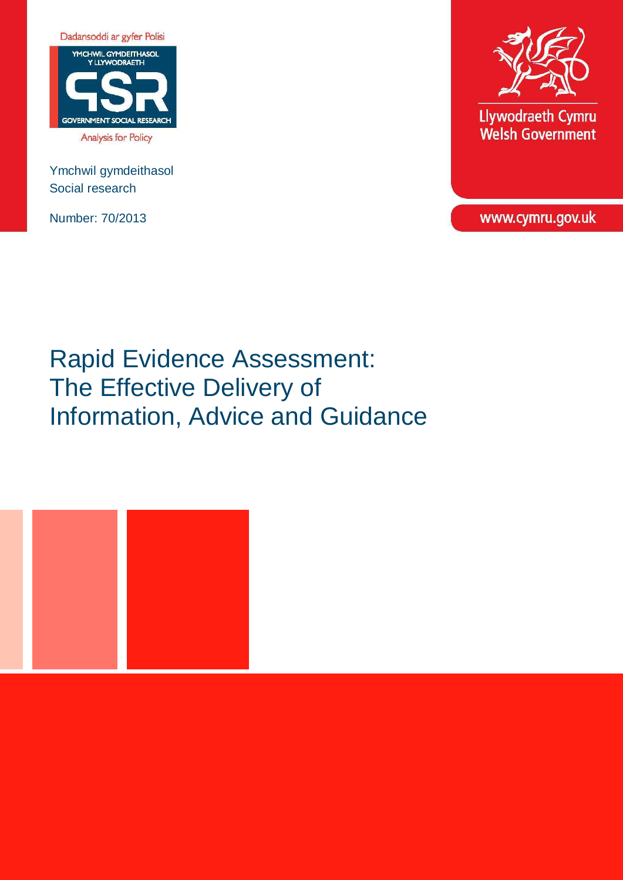

Ymchwil gymdeithasol Social research

Number: 70/2013



Llywodraeth Cymru **Welsh Government** 

www.cymru.gov.uk

Rapid Evidence Assessment: The Effective Delivery of Information, Advice and Guidance

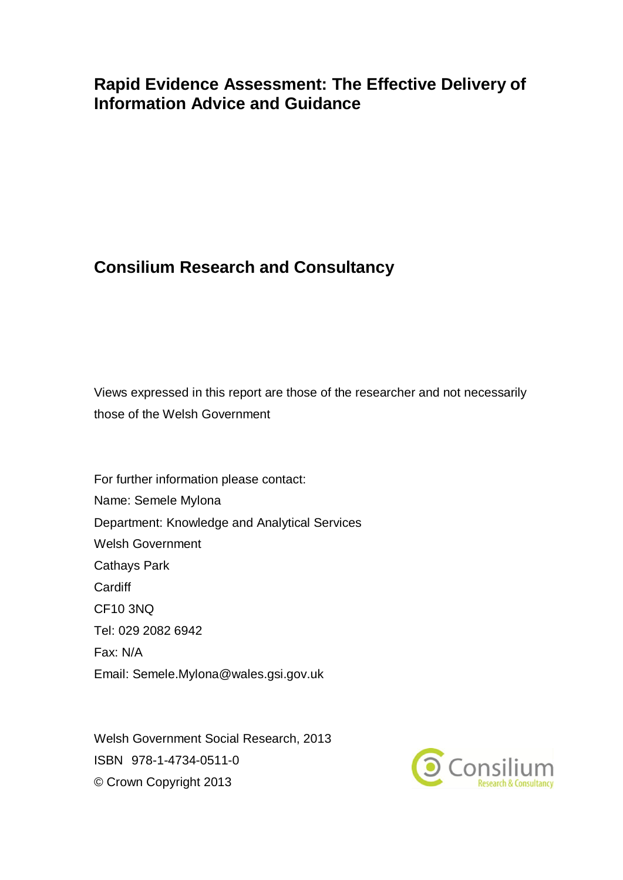# **Rapid Evidence Assessment: The Effective Delivery of Information Advice and Guidance**

# **Consilium Research and Consultancy**

Views expressed in this report are those of the researcher and not necessarily those of the Welsh Government

For further information please contact: Name: Semele Mylona Department: Knowledge and Analytical Services Welsh Government Cathays Park Cardiff CF10 3NQ Tel: 029 2082 6942 Fax: N/A Email: Semele.Mylona@wales.gsi.gov.uk

Welsh Government Social Research, 2013 ISBN 978-1-4734-0511-0 © Crown Copyright 2013

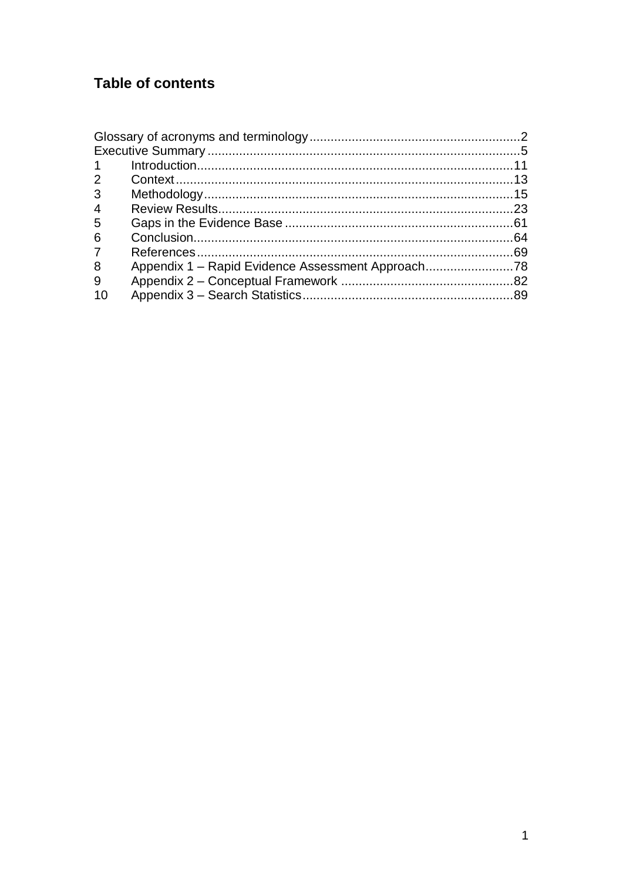# **Table of contents**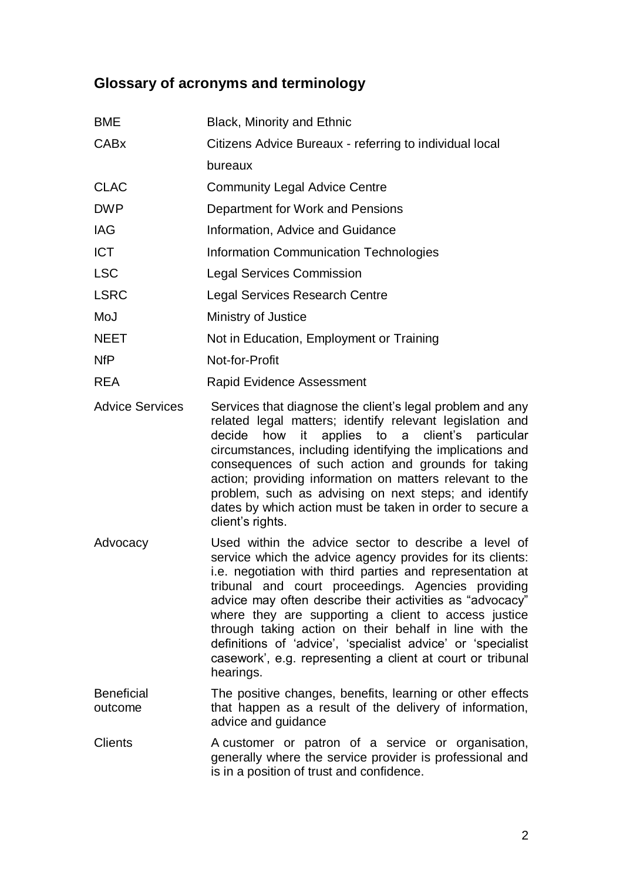# <span id="page-3-0"></span>**Glossary of acronyms and terminology**

| <b>BME</b>             | Black, Minority and Ethnic                                                                                                                                                                                                                                                                                                                                                                                                                                                                      |
|------------------------|-------------------------------------------------------------------------------------------------------------------------------------------------------------------------------------------------------------------------------------------------------------------------------------------------------------------------------------------------------------------------------------------------------------------------------------------------------------------------------------------------|
| <b>CABx</b>            | Citizens Advice Bureaux - referring to individual local                                                                                                                                                                                                                                                                                                                                                                                                                                         |
|                        | bureaux                                                                                                                                                                                                                                                                                                                                                                                                                                                                                         |
| <b>CLAC</b>            | <b>Community Legal Advice Centre</b>                                                                                                                                                                                                                                                                                                                                                                                                                                                            |
| <b>DWP</b>             | Department for Work and Pensions                                                                                                                                                                                                                                                                                                                                                                                                                                                                |
| <b>IAG</b>             | Information, Advice and Guidance                                                                                                                                                                                                                                                                                                                                                                                                                                                                |
| <b>ICT</b>             | <b>Information Communication Technologies</b>                                                                                                                                                                                                                                                                                                                                                                                                                                                   |
| <b>LSC</b>             | <b>Legal Services Commission</b>                                                                                                                                                                                                                                                                                                                                                                                                                                                                |
| <b>LSRC</b>            | <b>Legal Services Research Centre</b>                                                                                                                                                                                                                                                                                                                                                                                                                                                           |
| MoJ                    | Ministry of Justice                                                                                                                                                                                                                                                                                                                                                                                                                                                                             |
| <b>NEET</b>            | Not in Education, Employment or Training                                                                                                                                                                                                                                                                                                                                                                                                                                                        |
| <b>NfP</b>             | Not-for-Profit                                                                                                                                                                                                                                                                                                                                                                                                                                                                                  |
| <b>REA</b>             | <b>Rapid Evidence Assessment</b>                                                                                                                                                                                                                                                                                                                                                                                                                                                                |
| <b>Advice Services</b> | Services that diagnose the client's legal problem and any<br>related legal matters; identify relevant legislation and<br>decide how it applies to a client's particular<br>circumstances, including identifying the implications and<br>consequences of such action and grounds for taking<br>action; providing information on matters relevant to the<br>problem, such as advising on next steps; and identify<br>dates by which action must be taken in order to secure a<br>client's rights. |
| Advocacy               | Used within the advice sector to describe a level of<br>service which the advice agency provides for its clients:<br>is possible with third parties and representation of                                                                                                                                                                                                                                                                                                                       |

- service which the advice agency provides for its clients: i.e. negotiation with third parties and representation at tribunal and court proceedings. Agencies providing advice may often describe their activities as "advocacy" where they are supporting a client to access justice through taking action on their behalf in line with the definitions of 'advice', 'specialist advice' or 'specialist casework', e.g. representing a client at court or tribunal hearings.
- **Beneficial** outcome The positive changes, benefits, learning or other effects that happen as a result of the delivery of information, advice and guidance
- Clients A customer or patron of a service or organisation, generally where the service provider is professional and is in a position of trust and confidence.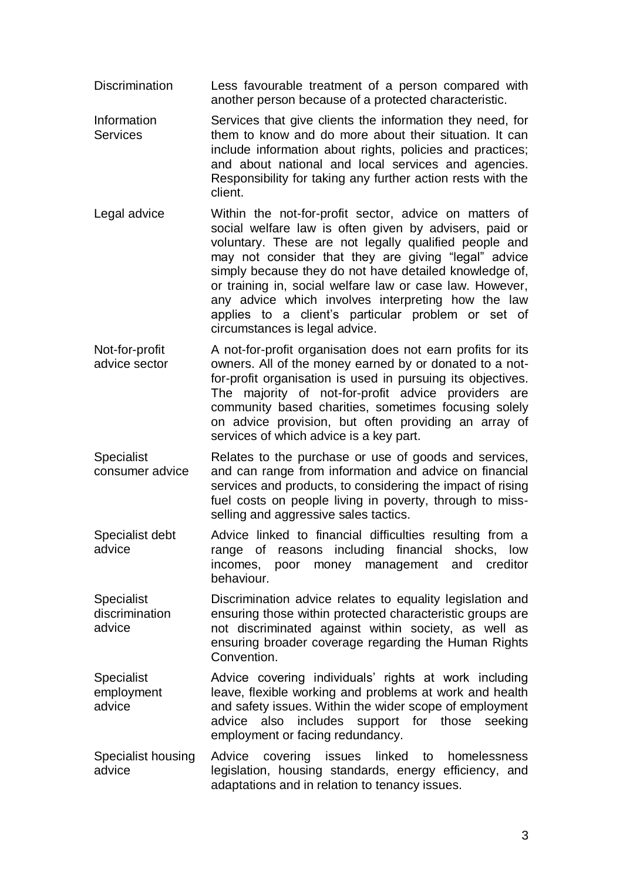- Discrimination Less favourable treatment of a person compared with another person because of a protected characteristic.
- Information **Services** Services that give clients the information they need, for them to know and do more about their situation. It can include information about rights, policies and practices; and about national and local services and agencies. Responsibility for taking any further action rests with the client.
- Legal advice Within the not-for-profit sector, advice on matters of social welfare law is often given by advisers, paid or voluntary. These are not legally qualified people and may not consider that they are giving "legal" advice simply because they do not have detailed knowledge of, or training in, social welfare law or case law. However, any advice which involves interpreting how the law applies to a client's particular problem or set of circumstances is legal advice.
- Not-for-profit advice sector A not-for-profit organisation does not earn profits for its owners. All of the money earned by or donated to a notfor-profit organisation is used in pursuing its objectives. The majority of not-for-profit advice providers are community based charities, sometimes focusing solely on advice provision, but often providing an array of services of which advice is a key part.
- Specialist consumer advice Relates to the purchase or use of goods and services, and can range from information and advice on financial services and products, to considering the impact of rising fuel costs on people living in poverty, through to missselling and aggressive sales tactics.
- Specialist debt advice Advice linked to financial difficulties resulting from a range of reasons including financial shocks, low incomes, poor money management and creditor behaviour.
- **Specialist** discrimination advice Discrimination advice relates to equality legislation and ensuring those within protected characteristic groups are not discriminated against within society, as well as ensuring broader coverage regarding the Human Rights Convention.
- Specialist employment advice Advice covering individuals' rights at work including leave, flexible working and problems at work and health and safety issues. Within the wider scope of employment advice also includes support for those seeking employment or facing redundancy.
- Specialist housing advice Advice covering issues linked to homelessness legislation, housing standards, energy efficiency, and adaptations and in relation to tenancy issues.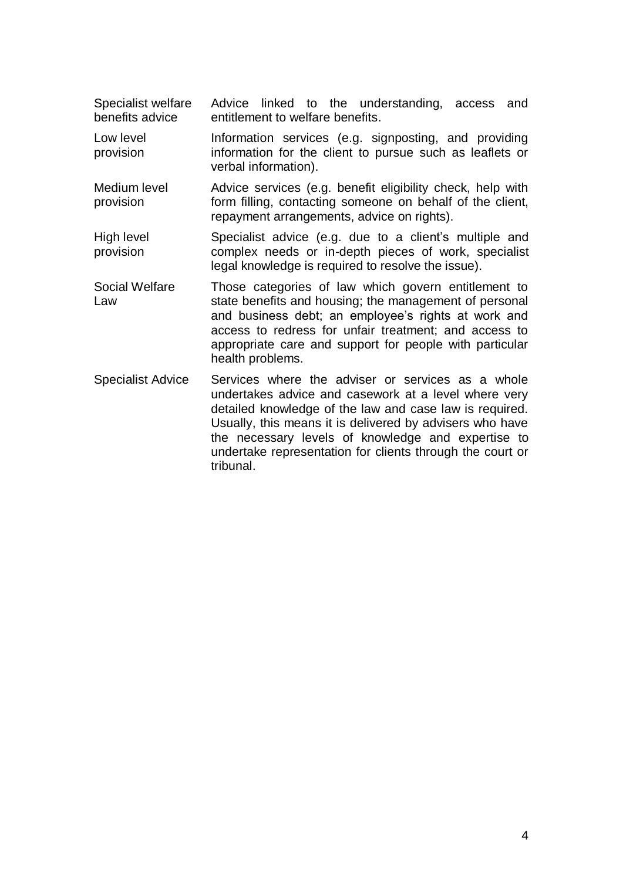Specialist welfare benefits advice Advice linked to the understanding, access and entitlement to welfare benefits.

Low level provision Information services (e.g. signposting, and providing information for the client to pursue such as leaflets or verbal information).

Medium level provision Advice services (e.g. benefit eligibility check, help with form filling, contacting someone on behalf of the client, repayment arrangements, advice on rights).

High level provision Specialist advice (e.g. due to a client's multiple and complex needs or in-depth pieces of work, specialist legal knowledge is required to resolve the issue).

- Social Welfare Law Those categories of law which govern entitlement to state benefits and housing; the management of personal and business debt; an employee's rights at work and access to redress for unfair treatment; and access to appropriate care and support for people with particular health problems.
- Specialist Advice Services where the adviser or services as a whole undertakes advice and casework at a level where very detailed knowledge of the law and case law is required. Usually, this means it is delivered by advisers who have the necessary levels of knowledge and expertise to undertake representation for clients through the court or tribunal.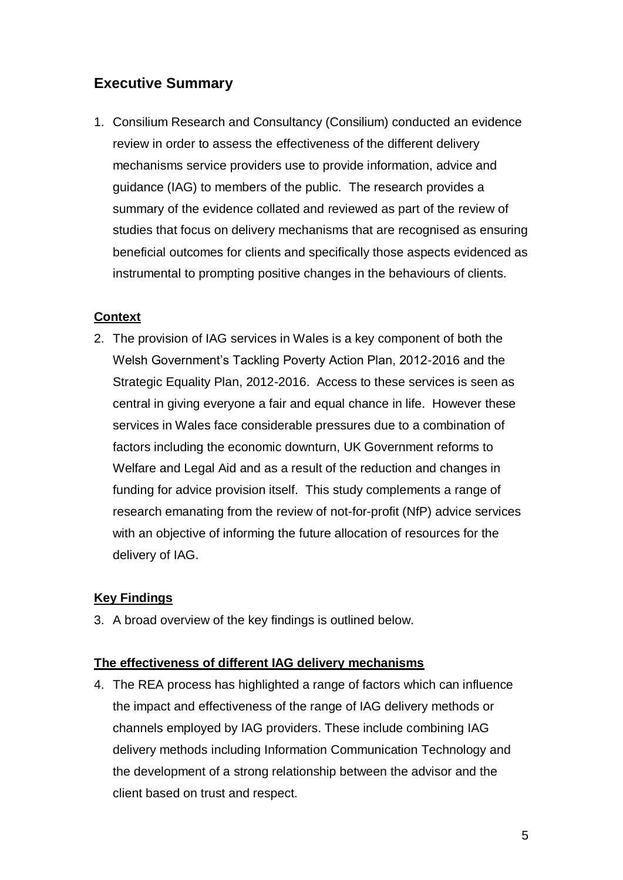# <span id="page-6-0"></span>**Executive Summary**

1. Consilium Research and Consultancy (Consilium) conducted an evidence review in order to assess the effectiveness of the different delivery mechanisms service providers use to provide information, advice and guidance (IAG) to members of the public. The research provides a summary of the evidence collated and reviewed as part of the review of studies that focus on delivery mechanisms that are recognised as ensuring beneficial outcomes for clients and specifically those aspects evidenced as instrumental to prompting positive changes in the behaviours of clients.

# **Context**

2. The provision of IAG services in Wales is a key component of both the Welsh Government's Tackling Poverty Action Plan, 2012-2016 and the Strategic Equality Plan, 2012-2016. Access to these services is seen as central in giving everyone a fair and equal chance in life. However these services in Wales face considerable pressures due to a combination of factors including the economic downturn, UK Government reforms to Welfare and Legal Aid and as a result of the reduction and changes in funding for advice provision itself. This study complements a range of research emanating from the review of not-for-profit (NfP) advice services with an objective of informing the future allocation of resources for the delivery of IAG.

# **Key Findings**

3. A broad overview of the key findings is outlined below.

# **The effectiveness of different IAG delivery mechanisms**

4. The REA process has highlighted a range of factors which can influence the impact and effectiveness of the range of IAG delivery methods or channels employed by IAG providers. These include combining IAG delivery methods including Information Communication Technology and the development of a strong relationship between the advisor and the client based on trust and respect.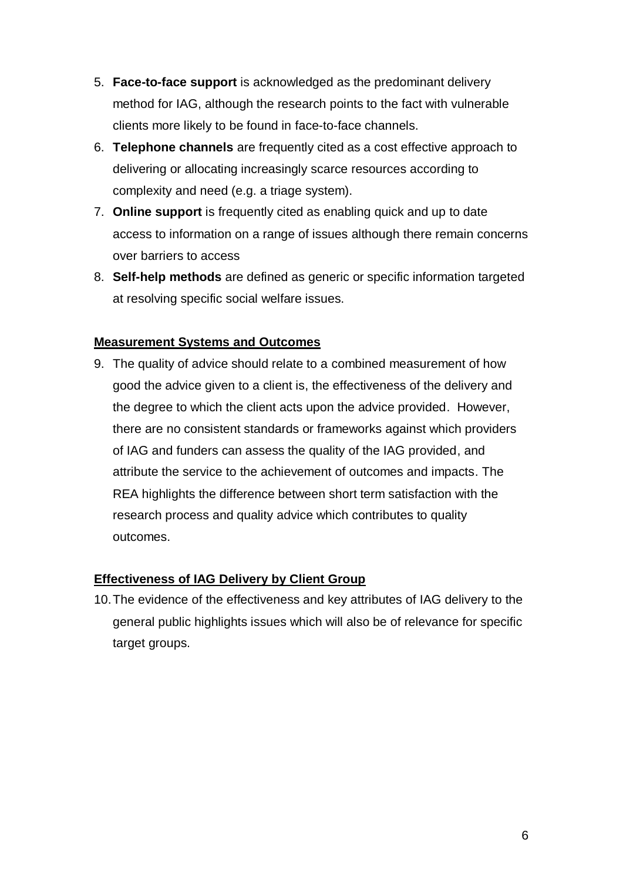- 5. **Face-to-face support** is acknowledged as the predominant delivery method for IAG, although the research points to the fact with vulnerable clients more likely to be found in face-to-face channels.
- 6. **Telephone channels** are frequently cited as a cost effective approach to delivering or allocating increasingly scarce resources according to complexity and need (e.g. a triage system).
- 7. **Online support** is frequently cited as enabling quick and up to date access to information on a range of issues although there remain concerns over barriers to access
- 8. **Self-help methods** are defined as generic or specific information targeted at resolving specific social welfare issues.

### **Measurement Systems and Outcomes**

9. The quality of advice should relate to a combined measurement of how good the advice given to a client is, the effectiveness of the delivery and the degree to which the client acts upon the advice provided. However, there are no consistent standards or frameworks against which providers of IAG and funders can assess the quality of the IAG provided, and attribute the service to the achievement of outcomes and impacts. The REA highlights the difference between short term satisfaction with the research process and quality advice which contributes to quality outcomes.

### **Effectiveness of IAG Delivery by Client Group**

10.The evidence of the effectiveness and key attributes of IAG delivery to the general public highlights issues which will also be of relevance for specific target groups.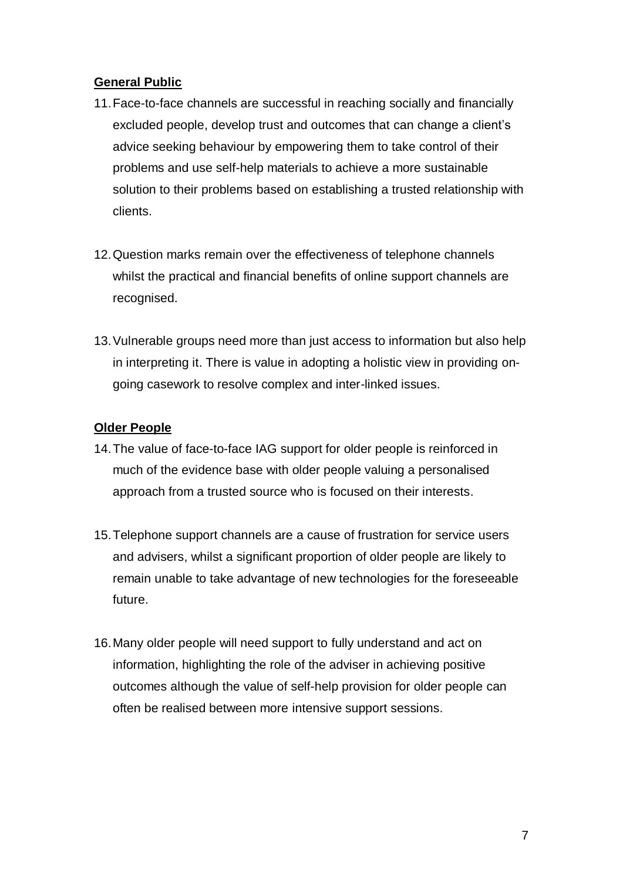# **General Public**

- 11.Face-to-face channels are successful in reaching socially and financially excluded people, develop trust and outcomes that can change a client's advice seeking behaviour by empowering them to take control of their problems and use self-help materials to achieve a more sustainable solution to their problems based on establishing a trusted relationship with clients.
- 12.Question marks remain over the effectiveness of telephone channels whilst the practical and financial benefits of online support channels are recognised.
- 13.Vulnerable groups need more than just access to information but also help in interpreting it. There is value in adopting a holistic view in providing ongoing casework to resolve complex and inter-linked issues.

### **Older People**

- 14.The value of face-to-face IAG support for older people is reinforced in much of the evidence base with older people valuing a personalised approach from a trusted source who is focused on their interests.
- 15.Telephone support channels are a cause of frustration for service users and advisers, whilst a significant proportion of older people are likely to remain unable to take advantage of new technologies for the foreseeable future.
- 16.Many older people will need support to fully understand and act on information, highlighting the role of the adviser in achieving positive outcomes although the value of self-help provision for older people can often be realised between more intensive support sessions.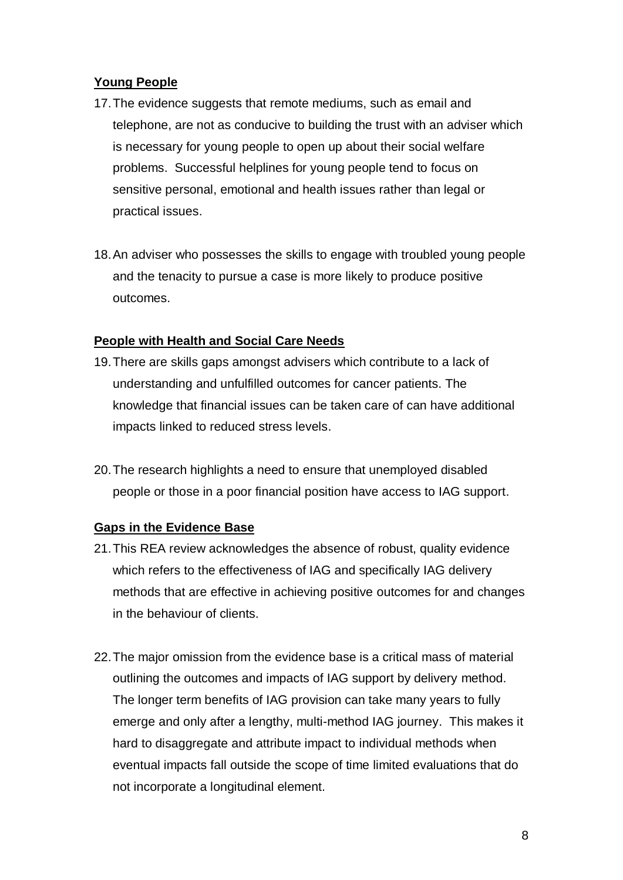# **Young People**

- 17.The evidence suggests that remote mediums, such as email and telephone, are not as conducive to building the trust with an adviser which is necessary for young people to open up about their social welfare problems. Successful helplines for young people tend to focus on sensitive personal, emotional and health issues rather than legal or practical issues.
- 18.An adviser who possesses the skills to engage with troubled young people and the tenacity to pursue a case is more likely to produce positive outcomes.

# **People with Health and Social Care Needs**

- 19.There are skills gaps amongst advisers which contribute to a lack of understanding and unfulfilled outcomes for cancer patients. The knowledge that financial issues can be taken care of can have additional impacts linked to reduced stress levels.
- 20.The research highlights a need to ensure that unemployed disabled people or those in a poor financial position have access to IAG support.

# **Gaps in the Evidence Base**

- 21.This REA review acknowledges the absence of robust, quality evidence which refers to the effectiveness of IAG and specifically IAG delivery methods that are effective in achieving positive outcomes for and changes in the behaviour of clients.
- 22.The major omission from the evidence base is a critical mass of material outlining the outcomes and impacts of IAG support by delivery method. The longer term benefits of IAG provision can take many years to fully emerge and only after a lengthy, multi-method IAG journey. This makes it hard to disaggregate and attribute impact to individual methods when eventual impacts fall outside the scope of time limited evaluations that do not incorporate a longitudinal element.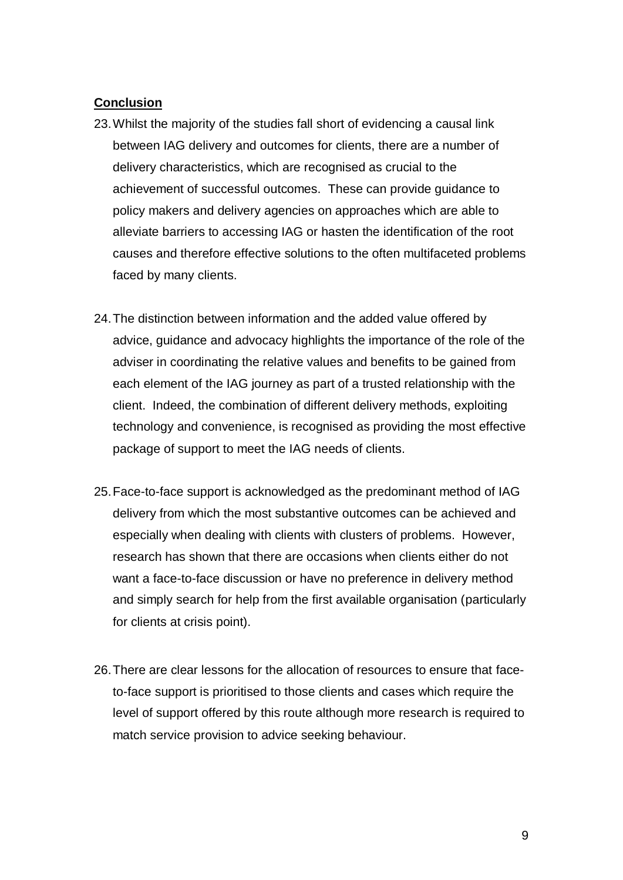# **Conclusion**

- 23.Whilst the majority of the studies fall short of evidencing a causal link between IAG delivery and outcomes for clients, there are a number of delivery characteristics, which are recognised as crucial to the achievement of successful outcomes. These can provide guidance to policy makers and delivery agencies on approaches which are able to alleviate barriers to accessing IAG or hasten the identification of the root causes and therefore effective solutions to the often multifaceted problems faced by many clients.
- 24.The distinction between information and the added value offered by advice, guidance and advocacy highlights the importance of the role of the adviser in coordinating the relative values and benefits to be gained from each element of the IAG journey as part of a trusted relationship with the client. Indeed, the combination of different delivery methods, exploiting technology and convenience, is recognised as providing the most effective package of support to meet the IAG needs of clients.
- 25.Face-to-face support is acknowledged as the predominant method of IAG delivery from which the most substantive outcomes can be achieved and especially when dealing with clients with clusters of problems. However, research has shown that there are occasions when clients either do not want a face-to-face discussion or have no preference in delivery method and simply search for help from the first available organisation (particularly for clients at crisis point).
- 26.There are clear lessons for the allocation of resources to ensure that faceto-face support is prioritised to those clients and cases which require the level of support offered by this route although more research is required to match service provision to advice seeking behaviour.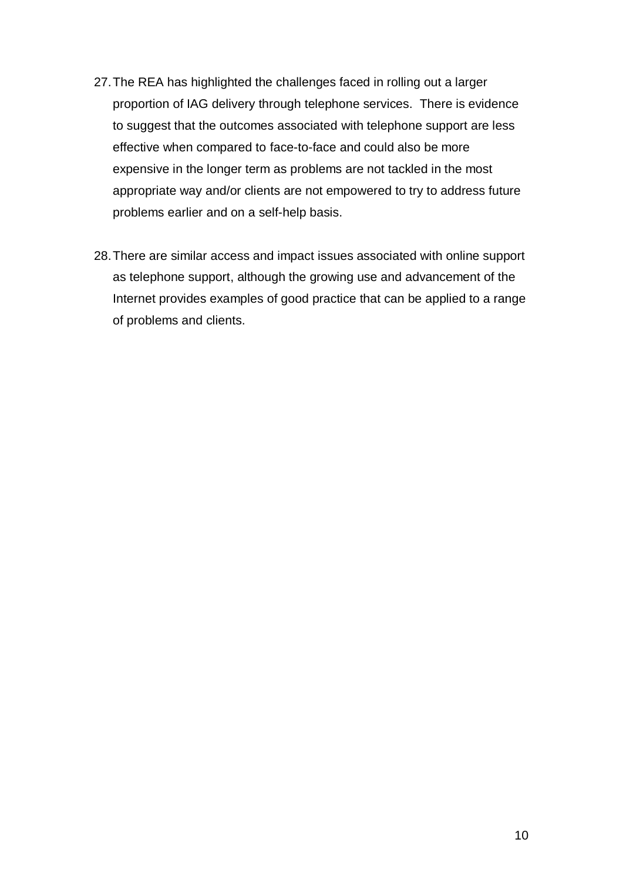- 27.The REA has highlighted the challenges faced in rolling out a larger proportion of IAG delivery through telephone services. There is evidence to suggest that the outcomes associated with telephone support are less effective when compared to face-to-face and could also be more expensive in the longer term as problems are not tackled in the most appropriate way and/or clients are not empowered to try to address future problems earlier and on a self-help basis.
- 28.There are similar access and impact issues associated with online support as telephone support, although the growing use and advancement of the Internet provides examples of good practice that can be applied to a range of problems and clients.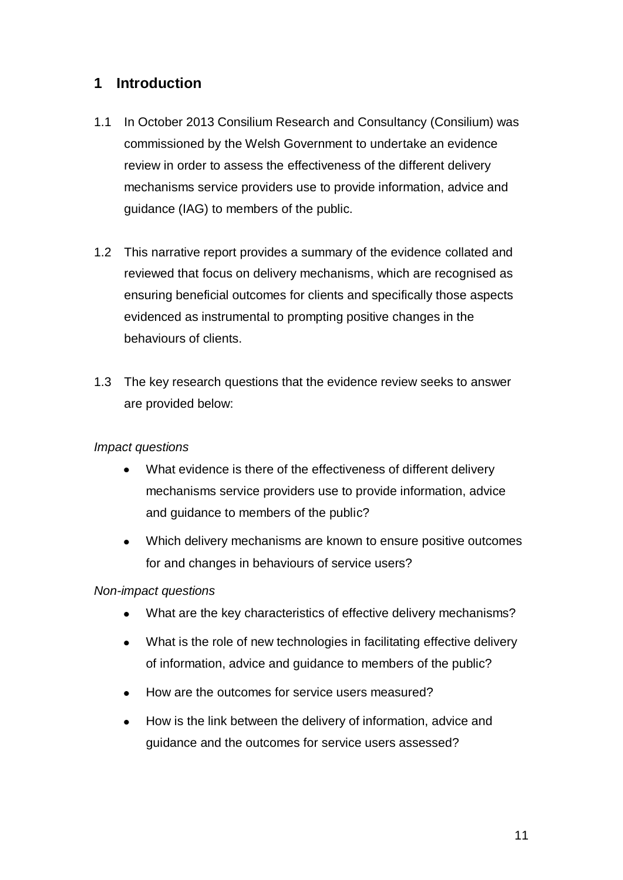# <span id="page-12-0"></span>**1 Introduction**

- 1.1 In October 2013 Consilium Research and Consultancy (Consilium) was commissioned by the Welsh Government to undertake an evidence review in order to assess the effectiveness of the different delivery mechanisms service providers use to provide information, advice and guidance (IAG) to members of the public.
- 1.2 This narrative report provides a summary of the evidence collated and reviewed that focus on delivery mechanisms, which are recognised as ensuring beneficial outcomes for clients and specifically those aspects evidenced as instrumental to prompting positive changes in the behaviours of clients.
- 1.3 The key research questions that the evidence review seeks to answer are provided below:

### *Impact questions*

- What evidence is there of the effectiveness of different delivery  $\bullet$ mechanisms service providers use to provide information, advice and guidance to members of the public?
- $\bullet$ Which delivery mechanisms are known to ensure positive outcomes for and changes in behaviours of service users?

#### *Non-impact questions*

- $\bullet$ What are the key characteristics of effective delivery mechanisms?
- What is the role of new technologies in facilitating effective delivery  $\bullet$ of information, advice and guidance to members of the public?
- How are the outcomes for service users measured?  $\bullet$
- How is the link between the delivery of information, advice and  $\bullet$ guidance and the outcomes for service users assessed?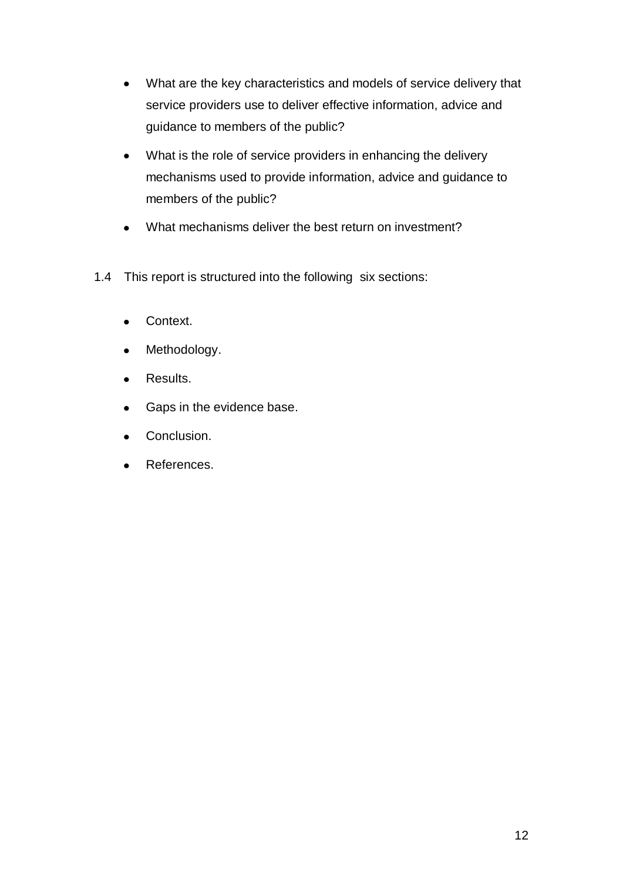- What are the key characteristics and models of service delivery that  $\bullet$ service providers use to deliver effective information, advice and guidance to members of the public?
- What is the role of service providers in enhancing the delivery  $\bullet$ mechanisms used to provide information, advice and guidance to members of the public?
- What mechanisms deliver the best return on investment?  $\bullet$
- 1.4 This report is structured into the following six sections:
	- Context.  $\bullet$
	- Methodology.  $\bullet$
	- Results.  $\bullet$
	- Gaps in the evidence base.  $\bullet$
	- Conclusion.  $\bullet$
	- References. $\bullet$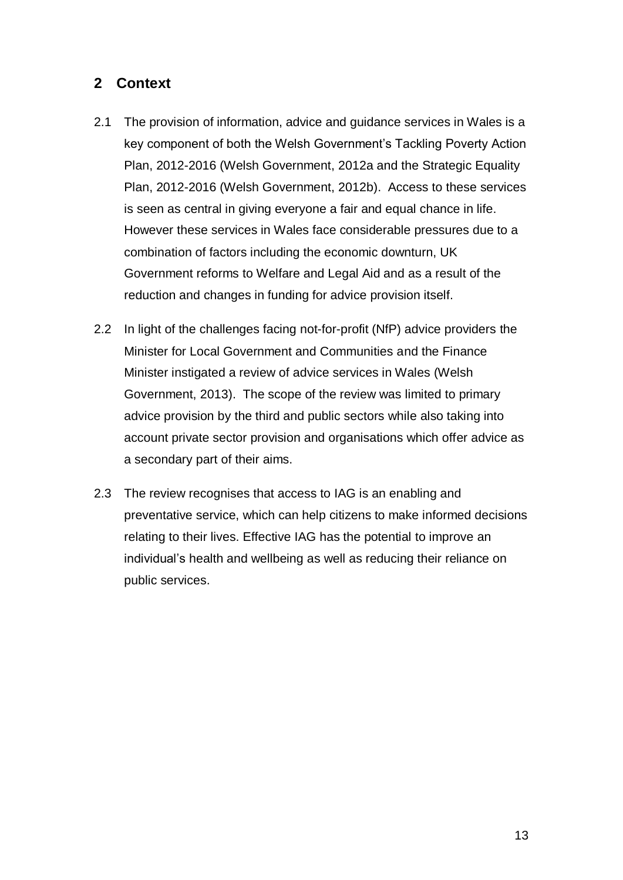# <span id="page-14-0"></span>**2 Context**

- 2.1 The provision of information, advice and guidance services in Wales is a key component of both the Welsh Government's Tackling Poverty Action Plan, 2012-2016 (Welsh Government, 2012a and the Strategic Equality Plan, 2012-2016 (Welsh Government, 2012b). Access to these services is seen as central in giving everyone a fair and equal chance in life. However these services in Wales face considerable pressures due to a combination of factors including the economic downturn, UK Government reforms to Welfare and Legal Aid and as a result of the reduction and changes in funding for advice provision itself.
- 2.2 In light of the challenges facing not-for-profit (NfP) advice providers the Minister for Local Government and Communities and the Finance Minister instigated a review of advice services in Wales (Welsh Government, 2013). The scope of the review was limited to primary advice provision by the third and public sectors while also taking into account private sector provision and organisations which offer advice as a secondary part of their aims.
- 2.3 The review recognises that access to IAG is an enabling and preventative service, which can help citizens to make informed decisions relating to their lives. Effective IAG has the potential to improve an individual's health and wellbeing as well as reducing their reliance on public services.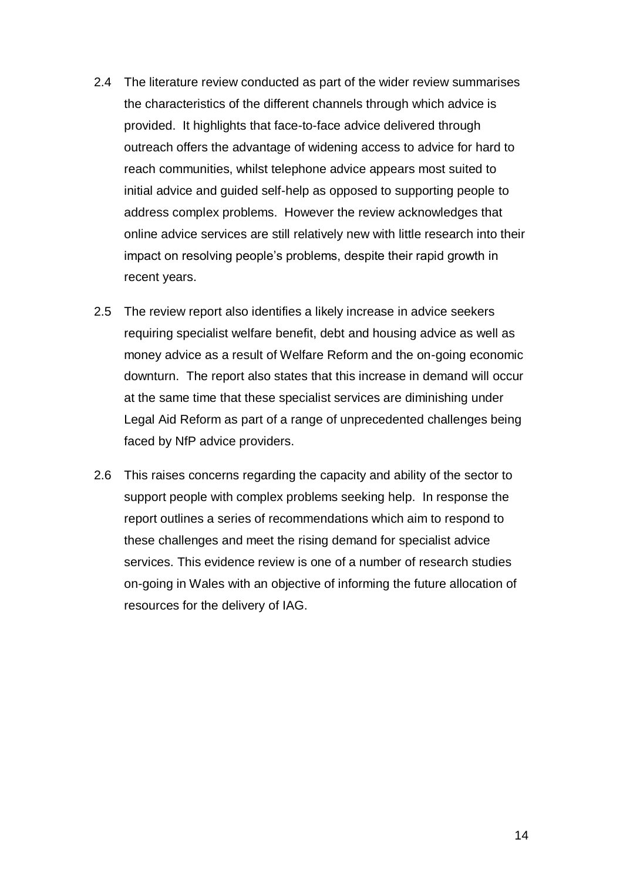- 2.4 The literature review conducted as part of the wider review summarises the characteristics of the different channels through which advice is provided. It highlights that face-to-face advice delivered through outreach offers the advantage of widening access to advice for hard to reach communities, whilst telephone advice appears most suited to initial advice and guided self-help as opposed to supporting people to address complex problems. However the review acknowledges that online advice services are still relatively new with little research into their impact on resolving people's problems, despite their rapid growth in recent years.
- 2.5 The review report also identifies a likely increase in advice seekers requiring specialist welfare benefit, debt and housing advice as well as money advice as a result of Welfare Reform and the on-going economic downturn. The report also states that this increase in demand will occur at the same time that these specialist services are diminishing under Legal Aid Reform as part of a range of unprecedented challenges being faced by NfP advice providers.
- 2.6 This raises concerns regarding the capacity and ability of the sector to support people with complex problems seeking help. In response the report outlines a series of recommendations which aim to respond to these challenges and meet the rising demand for specialist advice services. This evidence review is one of a number of research studies on-going in Wales with an objective of informing the future allocation of resources for the delivery of IAG.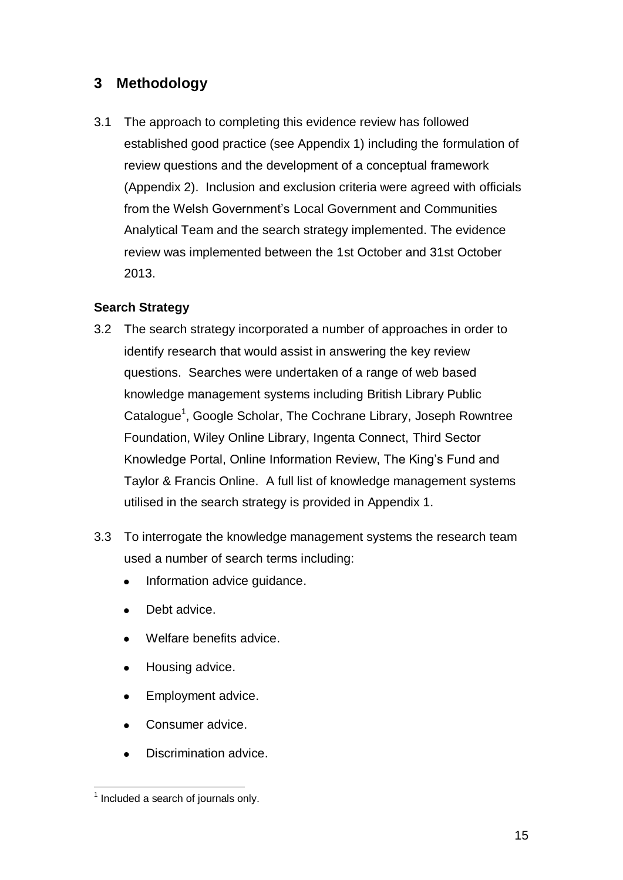# <span id="page-16-0"></span>**3 Methodology**

3.1 The approach to completing this evidence review has followed established good practice (see Appendix 1) including the formulation of review questions and the development of a conceptual framework (Appendix 2). Inclusion and exclusion criteria were agreed with officials from the Welsh Government's Local Government and Communities Analytical Team and the search strategy implemented. The evidence review was implemented between the 1st October and 31st October 2013.

# **Search Strategy**

- 3.2 The search strategy incorporated a number of approaches in order to identify research that would assist in answering the key review questions. Searches were undertaken of a range of web based knowledge management systems including British Library Public Catalogue<sup>1</sup>, Google Scholar, The Cochrane Library, Joseph Rowntree Foundation, Wiley Online Library, Ingenta Connect, Third Sector Knowledge Portal, Online Information Review, The King's Fund and Taylor & Francis Online. A full list of knowledge management systems utilised in the search strategy is provided in Appendix 1.
- 3.3 To interrogate the knowledge management systems the research team used a number of search terms including:
	- Information advice guidance.  $\bullet$
	- Debt advice.
	- Welfare benefits advice.
	- Housing advice.  $\bullet$
	- Employment advice.
	- Consumer advice.  $\bullet$
	- Discrimination advice.

 1 Included a search of journals only.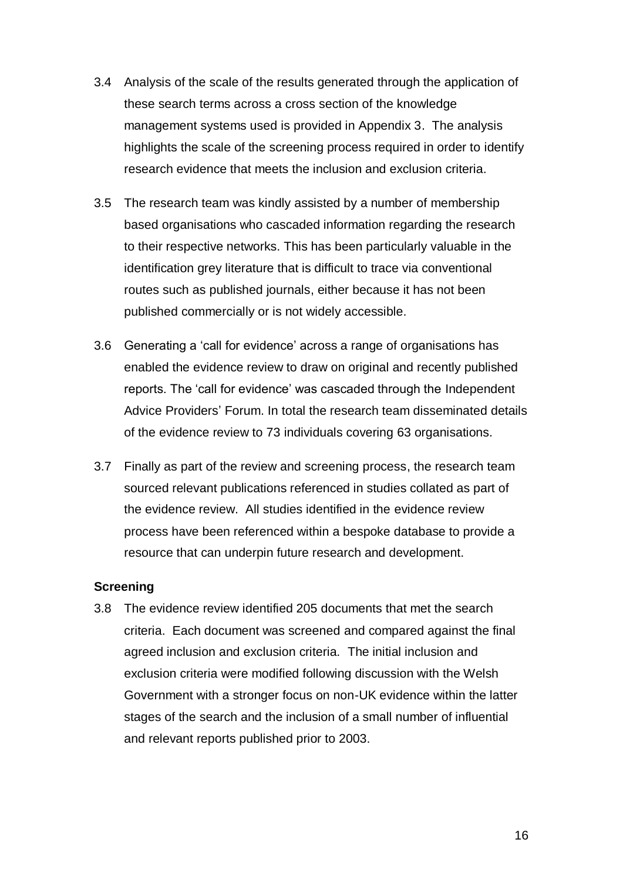- 3.4 Analysis of the scale of the results generated through the application of these search terms across a cross section of the knowledge management systems used is provided in Appendix 3. The analysis highlights the scale of the screening process required in order to identify research evidence that meets the inclusion and exclusion criteria.
- 3.5 The research team was kindly assisted by a number of membership based organisations who cascaded information regarding the research to their respective networks. This has been particularly valuable in the identification grey literature that is difficult to trace via conventional routes such as published journals, either because it has not been published commercially or is not widely accessible.
- 3.6 Generating a 'call for evidence' across a range of organisations has enabled the evidence review to draw on original and recently published reports. The 'call for evidence' was cascaded through the Independent Advice Providers' Forum. In total the research team disseminated details of the evidence review to 73 individuals covering 63 organisations.
- 3.7 Finally as part of the review and screening process, the research team sourced relevant publications referenced in studies collated as part of the evidence review. All studies identified in the evidence review process have been referenced within a bespoke database to provide a resource that can underpin future research and development.

#### **Screening**

3.8 The evidence review identified 205 documents that met the search criteria. Each document was screened and compared against the final agreed inclusion and exclusion criteria. The initial inclusion and exclusion criteria were modified following discussion with the Welsh Government with a stronger focus on non-UK evidence within the latter stages of the search and the inclusion of a small number of influential and relevant reports published prior to 2003.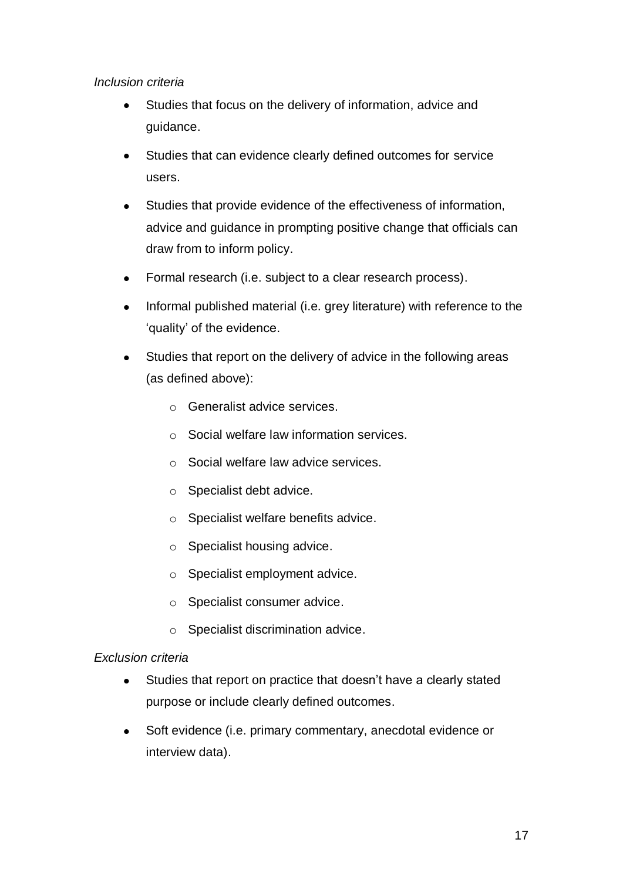### *Inclusion criteria*

- Studies that focus on the delivery of information, advice and  $\bullet$ guidance.
- Studies that can evidence clearly defined outcomes for service  $\bullet$ users.
- Studies that provide evidence of the effectiveness of information,  $\bullet$ advice and guidance in prompting positive change that officials can draw from to inform policy.
- Formal research (i.e. subject to a clear research process).  $\bullet$
- Informal published material (i.e. grey literature) with reference to the  $\bullet$ 'quality' of the evidence.
- Studies that report on the delivery of advice in the following areas (as defined above):
	- o Generalist advice services.
	- o Social welfare law information services.
	- o Social welfare law advice services.
	- o Specialist debt advice.
	- o Specialist welfare benefits advice.
	- o Specialist housing advice.
	- o Specialist employment advice.
	- o Specialist consumer advice.
	- o Specialist discrimination advice.

# *Exclusion criteria*

- $\bullet$ Studies that report on practice that doesn't have a clearly stated purpose or include clearly defined outcomes.
- Soft evidence (i.e. primary commentary, anecdotal evidence or  $\bullet$ interview data).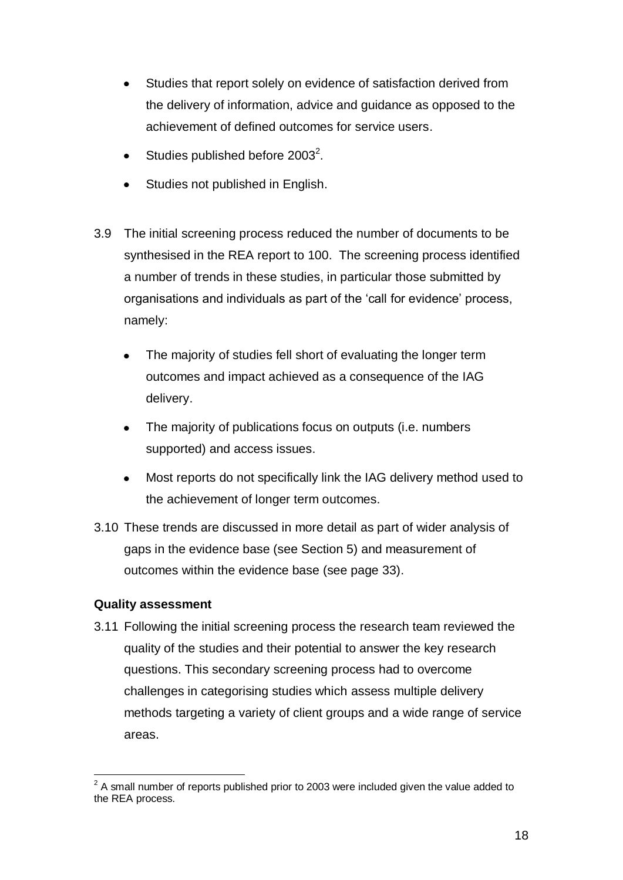- Studies that report solely on evidence of satisfaction derived from the delivery of information, advice and guidance as opposed to the achievement of defined outcomes for service users.
- Studies published before  $2003^2$ .
- Studies not published in English.
- 3.9 The initial screening process reduced the number of documents to be synthesised in the REA report to 100. The screening process identified a number of trends in these studies, in particular those submitted by organisations and individuals as part of the 'call for evidence' process, namely:
	- The majority of studies fell short of evaluating the longer term outcomes and impact achieved as a consequence of the IAG delivery.
	- $\bullet$ The majority of publications focus on outputs (i.e. numbers supported) and access issues.
	- Most reports do not specifically link the IAG delivery method used to  $\bullet$ the achievement of longer term outcomes.
- 3.10 These trends are discussed in more detail as part of wider analysis of gaps in the evidence base (see Section 5) and measurement of outcomes within the evidence base (see page 33).

# **Quality assessment**

3.11 Following the initial screening process the research team reviewed the quality of the studies and their potential to answer the key research questions. This secondary screening process had to overcome challenges in categorising studies which assess multiple delivery methods targeting a variety of client groups and a wide range of service areas.

 $\overline{a}$  $2$  A small number of reports published prior to 2003 were included given the value added to the REA process.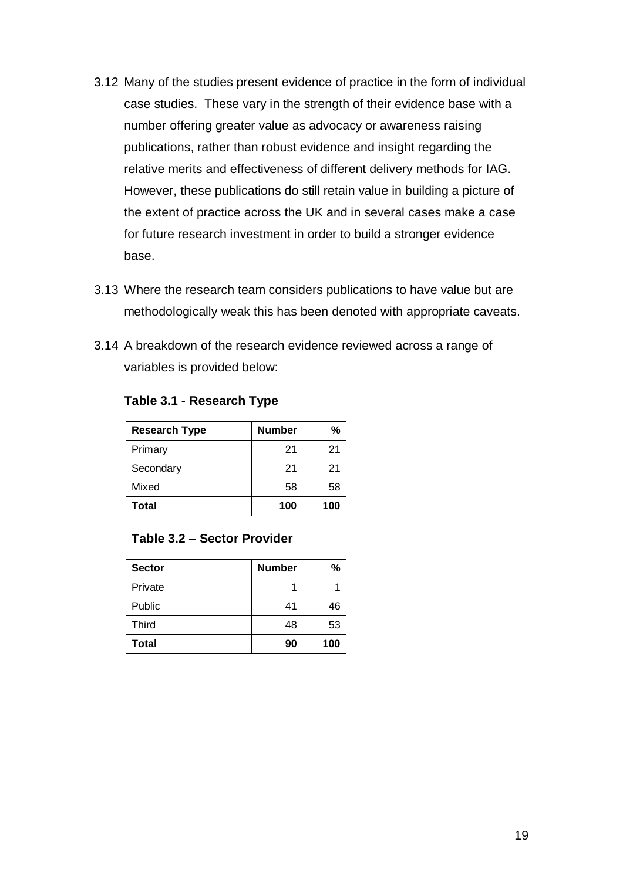- 3.12 Many of the studies present evidence of practice in the form of individual case studies. These vary in the strength of their evidence base with a number offering greater value as advocacy or awareness raising publications, rather than robust evidence and insight regarding the relative merits and effectiveness of different delivery methods for IAG. However, these publications do still retain value in building a picture of the extent of practice across the UK and in several cases make a case for future research investment in order to build a stronger evidence base.
- 3.13 Where the research team considers publications to have value but are methodologically weak this has been denoted with appropriate caveats.
- 3.14 A breakdown of the research evidence reviewed across a range of variables is provided below:

| <b>Research Type</b> | <b>Number</b> | %   |
|----------------------|---------------|-----|
| Primary              | 21            | 21  |
| Secondary            | 21            | 21  |
| Mixed                | 58            | 58  |
| Total                | 100           | 100 |

#### **Table 3.1 - Research Type**

#### **Table 3.2 – Sector Provider**

| <b>Sector</b> | <b>Number</b> | %   |
|---------------|---------------|-----|
| Private       |               |     |
| Public        | 41            | 46  |
| <b>Third</b>  | 48            | 53  |
| <b>Total</b>  | 90            | 100 |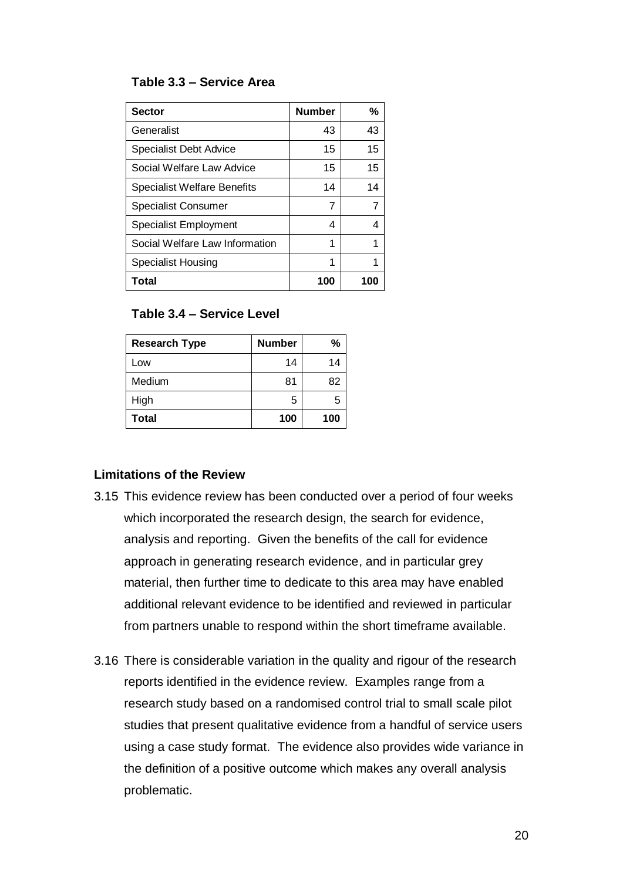#### **Table 3.3 – Service Area**

| <b>Sector</b>                      | <b>Number</b> | %   |
|------------------------------------|---------------|-----|
| Generalist                         | 43            | 43  |
| <b>Specialist Debt Advice</b>      | 15            | 15  |
| Social Welfare Law Advice          | 15            | 15  |
| <b>Specialist Welfare Benefits</b> | 14            | 14  |
| <b>Specialist Consumer</b>         | 7             | 7   |
| <b>Specialist Employment</b>       | 4             | 4   |
| Social Welfare Law Information     | 1             | 1   |
| Specialist Housing                 | 1             |     |
| <b>Total</b>                       | 100           | 100 |

# **Table 3.4 – Service Level**

| <b>Research Type</b> | <b>Number</b> | %   |
|----------------------|---------------|-----|
| Low                  | 14            | 14  |
| Medium               | 81            | 82  |
| High                 | 5             | 5   |
| <b>Total</b>         | 100           | 100 |

#### **Limitations of the Review**

- 3.15 This evidence review has been conducted over a period of four weeks which incorporated the research design, the search for evidence, analysis and reporting. Given the benefits of the call for evidence approach in generating research evidence, and in particular grey material, then further time to dedicate to this area may have enabled additional relevant evidence to be identified and reviewed in particular from partners unable to respond within the short timeframe available.
- 3.16 There is considerable variation in the quality and rigour of the research reports identified in the evidence review. Examples range from a research study based on a randomised control trial to small scale pilot studies that present qualitative evidence from a handful of service users using a case study format. The evidence also provides wide variance in the definition of a positive outcome which makes any overall analysis problematic.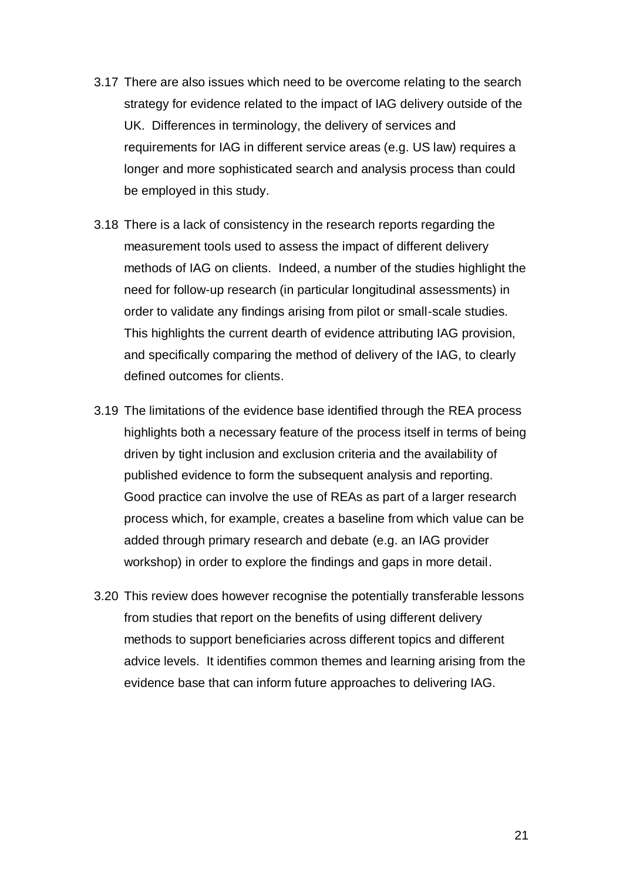- 3.17 There are also issues which need to be overcome relating to the search strategy for evidence related to the impact of IAG delivery outside of the UK. Differences in terminology, the delivery of services and requirements for IAG in different service areas (e.g. US law) requires a longer and more sophisticated search and analysis process than could be employed in this study.
- 3.18 There is a lack of consistency in the research reports regarding the measurement tools used to assess the impact of different delivery methods of IAG on clients. Indeed, a number of the studies highlight the need for follow-up research (in particular longitudinal assessments) in order to validate any findings arising from pilot or small-scale studies. This highlights the current dearth of evidence attributing IAG provision, and specifically comparing the method of delivery of the IAG, to clearly defined outcomes for clients.
- 3.19 The limitations of the evidence base identified through the REA process highlights both a necessary feature of the process itself in terms of being driven by tight inclusion and exclusion criteria and the availability of published evidence to form the subsequent analysis and reporting. Good practice can involve the use of REAs as part of a larger research process which, for example, creates a baseline from which value can be added through primary research and debate (e.g. an IAG provider workshop) in order to explore the findings and gaps in more detail.
- 3.20 This review does however recognise the potentially transferable lessons from studies that report on the benefits of using different delivery methods to support beneficiaries across different topics and different advice levels. It identifies common themes and learning arising from the evidence base that can inform future approaches to delivering IAG.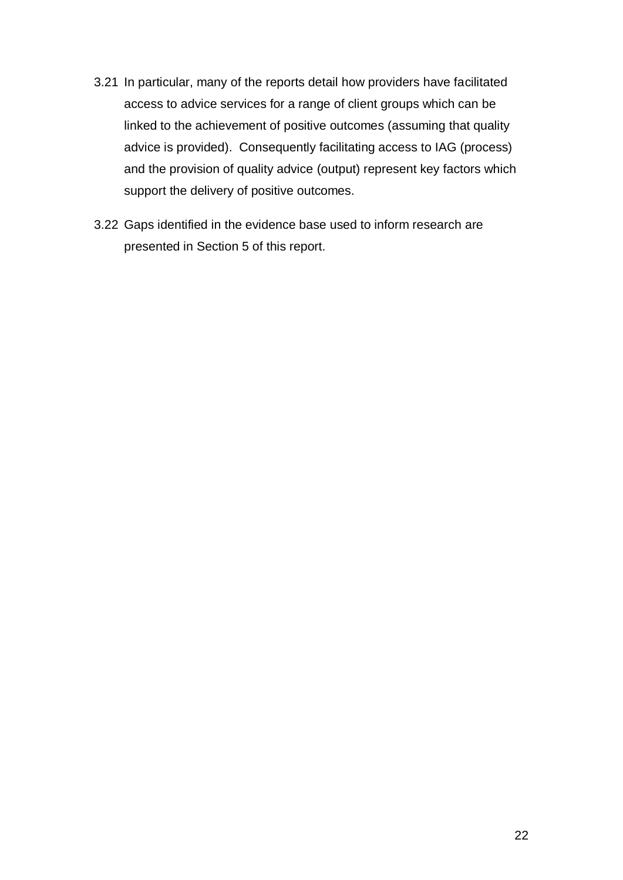- 3.21 In particular, many of the reports detail how providers have facilitated access to advice services for a range of client groups which can be linked to the achievement of positive outcomes (assuming that quality advice is provided). Consequently facilitating access to IAG (process) and the provision of quality advice (output) represent key factors which support the delivery of positive outcomes.
- 3.22 Gaps identified in the evidence base used to inform research are presented in Section 5 of this report.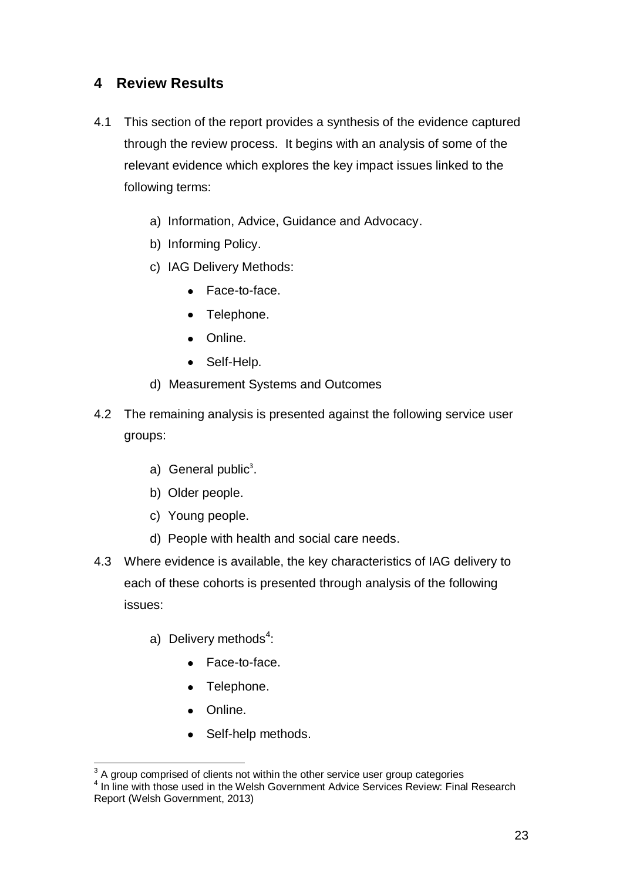# <span id="page-24-0"></span>**4 Review Results**

- 4.1 This section of the report provides a synthesis of the evidence captured through the review process. It begins with an analysis of some of the relevant evidence which explores the key impact issues linked to the following terms:
	- a) Information, Advice, Guidance and Advocacy.
	- b) Informing Policy.
	- c) IAG Delivery Methods:
		- Face-to-face.
		- Telephone.
		- Online.
		- Self-Help.
	- d) Measurement Systems and Outcomes
- 4.2 The remaining analysis is presented against the following service user groups:
	- a) General public<sup>3</sup>.
	- b) Older people.
	- c) Young people.
	- d) People with health and social care needs.
- 4.3 Where evidence is available, the key characteristics of IAG delivery to each of these cohorts is presented through analysis of the following issues:
	- a) Delivery methods<sup>4</sup>:
		- Face-to-face.
		- Telephone.
		- Online.
		- Self-help methods.

 $\overline{a}$  $3$  A group comprised of clients not within the other service user group categories

<sup>&</sup>lt;sup>4</sup> In line with those used in the Welsh Government Advice Services Review: Final Research Report (Welsh Government, 2013)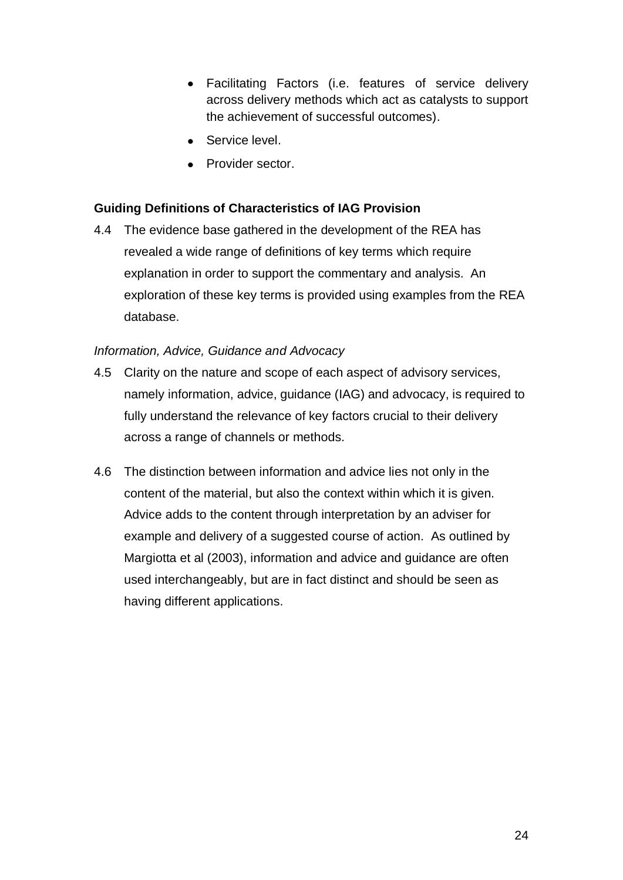- Facilitating Factors (i.e. features of service delivery across delivery methods which act as catalysts to support the achievement of successful outcomes).
- Service level.
- Provider sector.

# **Guiding Definitions of Characteristics of IAG Provision**

4.4 The evidence base gathered in the development of the REA has revealed a wide range of definitions of key terms which require explanation in order to support the commentary and analysis. An exploration of these key terms is provided using examples from the REA database.

### *Information, Advice, Guidance and Advocacy*

- 4.5 Clarity on the nature and scope of each aspect of advisory services, namely information, advice, guidance (IAG) and advocacy, is required to fully understand the relevance of key factors crucial to their delivery across a range of channels or methods.
- 4.6 The distinction between information and advice lies not only in the content of the material, but also the context within which it is given. Advice adds to the content through interpretation by an adviser for example and delivery of a suggested course of action. As outlined by Margiotta et al (2003), information and advice and guidance are often used interchangeably, but are in fact distinct and should be seen as having different applications.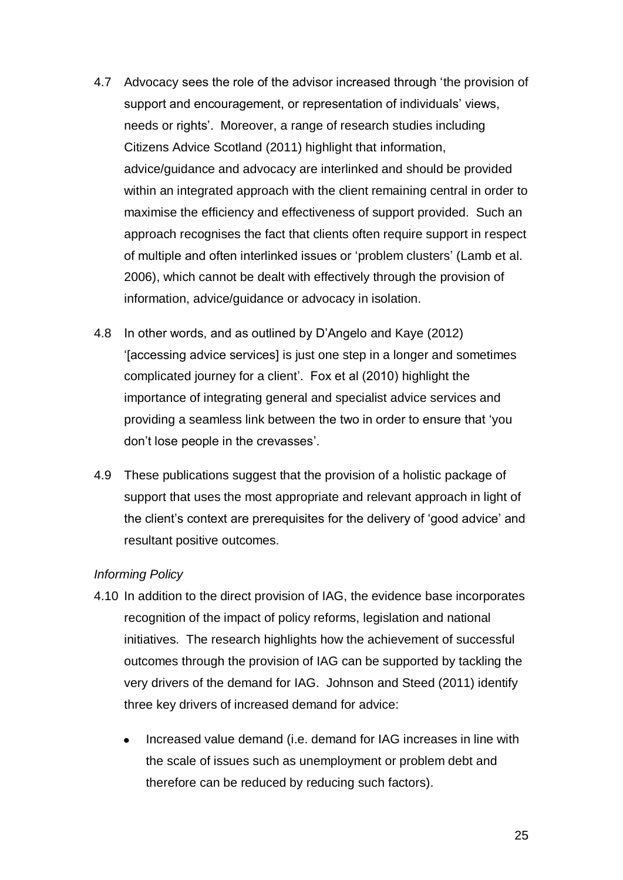- 4.7 Advocacy sees the role of the advisor increased through 'the provision of support and encouragement, or representation of individuals' views, needs or rights'. Moreover, a range of research studies including Citizens Advice Scotland (2011) highlight that information, advice/guidance and advocacy are interlinked and should be provided within an integrated approach with the client remaining central in order to maximise the efficiency and effectiveness of support provided. Such an approach recognises the fact that clients often require support in respect of multiple and often interlinked issues or 'problem clusters' (Lamb et al. 2006), which cannot be dealt with effectively through the provision of information, advice/guidance or advocacy in isolation.
- 4.8 In other words, and as outlined by D'Angelo and Kaye (2012) '[accessing advice services] is just one step in a longer and sometimes complicated journey for a client'. Fox et al (2010) highlight the importance of integrating general and specialist advice services and providing a seamless link between the two in order to ensure that 'you don't lose people in the crevasses'.
- 4.9 These publications suggest that the provision of a holistic package of support that uses the most appropriate and relevant approach in light of the client's context are prerequisites for the delivery of 'good advice' and resultant positive outcomes.

#### *Informing Policy*

- 4.10 In addition to the direct provision of IAG, the evidence base incorporates recognition of the impact of policy reforms, legislation and national initiatives. The research highlights how the achievement of successful outcomes through the provision of IAG can be supported by tackling the very drivers of the demand for IAG. Johnson and Steed (2011) identify three key drivers of increased demand for advice:
	- Increased value demand (i.e. demand for IAG increases in line with the scale of issues such as unemployment or problem debt and therefore can be reduced by reducing such factors).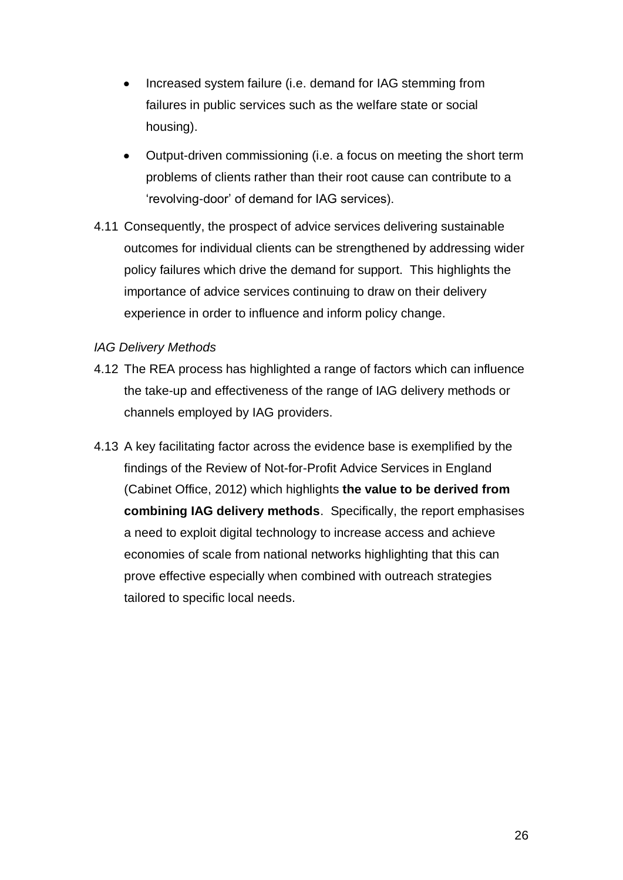- Increased system failure (i.e. demand for IAG stemming from failures in public services such as the welfare state or social housing).
- Output-driven commissioning (i.e. a focus on meeting the short term problems of clients rather than their root cause can contribute to a 'revolving-door' of demand for IAG services).
- 4.11 Consequently, the prospect of advice services delivering sustainable outcomes for individual clients can be strengthened by addressing wider policy failures which drive the demand for support. This highlights the importance of advice services continuing to draw on their delivery experience in order to influence and inform policy change.

#### *IAG Delivery Methods*

- 4.12 The REA process has highlighted a range of factors which can influence the take-up and effectiveness of the range of IAG delivery methods or channels employed by IAG providers.
- 4.13 A key facilitating factor across the evidence base is exemplified by the findings of the Review of Not-for-Profit Advice Services in England (Cabinet Office, 2012) which highlights **the value to be derived from combining IAG delivery methods**. Specifically, the report emphasises a need to exploit digital technology to increase access and achieve economies of scale from national networks highlighting that this can prove effective especially when combined with outreach strategies tailored to specific local needs.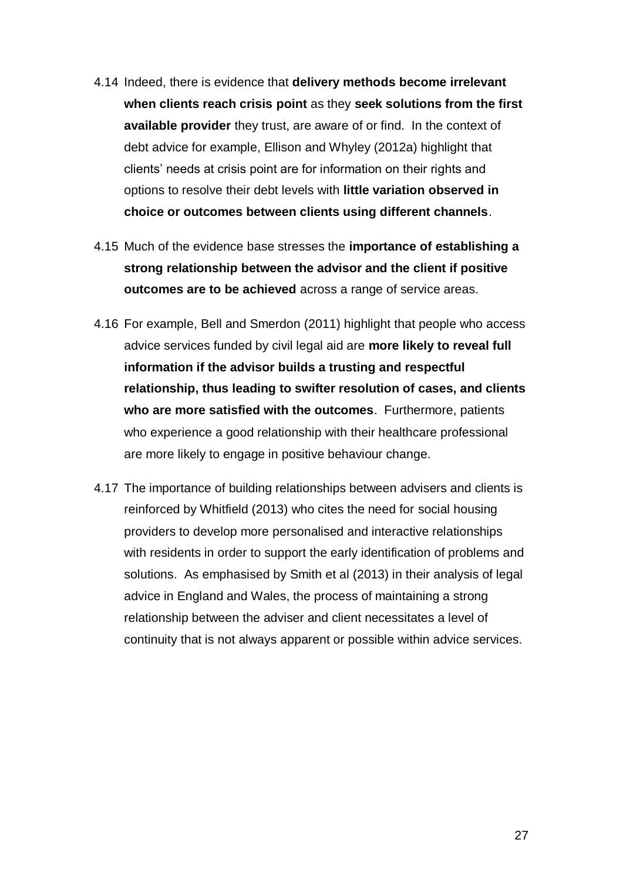- 4.14 Indeed, there is evidence that **delivery methods become irrelevant when clients reach crisis point** as they **seek solutions from the first available provider** they trust, are aware of or find. In the context of debt advice for example, Ellison and Whyley (2012a) highlight that clients' needs at crisis point are for information on their rights and options to resolve their debt levels with **little variation observed in choice or outcomes between clients using different channels**.
- 4.15 Much of the evidence base stresses the **importance of establishing a strong relationship between the advisor and the client if positive outcomes are to be achieved** across a range of service areas.
- 4.16 For example, Bell and Smerdon (2011) highlight that people who access advice services funded by civil legal aid are **more likely to reveal full information if the advisor builds a trusting and respectful relationship, thus leading to swifter resolution of cases, and clients who are more satisfied with the outcomes**. Furthermore, patients who experience a good relationship with their healthcare professional are more likely to engage in positive behaviour change.
- 4.17 The importance of building relationships between advisers and clients is reinforced by Whitfield (2013) who cites the need for social housing providers to develop more personalised and interactive relationships with residents in order to support the early identification of problems and solutions. As emphasised by Smith et al (2013) in their analysis of legal advice in England and Wales, the process of maintaining a strong relationship between the adviser and client necessitates a level of continuity that is not always apparent or possible within advice services.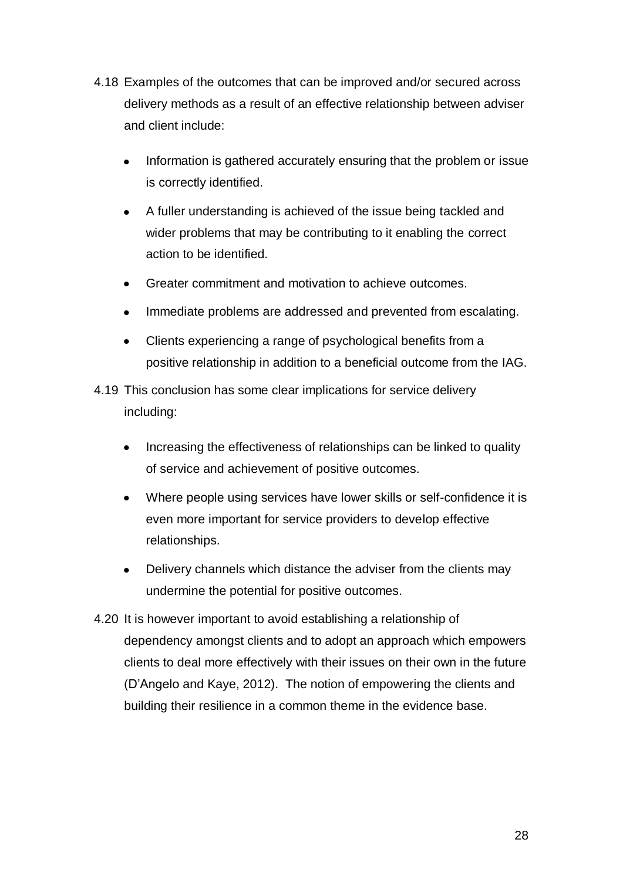- 4.18 Examples of the outcomes that can be improved and/or secured across delivery methods as a result of an effective relationship between adviser and client include:
	- Information is gathered accurately ensuring that the problem or issue is correctly identified.
	- A fuller understanding is achieved of the issue being tackled and wider problems that may be contributing to it enabling the correct action to be identified.
	- Greater commitment and motivation to achieve outcomes.  $\bullet$
	- Immediate problems are addressed and prevented from escalating.  $\bullet$
	- Clients experiencing a range of psychological benefits from a  $\bullet$ positive relationship in addition to a beneficial outcome from the IAG.
- 4.19 This conclusion has some clear implications for service delivery including:
	- Increasing the effectiveness of relationships can be linked to quality of service and achievement of positive outcomes.
	- Where people using services have lower skills or self-confidence it is  $\bullet$ even more important for service providers to develop effective relationships.
	- Delivery channels which distance the adviser from the clients may  $\bullet$ undermine the potential for positive outcomes.
- 4.20 It is however important to avoid establishing a relationship of dependency amongst clients and to adopt an approach which empowers clients to deal more effectively with their issues on their own in the future (D'Angelo and Kaye, 2012). The notion of empowering the clients and building their resilience in a common theme in the evidence base.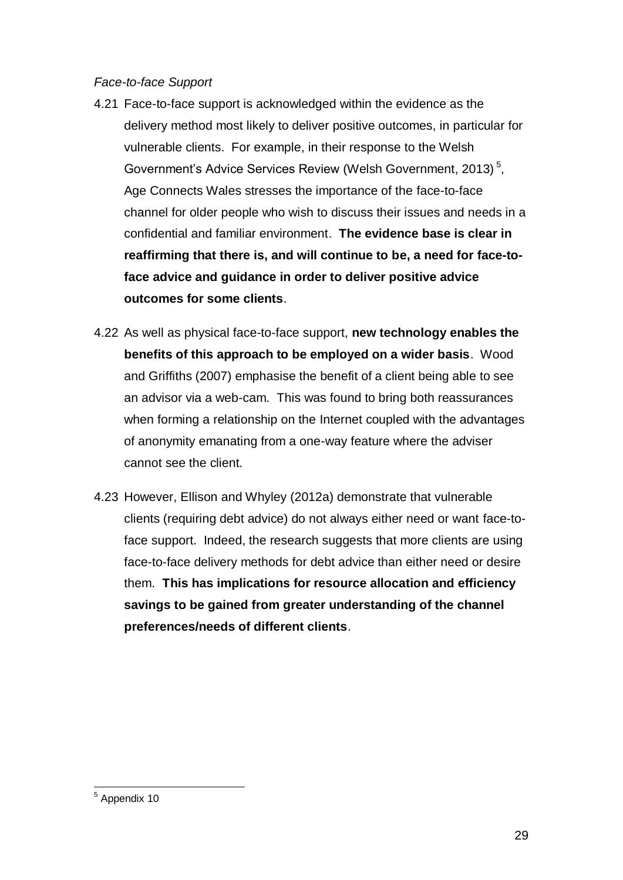#### *Face-to-face Support*

- 4.21 Face-to-face support is acknowledged within the evidence as the delivery method most likely to deliver positive outcomes, in particular for vulnerable clients. For example, in their response to the Welsh Government's Advice Services Review (Welsh Government, 2013)<sup>5</sup>, Age Connects Wales stresses the importance of the face-to-face channel for older people who wish to discuss their issues and needs in a confidential and familiar environment. **The evidence base is clear in reaffirming that there is, and will continue to be, a need for face-toface advice and guidance in order to deliver positive advice outcomes for some clients**.
- 4.22 As well as physical face-to-face support, **new technology enables the benefits of this approach to be employed on a wider basis**. Wood and Griffiths (2007) emphasise the benefit of a client being able to see an advisor via a web-cam. This was found to bring both reassurances when forming a relationship on the Internet coupled with the advantages of anonymity emanating from a one-way feature where the adviser cannot see the client.
- 4.23 However, Ellison and Whyley (2012a) demonstrate that vulnerable clients (requiring debt advice) do not always either need or want face-toface support. Indeed, the research suggests that more clients are using face-to-face delivery methods for debt advice than either need or desire them. **This has implications for resource allocation and efficiency savings to be gained from greater understanding of the channel preferences/needs of different clients**.

 $\overline{a}$ <sup>5</sup> Appendix 10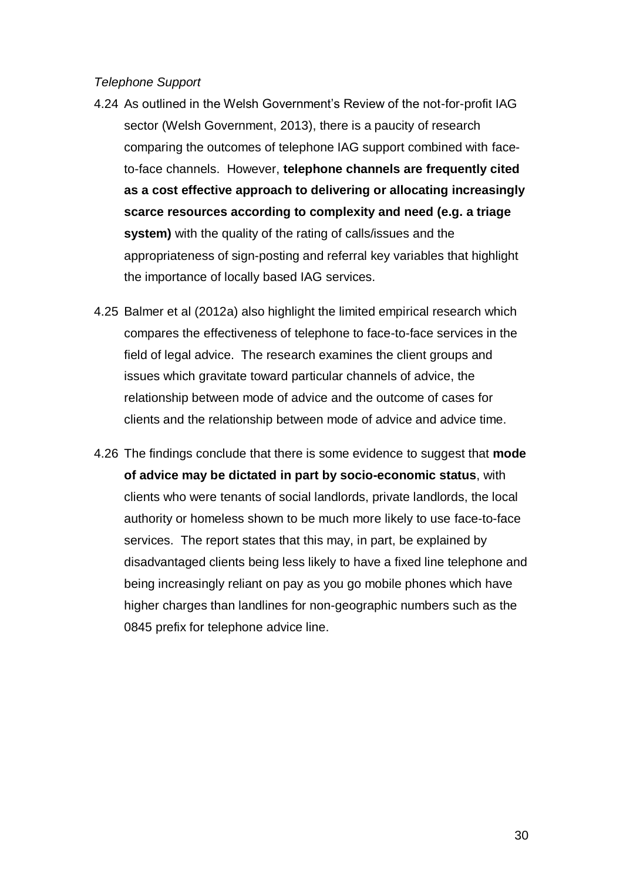#### *Telephone Support*

- 4.24 As outlined in the Welsh Government's Review of the not-for-profit IAG sector (Welsh Government, 2013), there is a paucity of research comparing the outcomes of telephone IAG support combined with faceto-face channels. However, **telephone channels are frequently cited as a cost effective approach to delivering or allocating increasingly scarce resources according to complexity and need (e.g. a triage system)** with the quality of the rating of calls/issues and the appropriateness of sign-posting and referral key variables that highlight the importance of locally based IAG services.
- 4.25 Balmer et al (2012a) also highlight the limited empirical research which compares the effectiveness of telephone to face-to-face services in the field of legal advice. The research examines the client groups and issues which gravitate toward particular channels of advice, the relationship between mode of advice and the outcome of cases for clients and the relationship between mode of advice and advice time.
- 4.26 The findings conclude that there is some evidence to suggest that **mode of advice may be dictated in part by socio-economic status**, with clients who were tenants of social landlords, private landlords, the local authority or homeless shown to be much more likely to use face-to-face services. The report states that this may, in part, be explained by disadvantaged clients being less likely to have a fixed line telephone and being increasingly reliant on pay as you go mobile phones which have higher charges than landlines for non-geographic numbers such as the 0845 prefix for telephone advice line.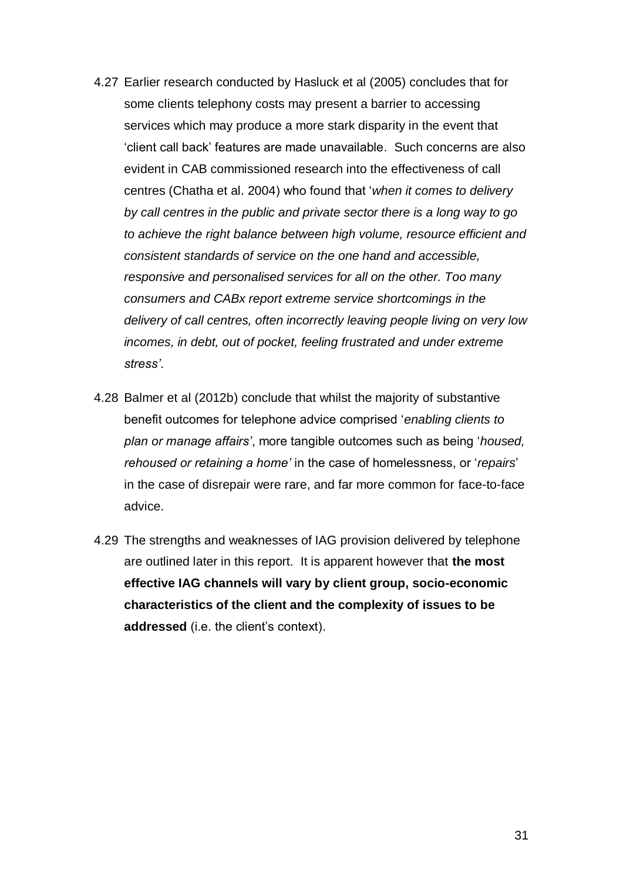- 4.27 Earlier research conducted by Hasluck et al (2005) concludes that for some clients telephony costs may present a barrier to accessing services which may produce a more stark disparity in the event that 'client call back' features are made unavailable. Such concerns are also evident in CAB commissioned research into the effectiveness of call centres (Chatha et al. 2004) who found that '*when it comes to delivery by call centres in the public and private sector there is a long way to go to achieve the right balance between high volume, resource efficient and consistent standards of service on the one hand and accessible, responsive and personalised services for all on the other. Too many consumers and CABx report extreme service shortcomings in the delivery of call centres, often incorrectly leaving people living on very low incomes, in debt, out of pocket, feeling frustrated and under extreme stress'*.
- 4.28 Balmer et al (2012b) conclude that whilst the majority of substantive benefit outcomes for telephone advice comprised '*enabling clients to plan or manage affairs'*, more tangible outcomes such as being '*housed, rehoused or retaining a home'* in the case of homelessness, or '*repairs*' in the case of disrepair were rare, and far more common for face-to-face advice.
- 4.29 The strengths and weaknesses of IAG provision delivered by telephone are outlined later in this report. It is apparent however that **the most effective IAG channels will vary by client group, socio-economic characteristics of the client and the complexity of issues to be addressed** (i.e. the client's context).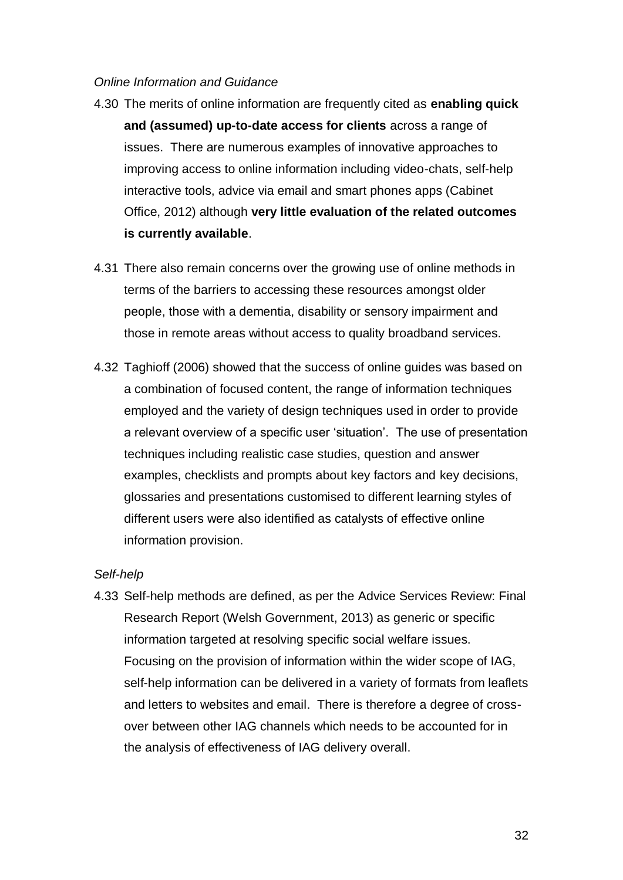#### *Online Information and Guidance*

- 4.30 The merits of online information are frequently cited as **enabling quick and (assumed) up-to-date access for clients** across a range of issues. There are numerous examples of innovative approaches to improving access to online information including video-chats, self-help interactive tools, advice via email and smart phones apps (Cabinet Office, 2012) although **very little evaluation of the related outcomes is currently available**.
- 4.31 There also remain concerns over the growing use of online methods in terms of the barriers to accessing these resources amongst older people, those with a dementia, disability or sensory impairment and those in remote areas without access to quality broadband services.
- 4.32 Taghioff (2006) showed that the success of online guides was based on a combination of focused content, the range of information techniques employed and the variety of design techniques used in order to provide a relevant overview of a specific user 'situation'. The use of presentation techniques including realistic case studies, question and answer examples, checklists and prompts about key factors and key decisions, glossaries and presentations customised to different learning styles of different users were also identified as catalysts of effective online information provision.

#### *Self-help*

4.33 Self-help methods are defined, as per the Advice Services Review: Final Research Report (Welsh Government, 2013) as generic or specific information targeted at resolving specific social welfare issues. Focusing on the provision of information within the wider scope of IAG, self-help information can be delivered in a variety of formats from leaflets and letters to websites and email. There is therefore a degree of crossover between other IAG channels which needs to be accounted for in the analysis of effectiveness of IAG delivery overall.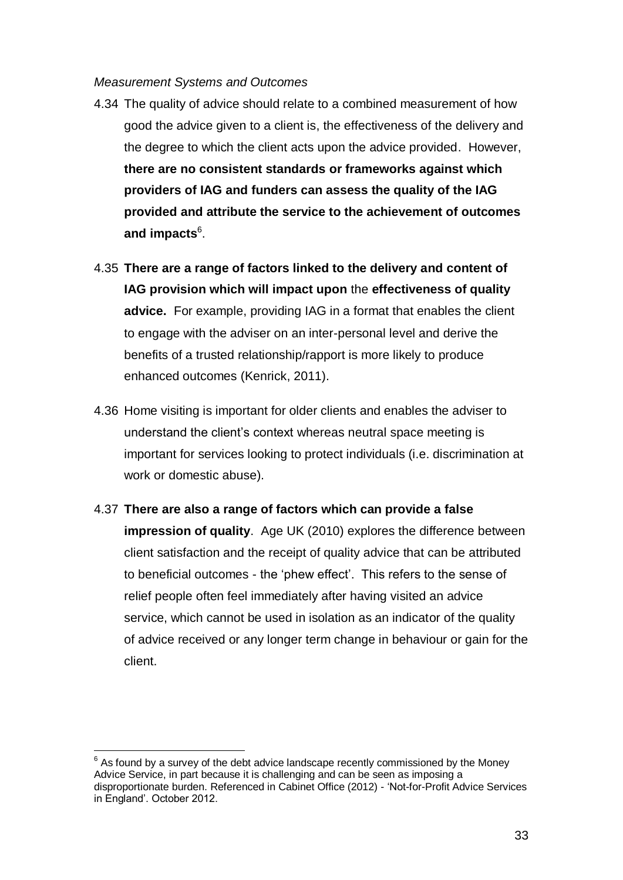#### *Measurement Systems and Outcomes*

- 4.34 The quality of advice should relate to a combined measurement of how good the advice given to a client is, the effectiveness of the delivery and the degree to which the client acts upon the advice provided. However, **there are no consistent standards or frameworks against which providers of IAG and funders can assess the quality of the IAG provided and attribute the service to the achievement of outcomes and impacts**<sup>6</sup> .
- 4.35 **There are a range of factors linked to the delivery and content of IAG provision which will impact upon** the **effectiveness of quality advice.** For example, providing IAG in a format that enables the client to engage with the adviser on an inter-personal level and derive the benefits of a trusted relationship/rapport is more likely to produce enhanced outcomes (Kenrick, 2011).
- 4.36 Home visiting is important for older clients and enables the adviser to understand the client's context whereas neutral space meeting is important for services looking to protect individuals (i.e. discrimination at work or domestic abuse).
- 4.37 **There are also a range of factors which can provide a false impression of quality**. Age UK (2010) explores the difference between client satisfaction and the receipt of quality advice that can be attributed to beneficial outcomes - the 'phew effect'. This refers to the sense of relief people often feel immediately after having visited an advice service, which cannot be used in isolation as an indicator of the quality of advice received or any longer term change in behaviour or gain for the client.

 $\overline{a}$ 

 $6$  As found by a survey of the debt advice landscape recently commissioned by the Money Advice Service, in part because it is challenging and can be seen as imposing a disproportionate burden. Referenced in Cabinet Office (2012) - 'Not-for-Profit Advice Services in England'. October 2012.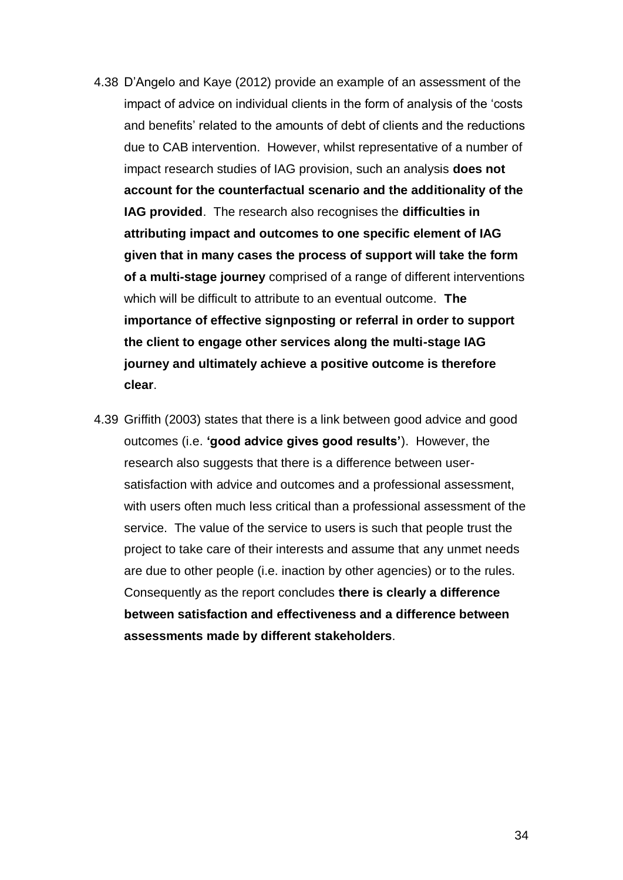- 4.38 D'Angelo and Kaye (2012) provide an example of an assessment of the impact of advice on individual clients in the form of analysis of the 'costs and benefits' related to the amounts of debt of clients and the reductions due to CAB intervention. However, whilst representative of a number of impact research studies of IAG provision, such an analysis **does not account for the counterfactual scenario and the additionality of the IAG provided**. The research also recognises the **difficulties in attributing impact and outcomes to one specific element of IAG given that in many cases the process of support will take the form of a multi-stage journey** comprised of a range of different interventions which will be difficult to attribute to an eventual outcome. **The importance of effective signposting or referral in order to support the client to engage other services along the multi-stage IAG journey and ultimately achieve a positive outcome is therefore clear**.
- 4.39 Griffith (2003) states that there is a link between good advice and good outcomes (i.e. **'good advice gives good results'**). However, the research also suggests that there is a difference between usersatisfaction with advice and outcomes and a professional assessment, with users often much less critical than a professional assessment of the service. The value of the service to users is such that people trust the project to take care of their interests and assume that any unmet needs are due to other people (i.e. inaction by other agencies) or to the rules. Consequently as the report concludes **there is clearly a difference between satisfaction and effectiveness and a difference between assessments made by different stakeholders**.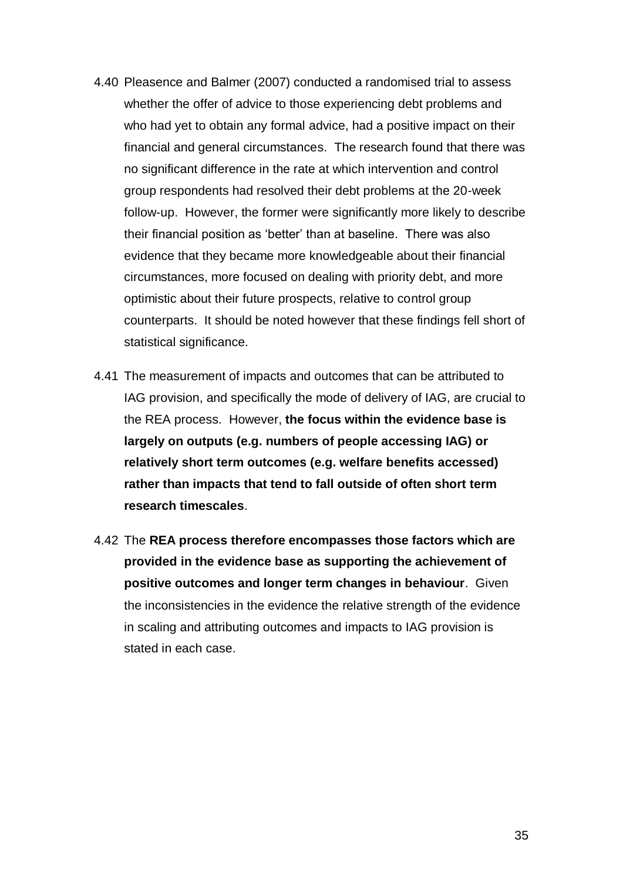- 4.40 Pleasence and Balmer (2007) conducted a randomised trial to assess whether the offer of advice to those experiencing debt problems and who had yet to obtain any formal advice, had a positive impact on their financial and general circumstances. The research found that there was no significant difference in the rate at which intervention and control group respondents had resolved their debt problems at the 20-week follow-up. However, the former were significantly more likely to describe their financial position as 'better' than at baseline. There was also evidence that they became more knowledgeable about their financial circumstances, more focused on dealing with priority debt, and more optimistic about their future prospects, relative to control group counterparts. It should be noted however that these findings fell short of statistical significance.
- 4.41 The measurement of impacts and outcomes that can be attributed to IAG provision, and specifically the mode of delivery of IAG, are crucial to the REA process. However, **the focus within the evidence base is largely on outputs (e.g. numbers of people accessing IAG) or relatively short term outcomes (e.g. welfare benefits accessed) rather than impacts that tend to fall outside of often short term research timescales**.
- 4.42 The **REA process therefore encompasses those factors which are provided in the evidence base as supporting the achievement of positive outcomes and longer term changes in behaviour**. Given the inconsistencies in the evidence the relative strength of the evidence in scaling and attributing outcomes and impacts to IAG provision is stated in each case.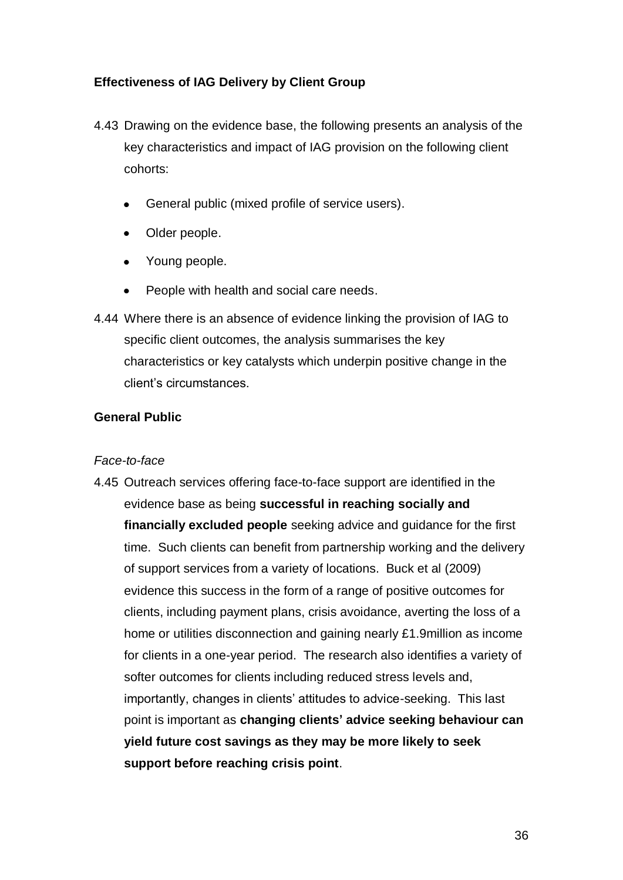## **Effectiveness of IAG Delivery by Client Group**

- 4.43 Drawing on the evidence base, the following presents an analysis of the key characteristics and impact of IAG provision on the following client cohorts:
	- General public (mixed profile of service users).
	- Older people.
	- Young people.
	- $\bullet$ People with health and social care needs.
- 4.44 Where there is an absence of evidence linking the provision of IAG to specific client outcomes, the analysis summarises the key characteristics or key catalysts which underpin positive change in the client's circumstances.

### **General Public**

### *Face-to-face*

4.45 Outreach services offering face-to-face support are identified in the evidence base as being **successful in reaching socially and financially excluded people** seeking advice and guidance for the first time. Such clients can benefit from partnership working and the delivery of support services from a variety of locations. Buck et al (2009) evidence this success in the form of a range of positive outcomes for clients, including payment plans, crisis avoidance, averting the loss of a home or utilities disconnection and gaining nearly £1.9million as income for clients in a one-year period. The research also identifies a variety of softer outcomes for clients including reduced stress levels and, importantly, changes in clients' attitudes to advice-seeking. This last point is important as **changing clients' advice seeking behaviour can yield future cost savings as they may be more likely to seek support before reaching crisis point**.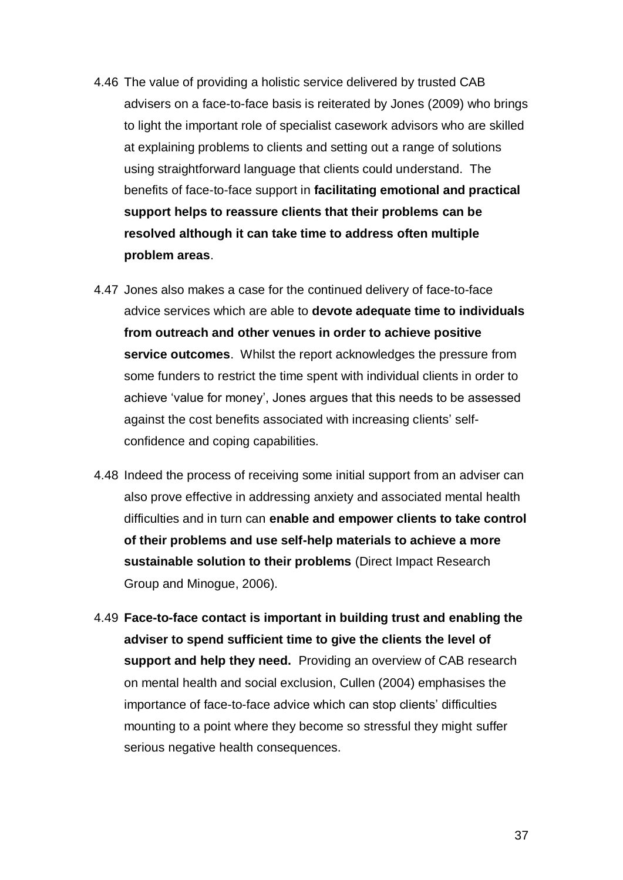- 4.46 The value of providing a holistic service delivered by trusted CAB advisers on a face-to-face basis is reiterated by Jones (2009) who brings to light the important role of specialist casework advisors who are skilled at explaining problems to clients and setting out a range of solutions using straightforward language that clients could understand. The benefits of face-to-face support in **facilitating emotional and practical support helps to reassure clients that their problems can be resolved although it can take time to address often multiple problem areas**.
- 4.47 Jones also makes a case for the continued delivery of face-to-face advice services which are able to **devote adequate time to individuals from outreach and other venues in order to achieve positive service outcomes**. Whilst the report acknowledges the pressure from some funders to restrict the time spent with individual clients in order to achieve 'value for money', Jones argues that this needs to be assessed against the cost benefits associated with increasing clients' selfconfidence and coping capabilities.
- 4.48 Indeed the process of receiving some initial support from an adviser can also prove effective in addressing anxiety and associated mental health difficulties and in turn can **enable and empower clients to take control of their problems and use self-help materials to achieve a more sustainable solution to their problems** (Direct Impact Research Group and Minogue, 2006).
- 4.49 **Face-to-face contact is important in building trust and enabling the adviser to spend sufficient time to give the clients the level of support and help they need.** Providing an overview of CAB research on mental health and social exclusion, Cullen (2004) emphasises the importance of face-to-face advice which can stop clients' difficulties mounting to a point where they become so stressful they might suffer serious negative health consequences.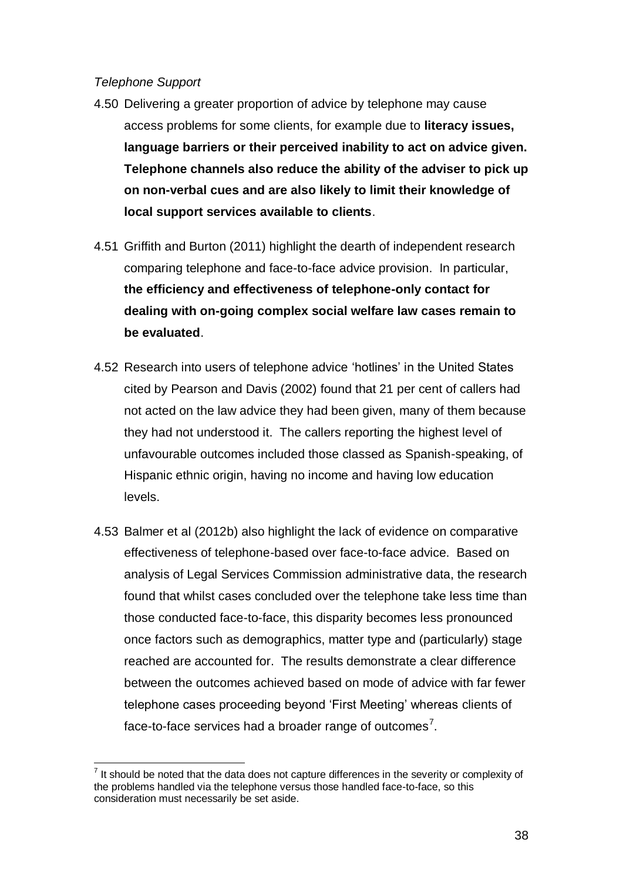#### *Telephone Support*

- 4.50 Delivering a greater proportion of advice by telephone may cause access problems for some clients, for example due to **literacy issues, language barriers or their perceived inability to act on advice given. Telephone channels also reduce the ability of the adviser to pick up on non-verbal cues and are also likely to limit their knowledge of local support services available to clients**.
- 4.51 Griffith and Burton (2011) highlight the dearth of independent research comparing telephone and face-to-face advice provision. In particular, **the efficiency and effectiveness of telephone-only contact for dealing with on-going complex social welfare law cases remain to be evaluated**.
- 4.52 Research into users of telephone advice 'hotlines' in the United States cited by Pearson and Davis (2002) found that 21 per cent of callers had not acted on the law advice they had been given, many of them because they had not understood it. The callers reporting the highest level of unfavourable outcomes included those classed as Spanish-speaking, of Hispanic ethnic origin, having no income and having low education levels.
- 4.53 Balmer et al (2012b) also highlight the lack of evidence on comparative effectiveness of telephone-based over face-to-face advice. Based on analysis of Legal Services Commission administrative data, the research found that whilst cases concluded over the telephone take less time than those conducted face-to-face, this disparity becomes less pronounced once factors such as demographics, matter type and (particularly) stage reached are accounted for. The results demonstrate a clear difference between the outcomes achieved based on mode of advice with far fewer telephone cases proceeding beyond 'First Meeting' whereas clients of face-to-face services had a broader range of outcomes<sup>7</sup>.

 $\overline{a}$  $<sup>7</sup>$  It should be noted that the data does not capture differences in the severity or complexity of</sup> the problems handled via the telephone versus those handled face-to-face, so this consideration must necessarily be set aside.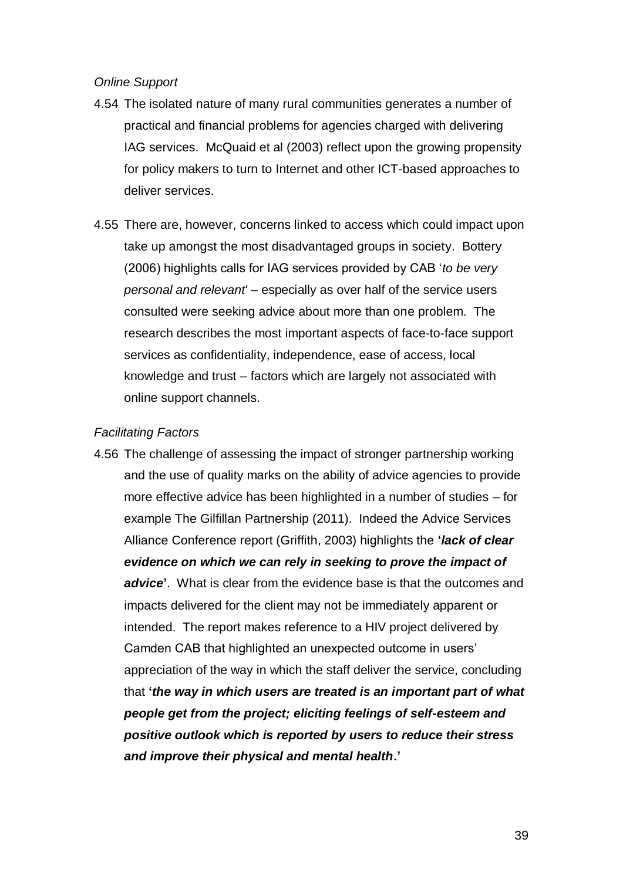#### *Online Support*

- 4.54 The isolated nature of many rural communities generates a number of practical and financial problems for agencies charged with delivering IAG services. McQuaid et al (2003) reflect upon the growing propensity for policy makers to turn to Internet and other ICT-based approaches to deliver services.
- 4.55 There are, however, concerns linked to access which could impact upon take up amongst the most disadvantaged groups in society. Bottery (2006) highlights calls for IAG services provided by CAB '*to be very personal and relevant'* – especially as over half of the service users consulted were seeking advice about more than one problem. The research describes the most important aspects of face-to-face support services as confidentiality, independence, ease of access, local knowledge and trust – factors which are largely not associated with online support channels.

#### *Facilitating Factors*

4.56 The challenge of assessing the impact of stronger partnership working and the use of quality marks on the ability of advice agencies to provide more effective advice has been highlighted in a number of studies – for example The Gilfillan Partnership (2011). Indeed the Advice Services Alliance Conference report (Griffith, 2003) highlights the **'***lack of clear evidence on which we can rely in seeking to prove the impact of advice***'**. What is clear from the evidence base is that the outcomes and impacts delivered for the client may not be immediately apparent or intended. The report makes reference to a HIV project delivered by Camden CAB that highlighted an unexpected outcome in users' appreciation of the way in which the staff deliver the service, concluding that **'***the way in which users are treated is an important part of what people get from the project; eliciting feelings of self-esteem and positive outlook which is reported by users to reduce their stress and improve their physical and mental health***.'**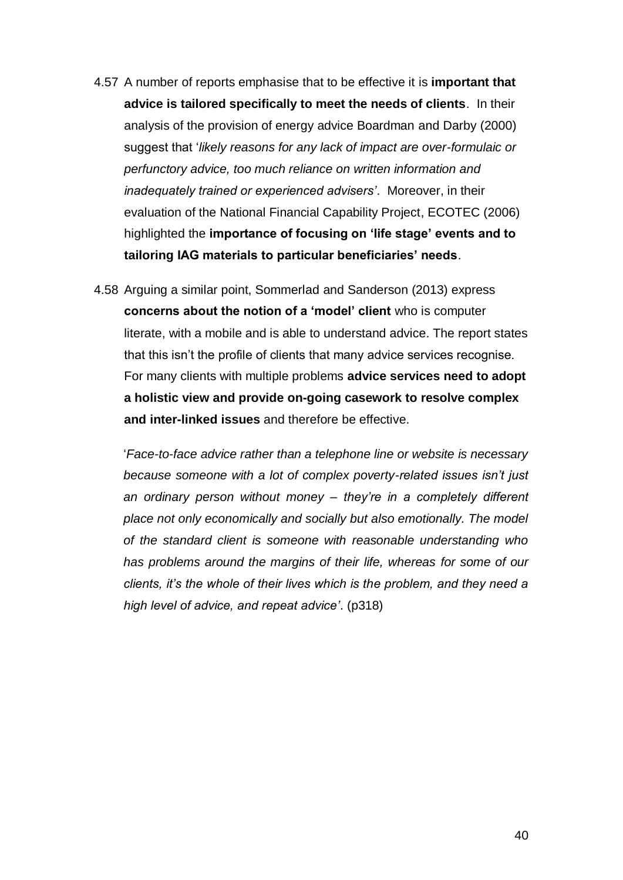- 4.57 A number of reports emphasise that to be effective it is **important that advice is tailored specifically to meet the needs of clients**. In their analysis of the provision of energy advice Boardman and Darby (2000) suggest that '*likely reasons for any lack of impact are over-formulaic or perfunctory advice, too much reliance on written information and inadequately trained or experienced advisers'*. Moreover, in their evaluation of the National Financial Capability Project, ECOTEC (2006) highlighted the **importance of focusing on 'life stage' events and to tailoring IAG materials to particular beneficiaries' needs**.
- 4.58 Arguing a similar point, Sommerlad and Sanderson (2013) express **concerns about the notion of a 'model' client** who is computer literate, with a mobile and is able to understand advice. The report states that this isn't the profile of clients that many advice services recognise. For many clients with multiple problems **advice services need to adopt a holistic view and provide on-going casework to resolve complex and inter-linked issues** and therefore be effective.

'*Face-to-face advice rather than a telephone line or website is necessary because someone with a lot of complex poverty-related issues isn't just an ordinary person without money – they're in a completely different place not only economically and socially but also emotionally. The model of the standard client is someone with reasonable understanding who has problems around the margins of their life, whereas for some of our clients, it's the whole of their lives which is the problem, and they need a high level of advice, and repeat advice'*. (p318)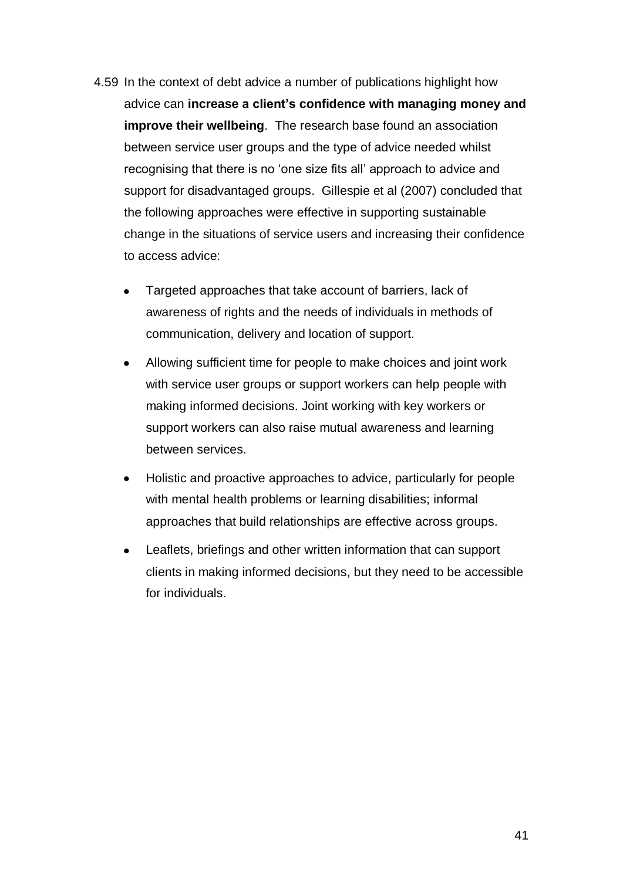- 4.59 In the context of debt advice a number of publications highlight how advice can **increase a client's confidence with managing money and improve their wellbeing**. The research base found an association between service user groups and the type of advice needed whilst recognising that there is no 'one size fits all' approach to advice and support for disadvantaged groups. Gillespie et al (2007) concluded that the following approaches were effective in supporting sustainable change in the situations of service users and increasing their confidence to access advice:
	- Targeted approaches that take account of barriers, lack of awareness of rights and the needs of individuals in methods of communication, delivery and location of support.
	- Allowing sufficient time for people to make choices and joint work with service user groups or support workers can help people with making informed decisions. Joint working with key workers or support workers can also raise mutual awareness and learning between services.
	- Holistic and proactive approaches to advice, particularly for people  $\bullet$ with mental health problems or learning disabilities; informal approaches that build relationships are effective across groups.
	- Leaflets, briefings and other written information that can support clients in making informed decisions, but they need to be accessible for individuals.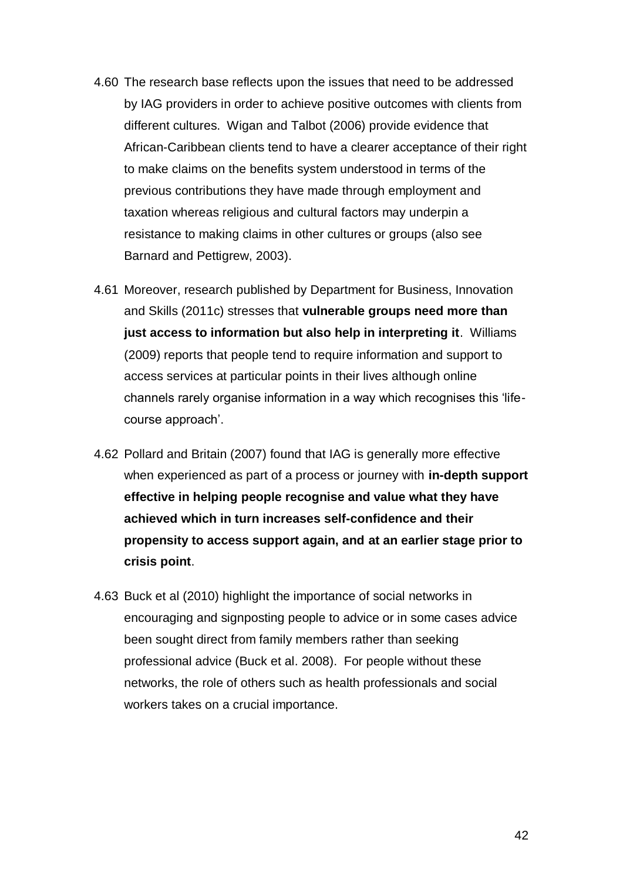- 4.60 The research base reflects upon the issues that need to be addressed by IAG providers in order to achieve positive outcomes with clients from different cultures. Wigan and Talbot (2006) provide evidence that African-Caribbean clients tend to have a clearer acceptance of their right to make claims on the benefits system understood in terms of the previous contributions they have made through employment and taxation whereas religious and cultural factors may underpin a resistance to making claims in other cultures or groups (also see Barnard and Pettigrew, 2003).
- 4.61 Moreover, research published by Department for Business, Innovation and Skills (2011c) stresses that **vulnerable groups need more than just access to information but also help in interpreting it**. Williams (2009) reports that people tend to require information and support to access services at particular points in their lives although online channels rarely organise information in a way which recognises this 'lifecourse approach'.
- 4.62 Pollard and Britain (2007) found that IAG is generally more effective when experienced as part of a process or journey with **in-depth support effective in helping people recognise and value what they have achieved which in turn increases self-confidence and their propensity to access support again, and at an earlier stage prior to crisis point**.
- 4.63 Buck et al (2010) highlight the importance of social networks in encouraging and signposting people to advice or in some cases advice been sought direct from family members rather than seeking professional advice (Buck et al. 2008). For people without these networks, the role of others such as health professionals and social workers takes on a crucial importance.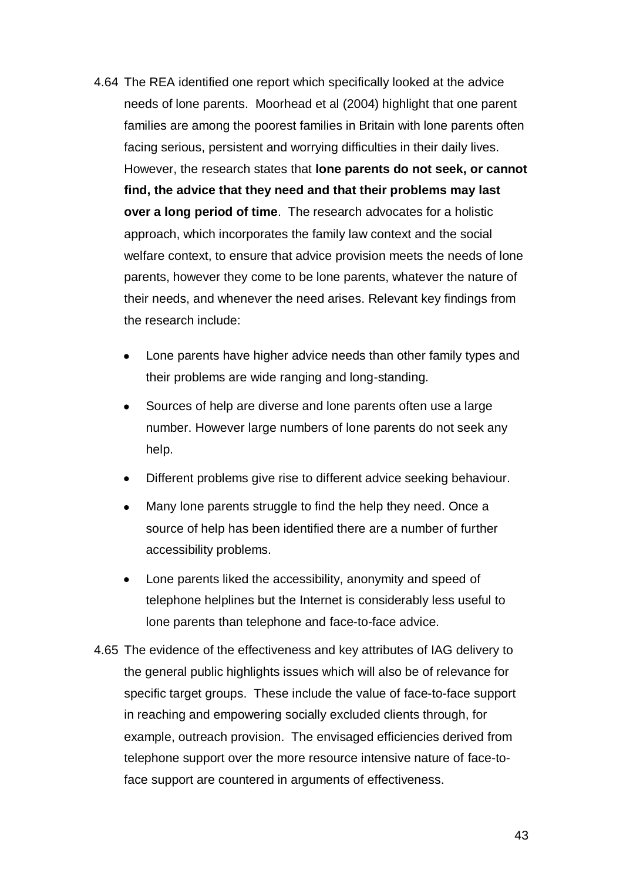- 4.64 The REA identified one report which specifically looked at the advice needs of lone parents. Moorhead et al (2004) highlight that one parent families are among the poorest families in Britain with lone parents often facing serious, persistent and worrying difficulties in their daily lives. However, the research states that **lone parents do not seek, or cannot find, the advice that they need and that their problems may last over a long period of time**. The research advocates for a holistic approach, which incorporates the family law context and the social welfare context, to ensure that advice provision meets the needs of lone parents, however they come to be lone parents, whatever the nature of their needs, and whenever the need arises. Relevant key findings from the research include:
	- Lone parents have higher advice needs than other family types and their problems are wide ranging and long-standing.
	- Sources of help are diverse and lone parents often use a large number. However large numbers of lone parents do not seek any help.
	- Different problems give rise to different advice seeking behaviour.  $\bullet$
	- Many lone parents struggle to find the help they need. Once a source of help has been identified there are a number of further accessibility problems.
	- Lone parents liked the accessibility, anonymity and speed of telephone helplines but the Internet is considerably less useful to lone parents than telephone and face-to-face advice.
- 4.65 The evidence of the effectiveness and key attributes of IAG delivery to the general public highlights issues which will also be of relevance for specific target groups. These include the value of face-to-face support in reaching and empowering socially excluded clients through, for example, outreach provision. The envisaged efficiencies derived from telephone support over the more resource intensive nature of face-toface support are countered in arguments of effectiveness.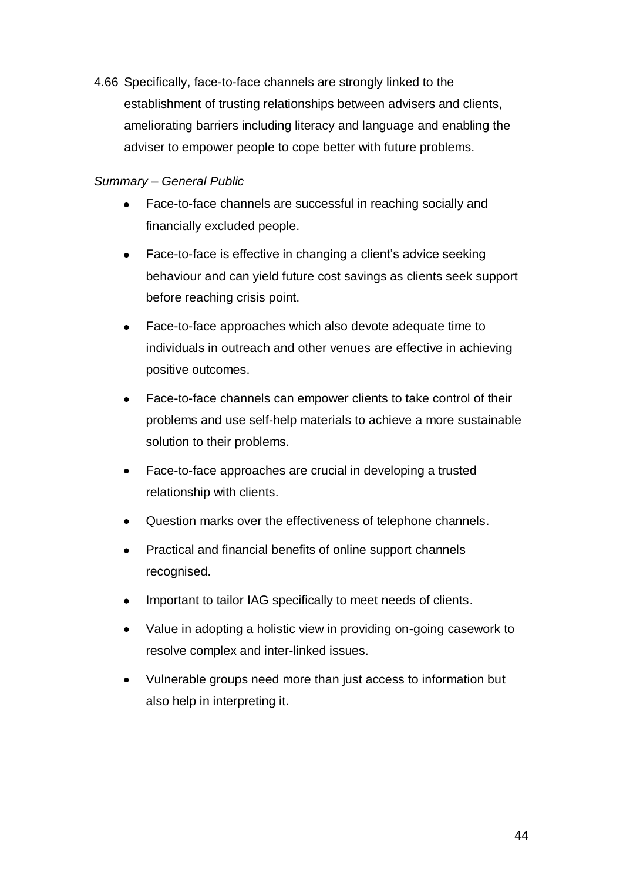4.66 Specifically, face-to-face channels are strongly linked to the establishment of trusting relationships between advisers and clients, ameliorating barriers including literacy and language and enabling the adviser to empower people to cope better with future problems.

## *Summary – General Public*

- Face-to-face channels are successful in reaching socially and  $\bullet$ financially excluded people.
- Face-to-face is effective in changing a client's advice seeking  $\bullet$ behaviour and can yield future cost savings as clients seek support before reaching crisis point.
- Face-to-face approaches which also devote adequate time to  $\bullet$ individuals in outreach and other venues are effective in achieving positive outcomes.
- $\bullet$ Face-to-face channels can empower clients to take control of their problems and use self-help materials to achieve a more sustainable solution to their problems.
- Face-to-face approaches are crucial in developing a trusted  $\bullet$ relationship with clients.
- Question marks over the effectiveness of telephone channels.  $\bullet$
- Practical and financial benefits of online support channels  $\bullet$ recognised.
- Important to tailor IAG specifically to meet needs of clients.
- Value in adopting a holistic view in providing on-going casework to  $\bullet$ resolve complex and inter-linked issues.
- Vulnerable groups need more than just access to information but  $\bullet$ also help in interpreting it.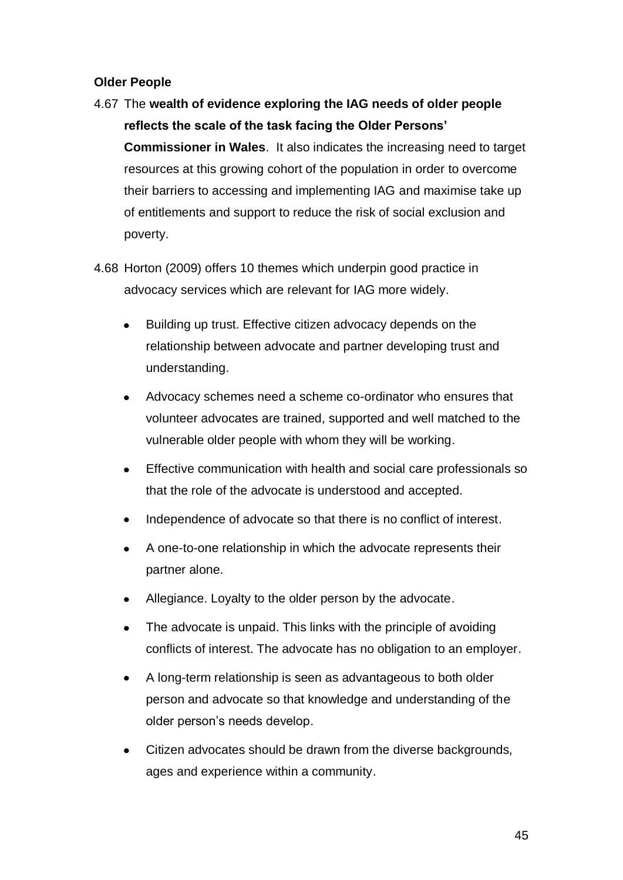## **Older People**

- 4.67 The **wealth of evidence exploring the IAG needs of older people reflects the scale of the task facing the Older Persons' Commissioner in Wales**. It also indicates the increasing need to target resources at this growing cohort of the population in order to overcome their barriers to accessing and implementing IAG and maximise take up of entitlements and support to reduce the risk of social exclusion and poverty.
- 4.68 Horton (2009) offers 10 themes which underpin good practice in advocacy services which are relevant for IAG more widely.
	- Building up trust. Effective citizen advocacy depends on the relationship between advocate and partner developing trust and understanding.
	- Advocacy schemes need a scheme co-ordinator who ensures that  $\bullet$ volunteer advocates are trained, supported and well matched to the vulnerable older people with whom they will be working.
	- Effective communication with health and social care professionals so  $\bullet$ that the role of the advocate is understood and accepted.
	- Independence of advocate so that there is no conflict of interest.
	- A one-to-one relationship in which the advocate represents their partner alone.
	- Allegiance. Loyalty to the older person by the advocate.  $\bullet$
	- The advocate is unpaid. This links with the principle of avoiding  $\bullet$ conflicts of interest. The advocate has no obligation to an employer.
	- A long-term relationship is seen as advantageous to both older  $\bullet$ person and advocate so that knowledge and understanding of the older person's needs develop.
	- Citizen advocates should be drawn from the diverse backgrounds, ages and experience within a community.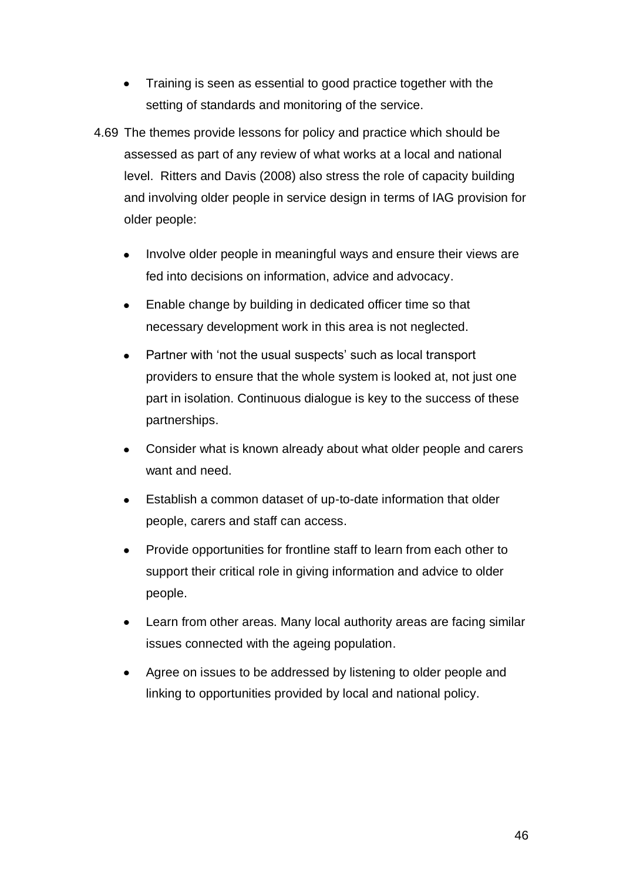- Training is seen as essential to good practice together with the setting of standards and monitoring of the service.
- 4.69 The themes provide lessons for policy and practice which should be assessed as part of any review of what works at a local and national level. Ritters and Davis (2008) also stress the role of capacity building and involving older people in service design in terms of IAG provision for older people:
	- Involve older people in meaningful ways and ensure their views are fed into decisions on information, advice and advocacy.
	- Enable change by building in dedicated officer time so that  $\bullet$ necessary development work in this area is not neglected.
	- Partner with 'not the usual suspects' such as local transport providers to ensure that the whole system is looked at, not just one part in isolation. Continuous dialogue is key to the success of these partnerships.
	- Consider what is known already about what older people and carers want and need.
	- Establish a common dataset of up-to-date information that older  $\bullet$ people, carers and staff can access.
	- Provide opportunities for frontline staff to learn from each other to  $\bullet$ support their critical role in giving information and advice to older people.
	- Learn from other areas. Many local authority areas are facing similar  $\bullet$ issues connected with the ageing population.
	- Agree on issues to be addressed by listening to older people and linking to opportunities provided by local and national policy.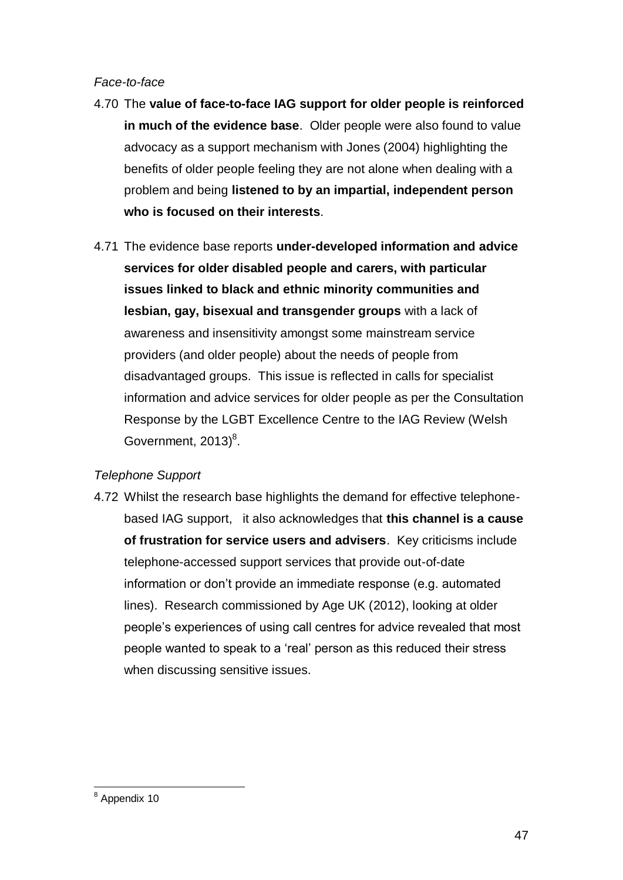## *Face-to-face*

- 4.70 The **value of face-to-face IAG support for older people is reinforced in much of the evidence base**. Older people were also found to value advocacy as a support mechanism with Jones (2004) highlighting the benefits of older people feeling they are not alone when dealing with a problem and being **listened to by an impartial, independent person who is focused on their interests**.
- 4.71 The evidence base reports **under-developed information and advice services for older disabled people and carers, with particular issues linked to black and ethnic minority communities and lesbian, gay, bisexual and transgender groups** with a lack of awareness and insensitivity amongst some mainstream service providers (and older people) about the needs of people from disadvantaged groups. This issue is reflected in calls for specialist information and advice services for older people as per the Consultation Response by the LGBT Excellence Centre to the IAG Review (Welsh Government,  $2013)^8$ .

# *Telephone Support*

4.72 Whilst the research base highlights the demand for effective telephonebased IAG support, it also acknowledges that **this channel is a cause of frustration for service users and advisers**. Key criticisms include telephone-accessed support services that provide out-of-date information or don't provide an immediate response (e.g. automated lines). Research commissioned by Age UK (2012), looking at older people's experiences of using call centres for advice revealed that most people wanted to speak to a 'real' person as this reduced their stress when discussing sensitive issues.

 $\overline{a}$ <sup>8</sup> Appendix 10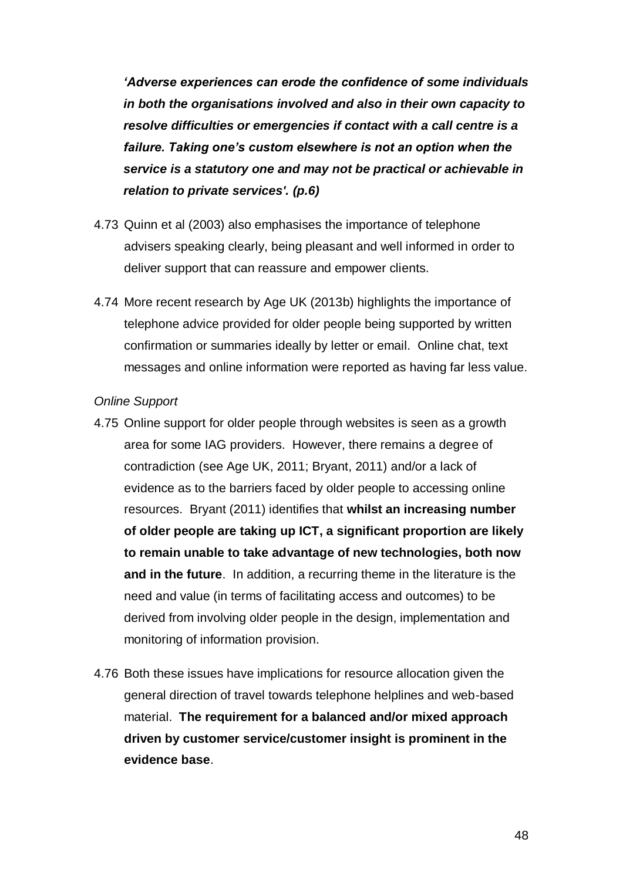*'Adverse experiences can erode the confidence of some individuals in both the organisations involved and also in their own capacity to resolve difficulties or emergencies if contact with a call centre is a failure. Taking one's custom elsewhere is not an option when the service is a statutory one and may not be practical or achievable in relation to private services'. (p.6)*

- 4.73 Quinn et al (2003) also emphasises the importance of telephone advisers speaking clearly, being pleasant and well informed in order to deliver support that can reassure and empower clients.
- 4.74 More recent research by Age UK (2013b) highlights the importance of telephone advice provided for older people being supported by written confirmation or summaries ideally by letter or email. Online chat, text messages and online information were reported as having far less value.

### *Online Support*

- 4.75 Online support for older people through websites is seen as a growth area for some IAG providers. However, there remains a degree of contradiction (see Age UK, 2011; Bryant, 2011) and/or a lack of evidence as to the barriers faced by older people to accessing online resources. Bryant (2011) identifies that **whilst an increasing number of older people are taking up ICT, a significant proportion are likely to remain unable to take advantage of new technologies, both now and in the future**. In addition, a recurring theme in the literature is the need and value (in terms of facilitating access and outcomes) to be derived from involving older people in the design, implementation and monitoring of information provision.
- 4.76 Both these issues have implications for resource allocation given the general direction of travel towards telephone helplines and web-based material. **The requirement for a balanced and/or mixed approach driven by customer service/customer insight is prominent in the evidence base**.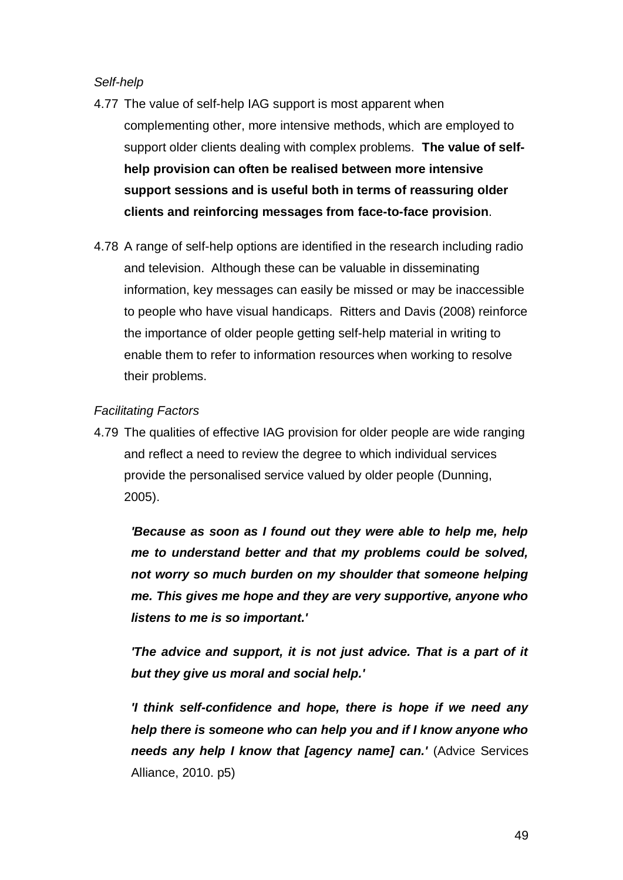## *Self-help*

- 4.77 The value of self-help IAG support is most apparent when complementing other, more intensive methods, which are employed to support older clients dealing with complex problems. **The value of selfhelp provision can often be realised between more intensive support sessions and is useful both in terms of reassuring older clients and reinforcing messages from face-to-face provision**.
- 4.78 A range of self-help options are identified in the research including radio and television. Although these can be valuable in disseminating information, key messages can easily be missed or may be inaccessible to people who have visual handicaps. Ritters and Davis (2008) reinforce the importance of older people getting self-help material in writing to enable them to refer to information resources when working to resolve their problems.

## *Facilitating Factors*

4.79 The qualities of effective IAG provision for older people are wide ranging and reflect a need to review the degree to which individual services provide the personalised service valued by older people (Dunning, 2005).

*'Because as soon as I found out they were able to help me, help me to understand better and that my problems could be solved, not worry so much burden on my shoulder that someone helping me. This gives me hope and they are very supportive, anyone who listens to me is so important.'*

*'The advice and support, it is not just advice. That is a part of it but they give us moral and social help.'* 

*'I think self-confidence and hope, there is hope if we need any help there is someone who can help you and if I know anyone who needs any help I know that [agency name] can.'* (Advice Services Alliance, 2010. p5)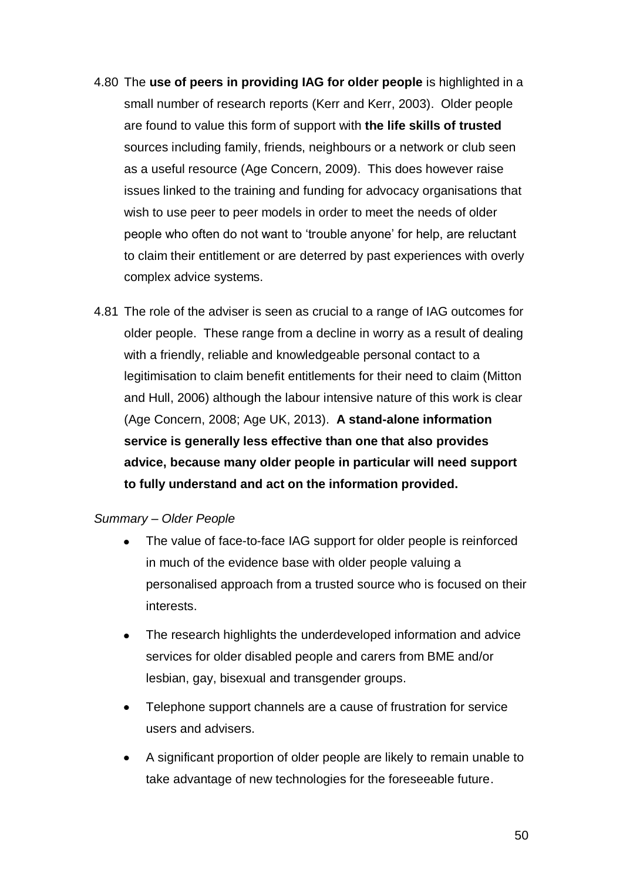- 4.80 The **use of peers in providing IAG for older people** is highlighted in a small number of research reports (Kerr and Kerr, 2003). Older people are found to value this form of support with **the life skills of trusted**  sources including family, friends, neighbours or a network or club seen as a useful resource (Age Concern, 2009). This does however raise issues linked to the training and funding for advocacy organisations that wish to use peer to peer models in order to meet the needs of older people who often do not want to 'trouble anyone' for help, are reluctant to claim their entitlement or are deterred by past experiences with overly complex advice systems.
- 4.81 The role of the adviser is seen as crucial to a range of IAG outcomes for older people. These range from a decline in worry as a result of dealing with a friendly, reliable and knowledgeable personal contact to a legitimisation to claim benefit entitlements for their need to claim (Mitton and Hull, 2006) although the labour intensive nature of this work is clear (Age Concern, 2008; Age UK, 2013). **A stand-alone information service is generally less effective than one that also provides advice, because many older people in particular will need support to fully understand and act on the information provided.**

### *Summary – Older People*

- The value of face-to-face IAG support for older people is reinforced in much of the evidence base with older people valuing a personalised approach from a trusted source who is focused on their interests.
- The research highlights the underdeveloped information and advice services for older disabled people and carers from BME and/or lesbian, gay, bisexual and transgender groups.
- Telephone support channels are a cause of frustration for service users and advisers.
- A significant proportion of older people are likely to remain unable to  $\bullet$ take advantage of new technologies for the foreseeable future.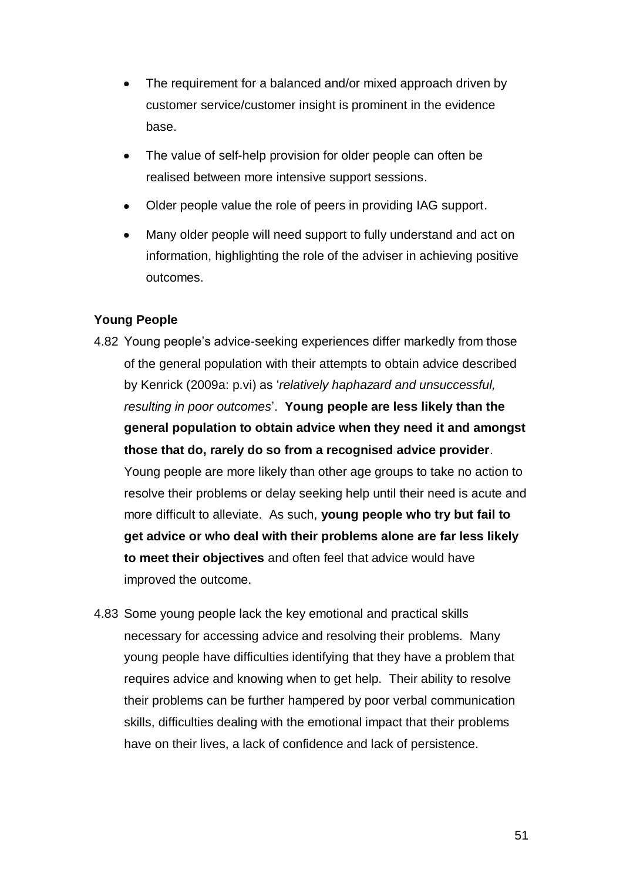- The requirement for a balanced and/or mixed approach driven by customer service/customer insight is prominent in the evidence base.
- The value of self-help provision for older people can often be realised between more intensive support sessions.
- Older people value the role of peers in providing IAG support.
- Many older people will need support to fully understand and act on  $\bullet$ information, highlighting the role of the adviser in achieving positive outcomes.

## **Young People**

- 4.82 Young people's advice-seeking experiences differ markedly from those of the general population with their attempts to obtain advice described by Kenrick (2009a: p.vi) as '*relatively haphazard and unsuccessful, resulting in poor outcomes*'. **Young people are less likely than the general population to obtain advice when they need it and amongst those that do, rarely do so from a recognised advice provider**. Young people are more likely than other age groups to take no action to resolve their problems or delay seeking help until their need is acute and more difficult to alleviate. As such, **young people who try but fail to get advice or who deal with their problems alone are far less likely to meet their objectives** and often feel that advice would have improved the outcome.
- 4.83 Some young people lack the key emotional and practical skills necessary for accessing advice and resolving their problems. Many young people have difficulties identifying that they have a problem that requires advice and knowing when to get help. Their ability to resolve their problems can be further hampered by poor verbal communication skills, difficulties dealing with the emotional impact that their problems have on their lives, a lack of confidence and lack of persistence.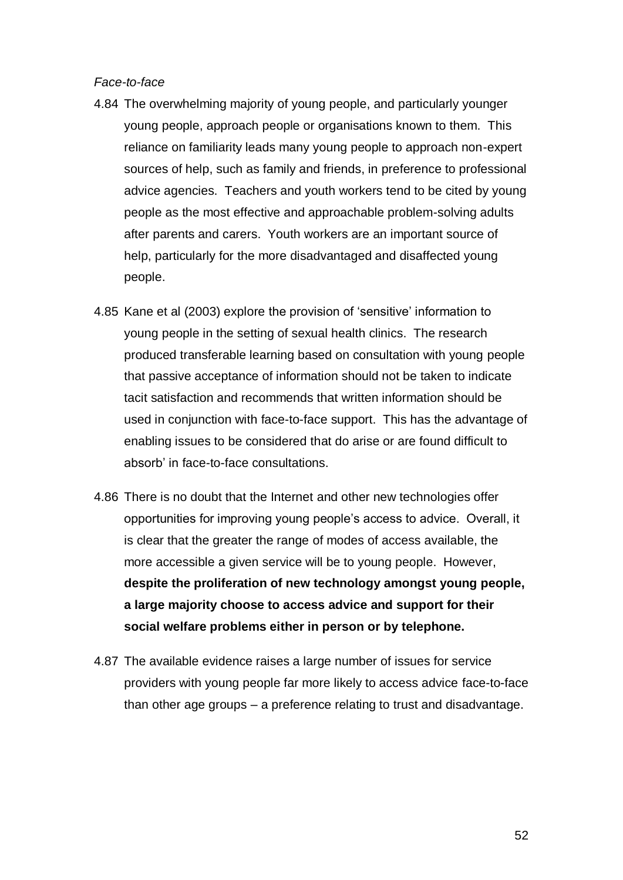#### *Face-to-face*

- 4.84 The overwhelming majority of young people, and particularly younger young people, approach people or organisations known to them. This reliance on familiarity leads many young people to approach non-expert sources of help, such as family and friends, in preference to professional advice agencies. Teachers and youth workers tend to be cited by young people as the most effective and approachable problem-solving adults after parents and carers. Youth workers are an important source of help, particularly for the more disadvantaged and disaffected young people.
- 4.85 Kane et al (2003) explore the provision of 'sensitive' information to young people in the setting of sexual health clinics. The research produced transferable learning based on consultation with young people that passive acceptance of information should not be taken to indicate tacit satisfaction and recommends that written information should be used in conjunction with face-to-face support. This has the advantage of enabling issues to be considered that do arise or are found difficult to absorb' in face-to-face consultations.
- 4.86 There is no doubt that the Internet and other new technologies offer opportunities for improving young people's access to advice. Overall, it is clear that the greater the range of modes of access available, the more accessible a given service will be to young people. However, **despite the proliferation of new technology amongst young people, a large majority choose to access advice and support for their social welfare problems either in person or by telephone.**
- 4.87 The available evidence raises a large number of issues for service providers with young people far more likely to access advice face-to-face than other age groups – a preference relating to trust and disadvantage.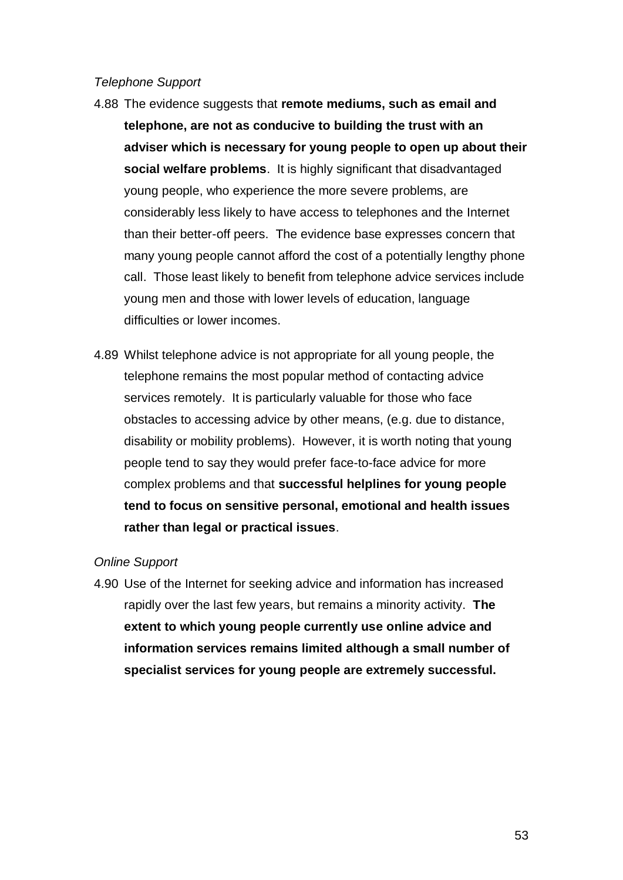#### *Telephone Support*

- 4.88 The evidence suggests that **remote mediums, such as email and telephone, are not as conducive to building the trust with an adviser which is necessary for young people to open up about their social welfare problems**. It is highly significant that disadvantaged young people, who experience the more severe problems, are considerably less likely to have access to telephones and the Internet than their better-off peers. The evidence base expresses concern that many young people cannot afford the cost of a potentially lengthy phone call. Those least likely to benefit from telephone advice services include young men and those with lower levels of education, language difficulties or lower incomes.
- 4.89 Whilst telephone advice is not appropriate for all young people, the telephone remains the most popular method of contacting advice services remotely. It is particularly valuable for those who face obstacles to accessing advice by other means, (e.g. due to distance, disability or mobility problems). However, it is worth noting that young people tend to say they would prefer face-to-face advice for more complex problems and that **successful helplines for young people tend to focus on sensitive personal, emotional and health issues rather than legal or practical issues**.

### *Online Support*

4.90 Use of the Internet for seeking advice and information has increased rapidly over the last few years, but remains a minority activity. **The extent to which young people currently use online advice and information services remains limited although a small number of specialist services for young people are extremely successful.**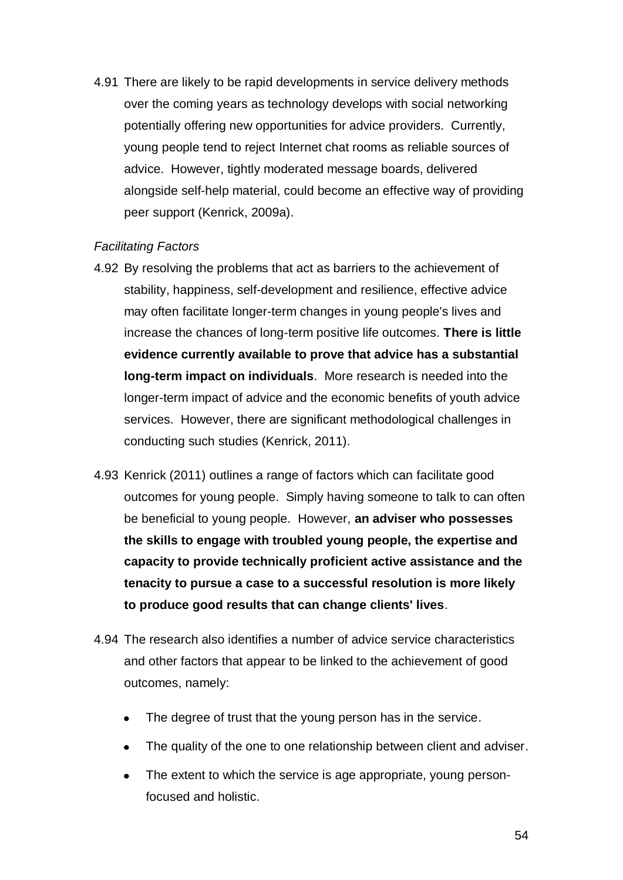4.91 There are likely to be rapid developments in service delivery methods over the coming years as technology develops with social networking potentially offering new opportunities for advice providers. Currently, young people tend to reject Internet chat rooms as reliable sources of advice. However, tightly moderated message boards, delivered alongside self-help material, could become an effective way of providing peer support (Kenrick, 2009a).

### *Facilitating Factors*

- 4.92 By resolving the problems that act as barriers to the achievement of stability, happiness, self-development and resilience, effective advice may often facilitate longer-term changes in young people's lives and increase the chances of long-term positive life outcomes. **There is little evidence currently available to prove that advice has a substantial long-term impact on individuals**. More research is needed into the longer-term impact of advice and the economic benefits of youth advice services. However, there are significant methodological challenges in conducting such studies (Kenrick, 2011).
- 4.93 Kenrick (2011) outlines a range of factors which can facilitate good outcomes for young people. Simply having someone to talk to can often be beneficial to young people. However, **an adviser who possesses the skills to engage with troubled young people, the expertise and capacity to provide technically proficient active assistance and the tenacity to pursue a case to a successful resolution is more likely to produce good results that can change clients' lives**.
- 4.94 The research also identifies a number of advice service characteristics and other factors that appear to be linked to the achievement of good outcomes, namely:
	- The degree of trust that the young person has in the service.
	- The quality of the one to one relationship between client and adviser.
	- The extent to which the service is age appropriate, young personfocused and holistic.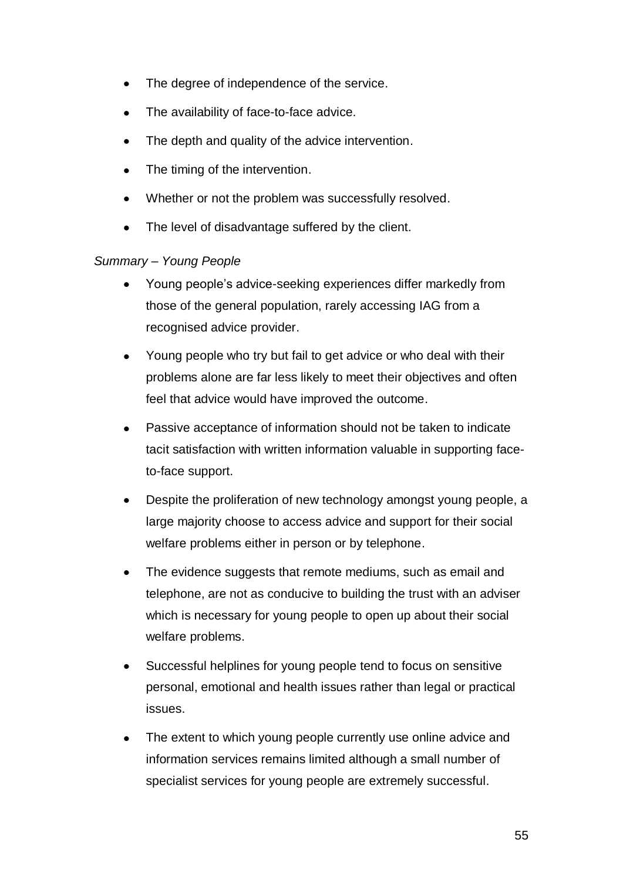- The degree of independence of the service.
- The availability of face-to-face advice.
- The depth and quality of the advice intervention.  $\bullet$
- The timing of the intervention.  $\bullet$
- Whether or not the problem was successfully resolved.  $\bullet$
- The level of disadvantage suffered by the client.

## *Summary – Young People*

- Young people's advice-seeking experiences differ markedly from those of the general population, rarely accessing IAG from a recognised advice provider.
- Young people who try but fail to get advice or who deal with their problems alone are far less likely to meet their objectives and often feel that advice would have improved the outcome.
- Passive acceptance of information should not be taken to indicate tacit satisfaction with written information valuable in supporting faceto-face support.
- Despite the proliferation of new technology amongst young people, a  $\bullet$ large majority choose to access advice and support for their social welfare problems either in person or by telephone.
- The evidence suggests that remote mediums, such as email and  $\bullet$ telephone, are not as conducive to building the trust with an adviser which is necessary for young people to open up about their social welfare problems.
- Successful helplines for young people tend to focus on sensitive  $\bullet$ personal, emotional and health issues rather than legal or practical issues.
- The extent to which young people currently use online advice and information services remains limited although a small number of specialist services for young people are extremely successful.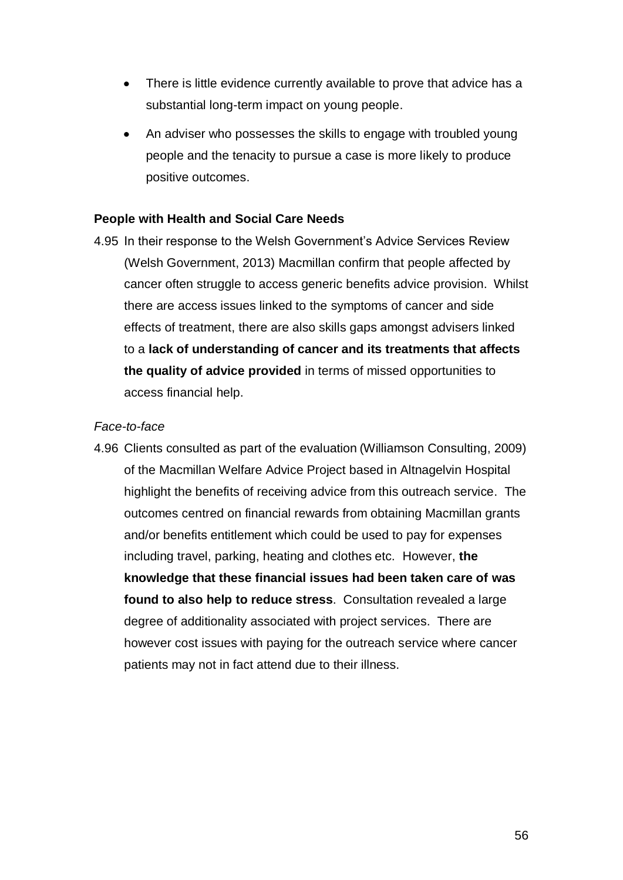- There is little evidence currently available to prove that advice has a substantial long-term impact on young people.
- An adviser who possesses the skills to engage with troubled young people and the tenacity to pursue a case is more likely to produce positive outcomes.

## **People with Health and Social Care Needs**

4.95 In their response to the Welsh Government's Advice Services Review (Welsh Government, 2013) Macmillan confirm that people affected by cancer often struggle to access generic benefits advice provision. Whilst there are access issues linked to the symptoms of cancer and side effects of treatment, there are also skills gaps amongst advisers linked to a **lack of understanding of cancer and its treatments that affects the quality of advice provided** in terms of missed opportunities to access financial help.

#### *Face-to-face*

4.96 Clients consulted as part of the evaluation (Williamson Consulting, 2009) of the Macmillan Welfare Advice Project based in Altnagelvin Hospital highlight the benefits of receiving advice from this outreach service. The outcomes centred on financial rewards from obtaining Macmillan grants and/or benefits entitlement which could be used to pay for expenses including travel, parking, heating and clothes etc. However, **the knowledge that these financial issues had been taken care of was found to also help to reduce stress**. Consultation revealed a large degree of additionality associated with project services. There are however cost issues with paying for the outreach service where cancer patients may not in fact attend due to their illness.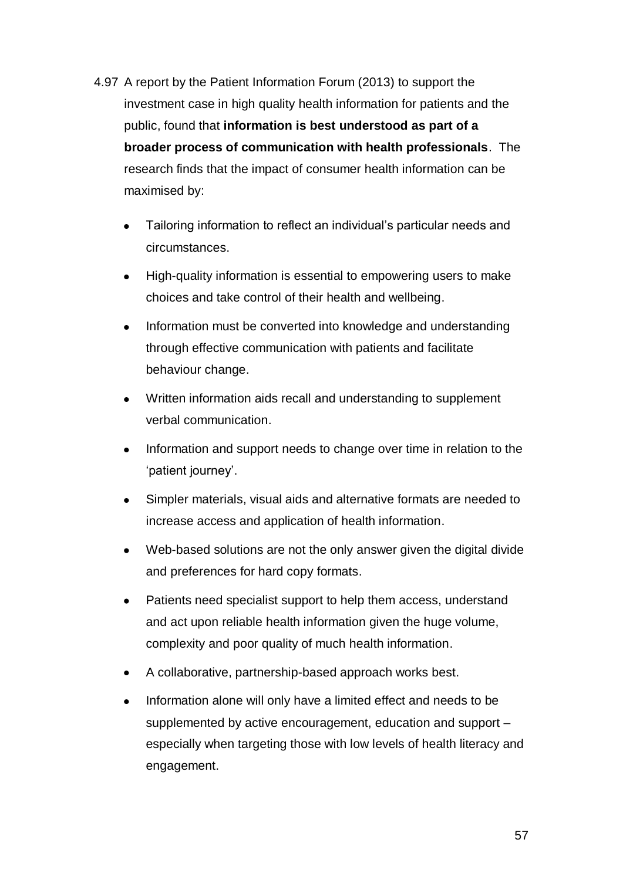- 4.97 A report by the Patient Information Forum (2013) to support the investment case in high quality health information for patients and the public, found that **information is best understood as part of a broader process of communication with health professionals**. The research finds that the impact of consumer health information can be maximised by:
	- Tailoring information to reflect an individual's particular needs and circumstances.
	- High-quality information is essential to empowering users to make  $\bullet$ choices and take control of their health and wellbeing.
	- Information must be converted into knowledge and understanding  $\bullet$ through effective communication with patients and facilitate behaviour change.
	- $\bullet$ Written information aids recall and understanding to supplement verbal communication.
	- Information and support needs to change over time in relation to the 'patient journey'.
	- Simpler materials, visual aids and alternative formats are needed to  $\bullet$ increase access and application of health information.
	- Web-based solutions are not the only answer given the digital divide  $\bullet$ and preferences for hard copy formats.
	- Patients need specialist support to help them access, understand and act upon reliable health information given the huge volume, complexity and poor quality of much health information.
	- A collaborative, partnership-based approach works best.
	- Information alone will only have a limited effect and needs to be supplemented by active encouragement, education and support – especially when targeting those with low levels of health literacy and engagement.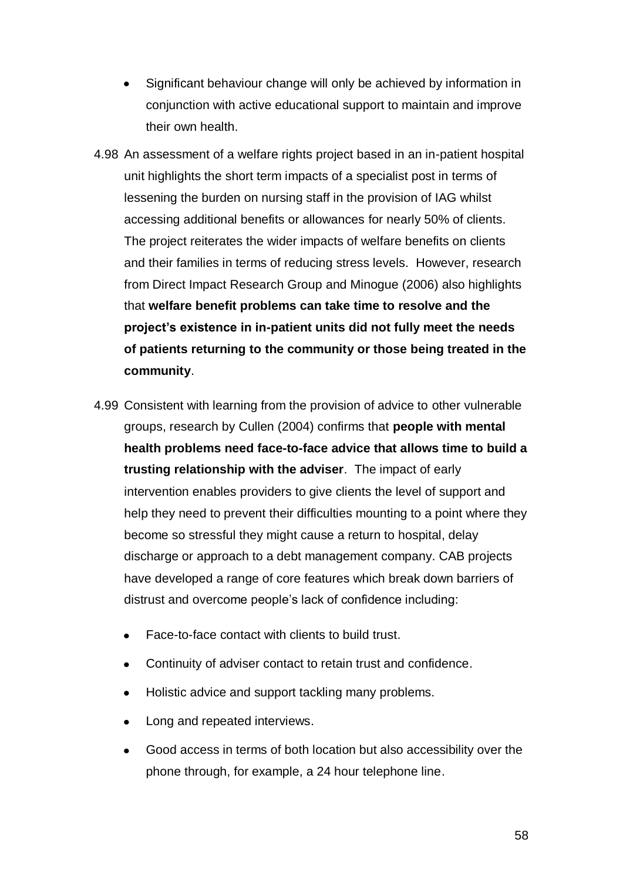- Significant behaviour change will only be achieved by information in conjunction with active educational support to maintain and improve their own health.
- 4.98 An assessment of a welfare rights project based in an in-patient hospital unit highlights the short term impacts of a specialist post in terms of lessening the burden on nursing staff in the provision of IAG whilst accessing additional benefits or allowances for nearly 50% of clients. The project reiterates the wider impacts of welfare benefits on clients and their families in terms of reducing stress levels. However, research from Direct Impact Research Group and Minogue (2006) also highlights that **welfare benefit problems can take time to resolve and the project's existence in in-patient units did not fully meet the needs of patients returning to the community or those being treated in the community**.
- 4.99 Consistent with learning from the provision of advice to other vulnerable groups, research by Cullen (2004) confirms that **people with mental health problems need face-to-face advice that allows time to build a trusting relationship with the adviser**. The impact of early intervention enables providers to give clients the level of support and help they need to prevent their difficulties mounting to a point where they become so stressful they might cause a return to hospital, delay discharge or approach to a debt management company. CAB projects have developed a range of core features which break down barriers of distrust and overcome people's lack of confidence including:
	- Face-to-face contact with clients to build trust.
	- Continuity of adviser contact to retain trust and confidence.  $\bullet$
	- Holistic advice and support tackling many problems.  $\bullet$
	- Long and repeated interviews.  $\bullet$
	- $\bullet$ Good access in terms of both location but also accessibility over the phone through, for example, a 24 hour telephone line.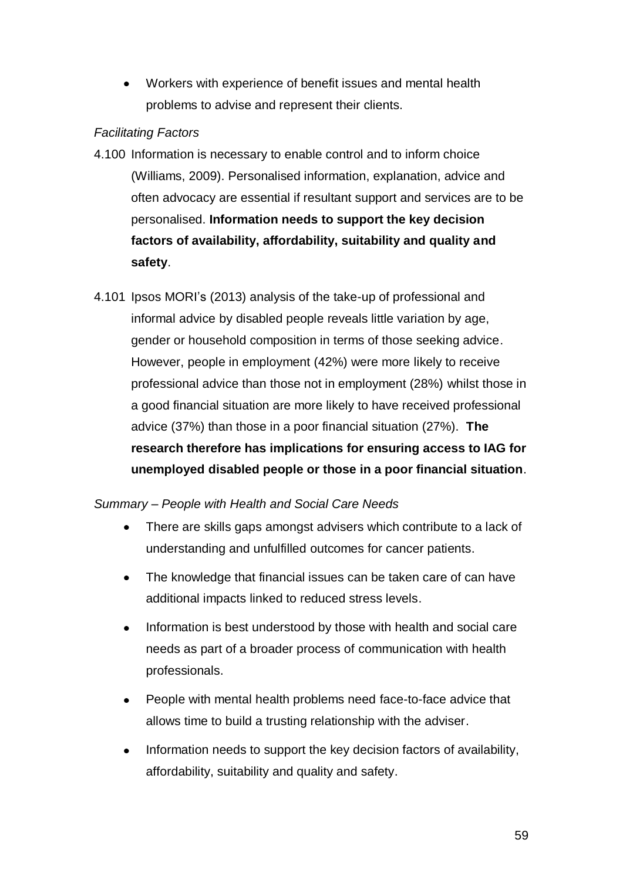Workers with experience of benefit issues and mental health problems to advise and represent their clients.

# *Facilitating Factors*

- 4.100 Information is necessary to enable control and to inform choice (Williams, 2009). Personalised information, explanation, advice and often advocacy are essential if resultant support and services are to be personalised. **Information needs to support the key decision factors of availability, affordability, suitability and quality and safety**.
- 4.101 Ipsos MORI's (2013) analysis of the take-up of professional and informal advice by disabled people reveals little variation by age, gender or household composition in terms of those seeking advice. However, people in employment (42%) were more likely to receive professional advice than those not in employment (28%) whilst those in a good financial situation are more likely to have received professional advice (37%) than those in a poor financial situation (27%). **The research therefore has implications for ensuring access to IAG for unemployed disabled people or those in a poor financial situation**.

# *Summary – People with Health and Social Care Needs*

- $\bullet$ There are skills gaps amongst advisers which contribute to a lack of understanding and unfulfilled outcomes for cancer patients.
- The knowledge that financial issues can be taken care of can have additional impacts linked to reduced stress levels.
- $\bullet$ Information is best understood by those with health and social care needs as part of a broader process of communication with health professionals.
- People with mental health problems need face-to-face advice that  $\bullet$ allows time to build a trusting relationship with the adviser.
- Information needs to support the key decision factors of availability, affordability, suitability and quality and safety.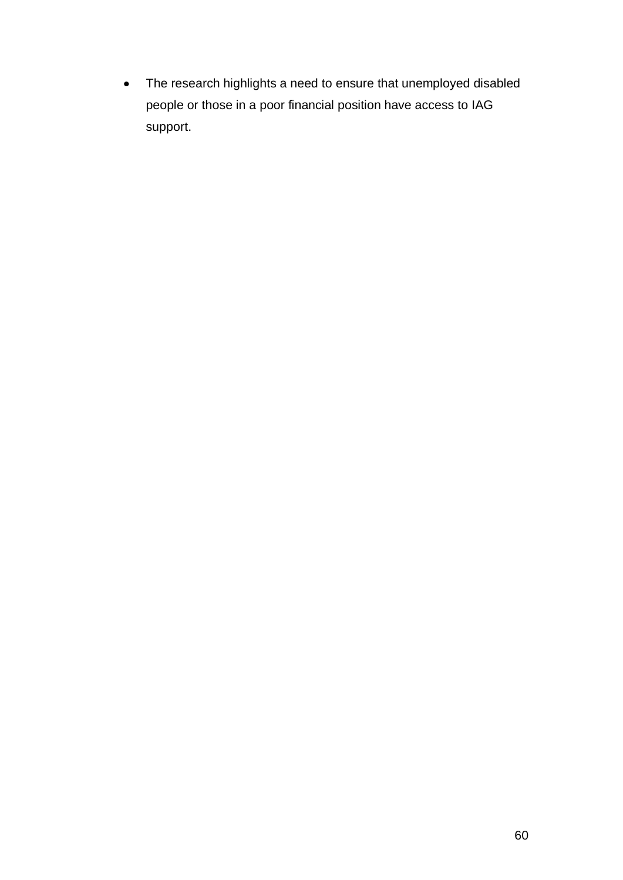The research highlights a need to ensure that unemployed disabled  $\bullet$ people or those in a poor financial position have access to IAG support.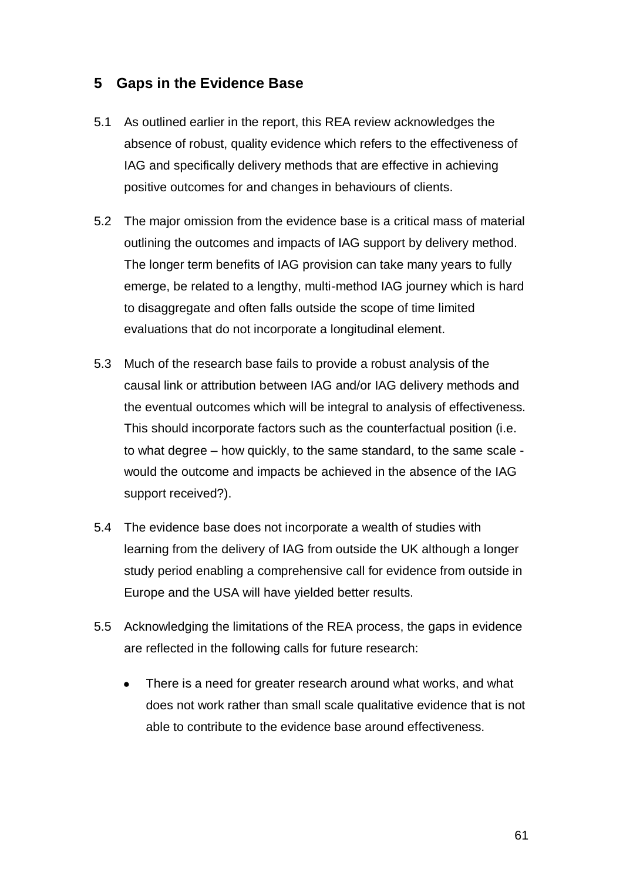# **5 Gaps in the Evidence Base**

- 5.1 As outlined earlier in the report, this REA review acknowledges the absence of robust, quality evidence which refers to the effectiveness of IAG and specifically delivery methods that are effective in achieving positive outcomes for and changes in behaviours of clients.
- 5.2 The major omission from the evidence base is a critical mass of material outlining the outcomes and impacts of IAG support by delivery method. The longer term benefits of IAG provision can take many years to fully emerge, be related to a lengthy, multi-method IAG journey which is hard to disaggregate and often falls outside the scope of time limited evaluations that do not incorporate a longitudinal element.
- 5.3 Much of the research base fails to provide a robust analysis of the causal link or attribution between IAG and/or IAG delivery methods and the eventual outcomes which will be integral to analysis of effectiveness. This should incorporate factors such as the counterfactual position (i.e. to what degree – how quickly, to the same standard, to the same scale would the outcome and impacts be achieved in the absence of the IAG support received?).
- 5.4 The evidence base does not incorporate a wealth of studies with learning from the delivery of IAG from outside the UK although a longer study period enabling a comprehensive call for evidence from outside in Europe and the USA will have yielded better results.
- 5.5 Acknowledging the limitations of the REA process, the gaps in evidence are reflected in the following calls for future research:
	- There is a need for greater research around what works, and what does not work rather than small scale qualitative evidence that is not able to contribute to the evidence base around effectiveness.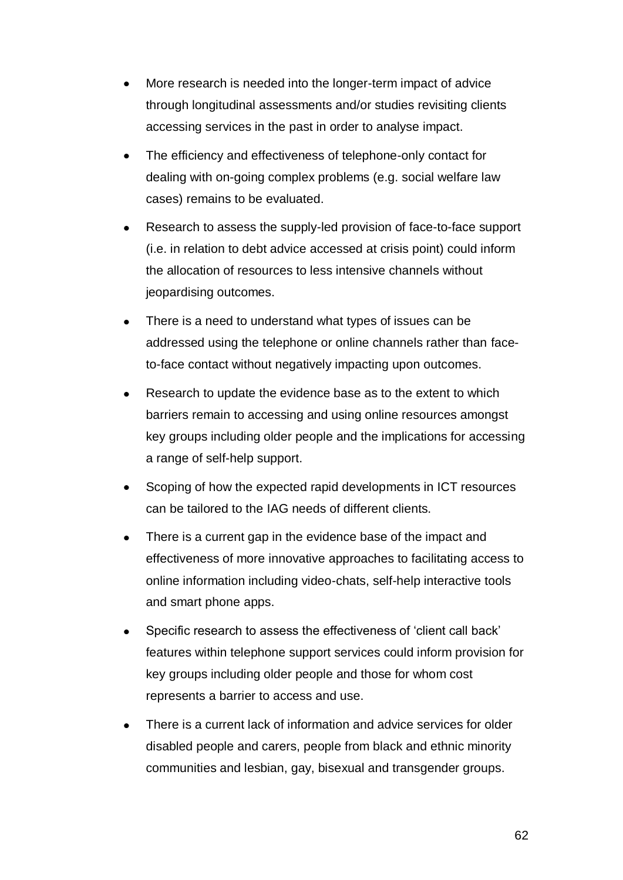- More research is needed into the longer-term impact of advice through longitudinal assessments and/or studies revisiting clients accessing services in the past in order to analyse impact.
- The efficiency and effectiveness of telephone-only contact for dealing with on-going complex problems (e.g. social welfare law cases) remains to be evaluated.
- Research to assess the supply-led provision of face-to-face support (i.e. in relation to debt advice accessed at crisis point) could inform the allocation of resources to less intensive channels without jeopardising outcomes.
- There is a need to understand what types of issues can be addressed using the telephone or online channels rather than faceto-face contact without negatively impacting upon outcomes.
- Research to update the evidence base as to the extent to which  $\bullet$ barriers remain to accessing and using online resources amongst key groups including older people and the implications for accessing a range of self-help support.
- Scoping of how the expected rapid developments in ICT resources  $\bullet$ can be tailored to the IAG needs of different clients.
- There is a current gap in the evidence base of the impact and effectiveness of more innovative approaches to facilitating access to online information including video-chats, self-help interactive tools and smart phone apps.
- Specific research to assess the effectiveness of 'client call back'  $\bullet$ features within telephone support services could inform provision for key groups including older people and those for whom cost represents a barrier to access and use.
- There is a current lack of information and advice services for older disabled people and carers, people from black and ethnic minority communities and lesbian, gay, bisexual and transgender groups.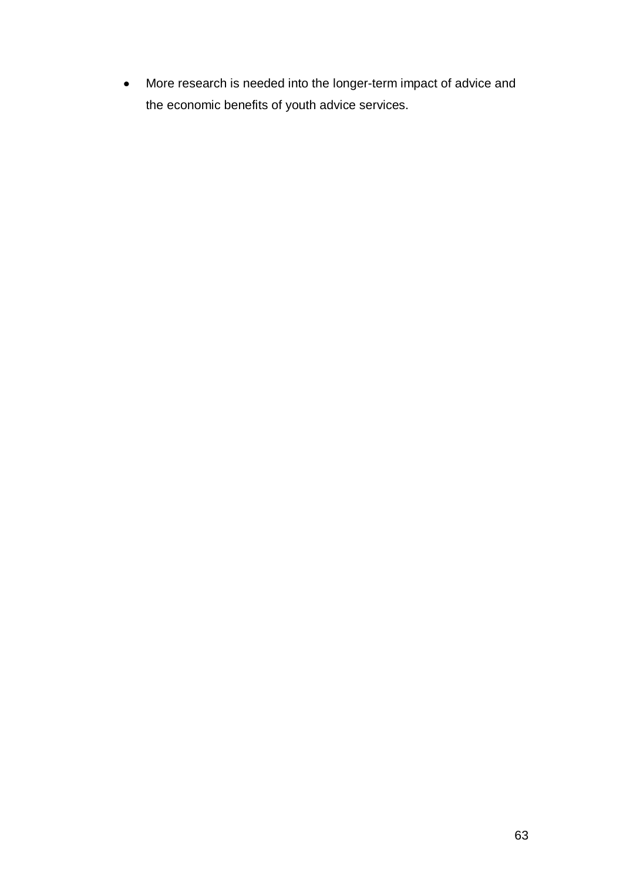More research is needed into the longer-term impact of advice and the economic benefits of youth advice services.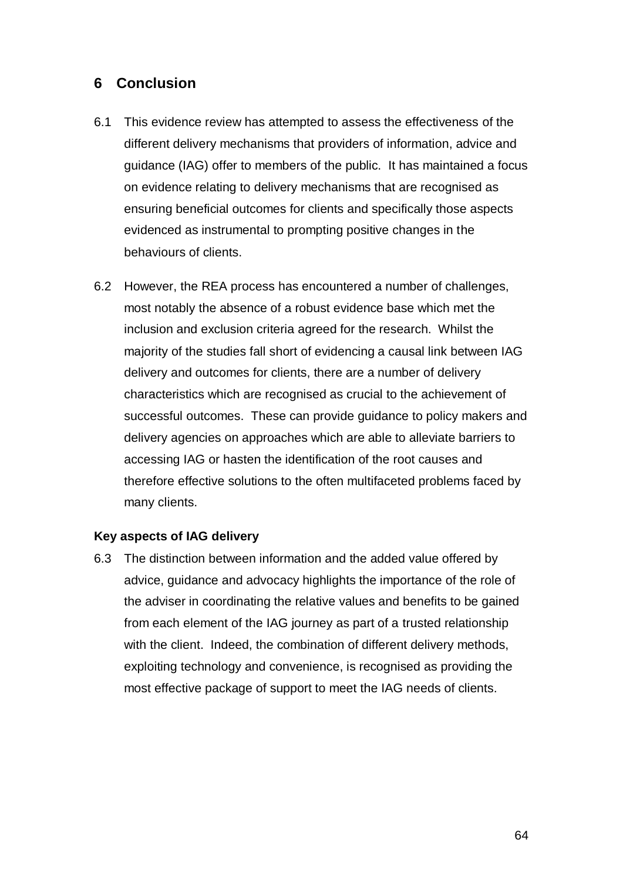# **6 Conclusion**

- 6.1 This evidence review has attempted to assess the effectiveness of the different delivery mechanisms that providers of information, advice and guidance (IAG) offer to members of the public. It has maintained a focus on evidence relating to delivery mechanisms that are recognised as ensuring beneficial outcomes for clients and specifically those aspects evidenced as instrumental to prompting positive changes in the behaviours of clients.
- 6.2 However, the REA process has encountered a number of challenges, most notably the absence of a robust evidence base which met the inclusion and exclusion criteria agreed for the research. Whilst the majority of the studies fall short of evidencing a causal link between IAG delivery and outcomes for clients, there are a number of delivery characteristics which are recognised as crucial to the achievement of successful outcomes. These can provide guidance to policy makers and delivery agencies on approaches which are able to alleviate barriers to accessing IAG or hasten the identification of the root causes and therefore effective solutions to the often multifaceted problems faced by many clients.

## **Key aspects of IAG delivery**

6.3 The distinction between information and the added value offered by advice, guidance and advocacy highlights the importance of the role of the adviser in coordinating the relative values and benefits to be gained from each element of the IAG journey as part of a trusted relationship with the client. Indeed, the combination of different delivery methods, exploiting technology and convenience, is recognised as providing the most effective package of support to meet the IAG needs of clients.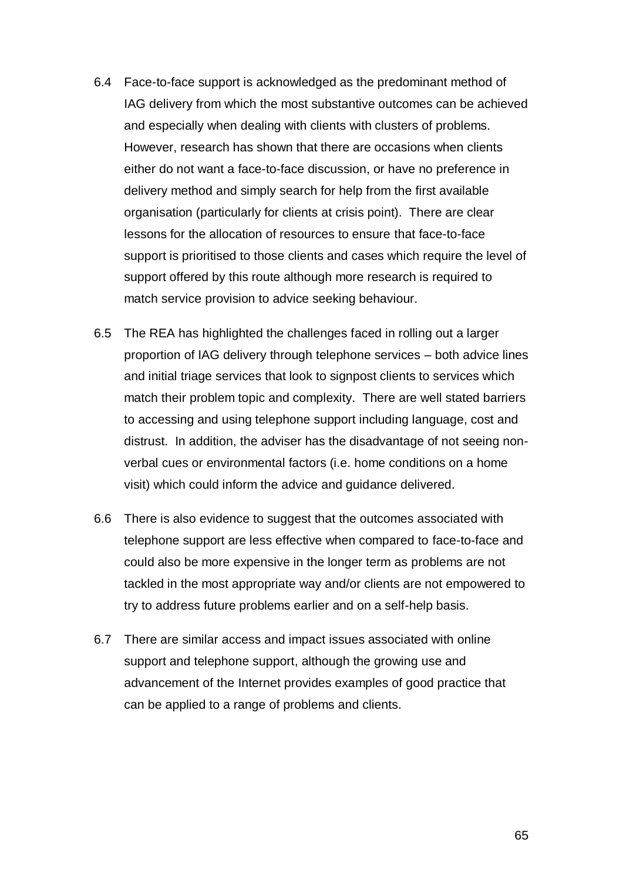- 6.4 Face-to-face support is acknowledged as the predominant method of IAG delivery from which the most substantive outcomes can be achieved and especially when dealing with clients with clusters of problems. However, research has shown that there are occasions when clients either do not want a face-to-face discussion, or have no preference in delivery method and simply search for help from the first available organisation (particularly for clients at crisis point). There are clear lessons for the allocation of resources to ensure that face-to-face support is prioritised to those clients and cases which require the level of support offered by this route although more research is required to match service provision to advice seeking behaviour.
- 6.5 The REA has highlighted the challenges faced in rolling out a larger proportion of IAG delivery through telephone services – both advice lines and initial triage services that look to signpost clients to services which match their problem topic and complexity. There are well stated barriers to accessing and using telephone support including language, cost and distrust. In addition, the adviser has the disadvantage of not seeing nonverbal cues or environmental factors (i.e. home conditions on a home visit) which could inform the advice and guidance delivered.
- 6.6 There is also evidence to suggest that the outcomes associated with telephone support are less effective when compared to face-to-face and could also be more expensive in the longer term as problems are not tackled in the most appropriate way and/or clients are not empowered to try to address future problems earlier and on a self-help basis.
- 6.7 There are similar access and impact issues associated with online support and telephone support, although the growing use and advancement of the Internet provides examples of good practice that can be applied to a range of problems and clients.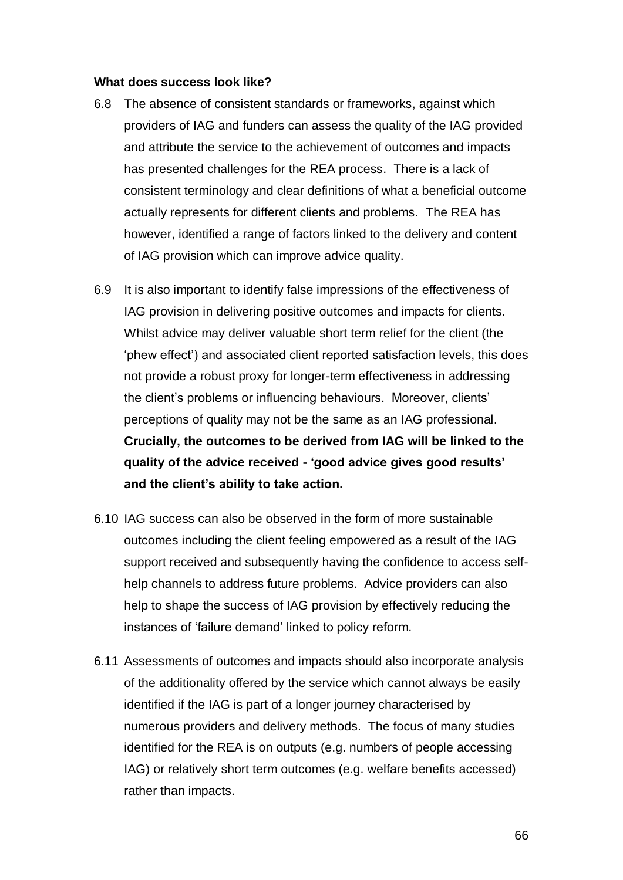#### **What does success look like?**

- 6.8 The absence of consistent standards or frameworks, against which providers of IAG and funders can assess the quality of the IAG provided and attribute the service to the achievement of outcomes and impacts has presented challenges for the REA process. There is a lack of consistent terminology and clear definitions of what a beneficial outcome actually represents for different clients and problems. The REA has however, identified a range of factors linked to the delivery and content of IAG provision which can improve advice quality.
- 6.9 It is also important to identify false impressions of the effectiveness of IAG provision in delivering positive outcomes and impacts for clients. Whilst advice may deliver valuable short term relief for the client (the 'phew effect') and associated client reported satisfaction levels, this does not provide a robust proxy for longer-term effectiveness in addressing the client's problems or influencing behaviours. Moreover, clients' perceptions of quality may not be the same as an IAG professional. **Crucially, the outcomes to be derived from IAG will be linked to the quality of the advice received - 'good advice gives good results' and the client's ability to take action.**
- 6.10 IAG success can also be observed in the form of more sustainable outcomes including the client feeling empowered as a result of the IAG support received and subsequently having the confidence to access selfhelp channels to address future problems. Advice providers can also help to shape the success of IAG provision by effectively reducing the instances of 'failure demand' linked to policy reform.
- 6.11 Assessments of outcomes and impacts should also incorporate analysis of the additionality offered by the service which cannot always be easily identified if the IAG is part of a longer journey characterised by numerous providers and delivery methods. The focus of many studies identified for the REA is on outputs (e.g. numbers of people accessing IAG) or relatively short term outcomes (e.g. welfare benefits accessed) rather than impacts.

66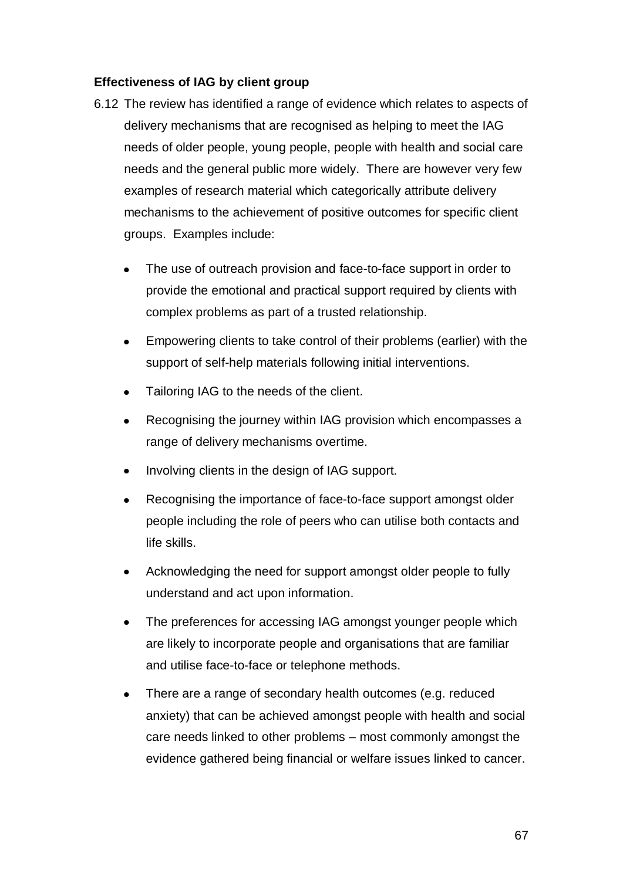## **Effectiveness of IAG by client group**

- 6.12 The review has identified a range of evidence which relates to aspects of delivery mechanisms that are recognised as helping to meet the IAG needs of older people, young people, people with health and social care needs and the general public more widely. There are however very few examples of research material which categorically attribute delivery mechanisms to the achievement of positive outcomes for specific client groups. Examples include:
	- The use of outreach provision and face-to-face support in order to provide the emotional and practical support required by clients with complex problems as part of a trusted relationship.
	- Empowering clients to take control of their problems (earlier) with the support of self-help materials following initial interventions.
	- Tailoring IAG to the needs of the client.
	- Recognising the journey within IAG provision which encompasses a range of delivery mechanisms overtime.
	- Involving clients in the design of IAG support.
	- Recognising the importance of face-to-face support amongst older people including the role of peers who can utilise both contacts and life skills.
	- Acknowledging the need for support amongst older people to fully  $\bullet$ understand and act upon information.
	- The preferences for accessing IAG amongst younger people which  $\bullet$ are likely to incorporate people and organisations that are familiar and utilise face-to-face or telephone methods.
	- There are a range of secondary health outcomes (e.g. reduced anxiety) that can be achieved amongst people with health and social care needs linked to other problems – most commonly amongst the evidence gathered being financial or welfare issues linked to cancer.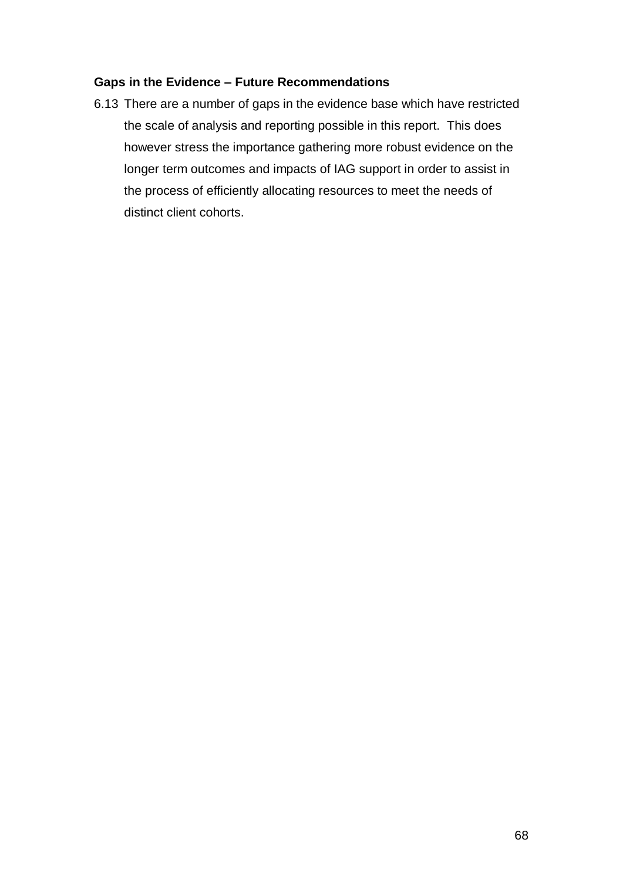## **Gaps in the Evidence – Future Recommendations**

6.13 There are a number of gaps in the evidence base which have restricted the scale of analysis and reporting possible in this report. This does however stress the importance gathering more robust evidence on the longer term outcomes and impacts of IAG support in order to assist in the process of efficiently allocating resources to meet the needs of distinct client cohorts.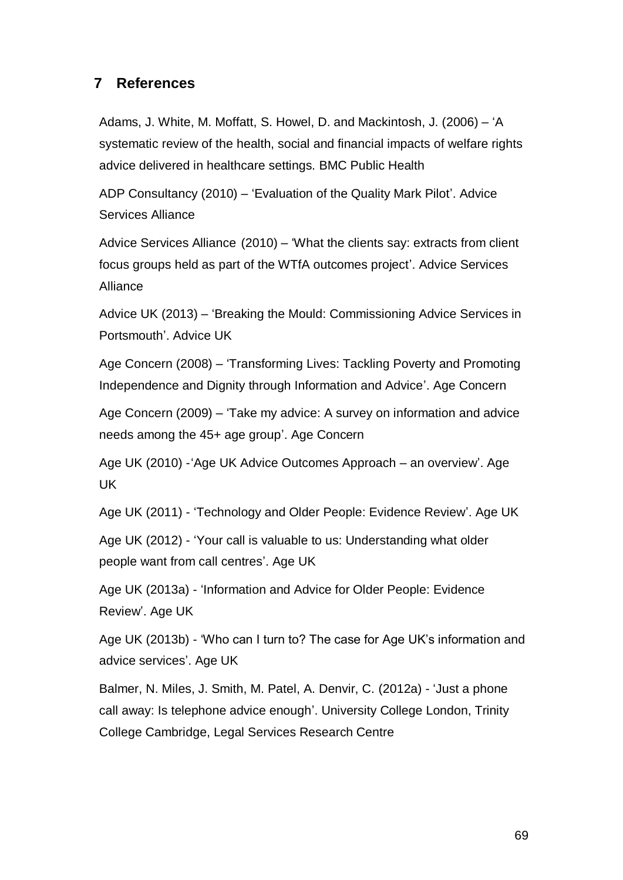# **7 References**

Adams, J. White, M. Moffatt, S. Howel, D. and Mackintosh, J. (2006) – 'A systematic review of the health, social and financial impacts of welfare rights advice delivered in healthcare settings. BMC Public Health

ADP Consultancy (2010) – 'Evaluation of the Quality Mark Pilot'. Advice Services Alliance

Advice Services Alliance (2010) – 'What the clients say: extracts from client focus groups held as part of the WTfA outcomes project'. Advice Services Alliance

Advice UK (2013) – 'Breaking the Mould: Commissioning Advice Services in Portsmouth'. Advice UK

Age Concern (2008) – 'Transforming Lives: Tackling Poverty and Promoting Independence and Dignity through Information and Advice'. Age Concern

Age Concern (2009) – 'Take my advice: A survey on information and advice needs among the 45+ age group'. Age Concern

Age UK (2010) -'Age UK Advice Outcomes Approach – an overview'. Age UK

Age UK (2011) - 'Technology and Older People: Evidence Review'. Age UK

Age UK (2012) - 'Your call is valuable to us: Understanding what older people want from call centres'. Age UK

Age UK (2013a) - 'Information and Advice for Older People: Evidence Review'. Age UK

Age UK (2013b) - 'Who can I turn to? The case for Age UK's information and advice services'. Age UK

Balmer, N. Miles, J. Smith, M. Patel, A. Denvir, C. (2012a) - 'Just a phone call away: Is telephone advice enough'. University College London, Trinity College Cambridge, Legal Services Research Centre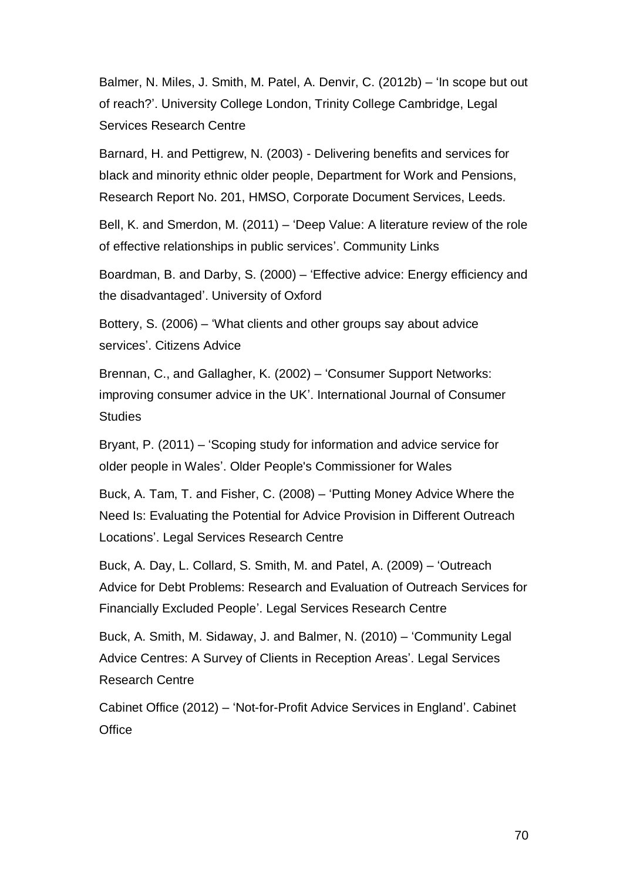Balmer, N. Miles, J. Smith, M. Patel, A. Denvir, C. (2012b) – 'In scope but out of reach?'. University College London, Trinity College Cambridge, Legal Services Research Centre

Barnard, H. and Pettigrew, N. (2003) - Delivering benefits and services for black and minority ethnic older people, Department for Work and Pensions, Research Report No. 201, HMSO, Corporate Document Services, Leeds.

Bell, K. and Smerdon, M. (2011) – 'Deep Value: A literature review of the role of effective relationships in public services'. Community Links

Boardman, B. and Darby, S. (2000) – 'Effective advice: Energy efficiency and the disadvantaged'. University of Oxford

Bottery, S. (2006) – 'What clients and other groups say about advice services'. Citizens Advice

Brennan, C., and Gallagher, K. (2002) – 'Consumer Support Networks: improving consumer advice in the UK'. International Journal of Consumer **Studies** 

Bryant, P. (2011) – 'Scoping study for information and advice service for older people in Wales'. Older People's Commissioner for Wales

Buck, A. Tam, T. and Fisher, C. (2008) – 'Putting Money Advice Where the Need Is: Evaluating the Potential for Advice Provision in Different Outreach Locations'. Legal Services Research Centre

Buck, A. Day, L. Collard, S. Smith, M. and Patel, A. (2009) – 'Outreach Advice for Debt Problems: Research and Evaluation of Outreach Services for Financially Excluded People'. Legal Services Research Centre

Buck, A. Smith, M. Sidaway, J. and Balmer, N. (2010) – 'Community Legal Advice Centres: A Survey of Clients in Reception Areas'. Legal Services Research Centre

Cabinet Office (2012) – 'Not-for-Profit Advice Services in England'. Cabinet **Office**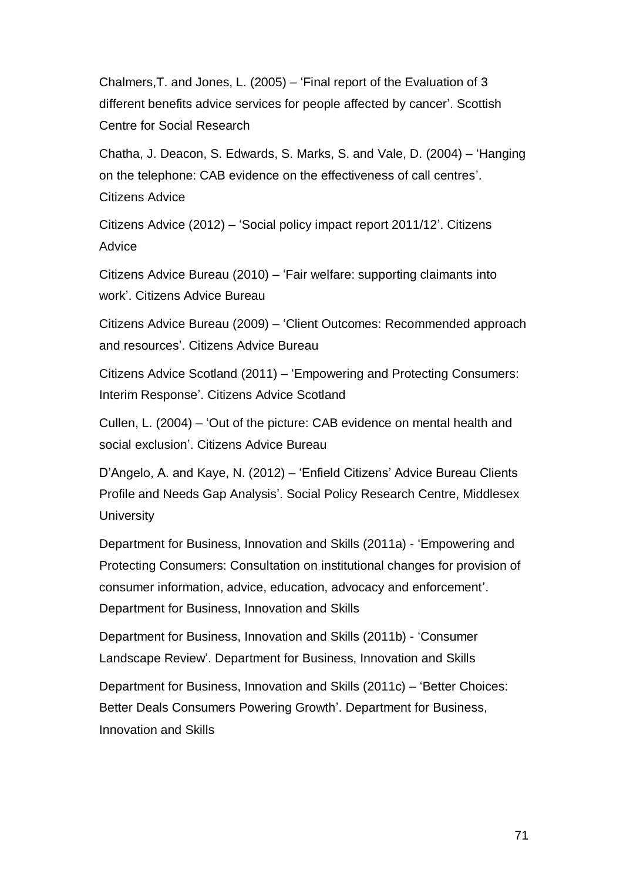Chalmers,T. and Jones, L. (2005) – 'Final report of the Evaluation of 3 different benefits advice services for people affected by cancer'. Scottish Centre for Social Research

Chatha, J. Deacon, S. Edwards, S. Marks, S. and Vale, D. (2004) – 'Hanging on the telephone: CAB evidence on the effectiveness of call centres'. Citizens Advice

Citizens Advice (2012) – 'Social policy impact report 2011/12'. Citizens Advice

Citizens Advice Bureau (2010) – 'Fair welfare: supporting claimants into work'. Citizens Advice Bureau

Citizens Advice Bureau (2009) – 'Client Outcomes: Recommended approach and resources'. Citizens Advice Bureau

Citizens Advice Scotland (2011) – 'Empowering and Protecting Consumers: Interim Response'. Citizens Advice Scotland

Cullen, L. (2004) – 'Out of the picture: CAB evidence on mental health and social exclusion'. Citizens Advice Bureau

D'Angelo, A. and Kaye, N. (2012) – 'Enfield Citizens' Advice Bureau Clients Profile and Needs Gap Analysis'. Social Policy Research Centre, Middlesex **University** 

Department for Business, Innovation and Skills (2011a) - 'Empowering and Protecting Consumers: Consultation on institutional changes for provision of consumer information, advice, education, advocacy and enforcement'. Department for Business, Innovation and Skills

Department for Business, Innovation and Skills (2011b) - 'Consumer Landscape Review'. Department for Business, Innovation and Skills

Department for Business, Innovation and Skills (2011c) – 'Better Choices: Better Deals Consumers Powering Growth'. Department for Business, Innovation and Skills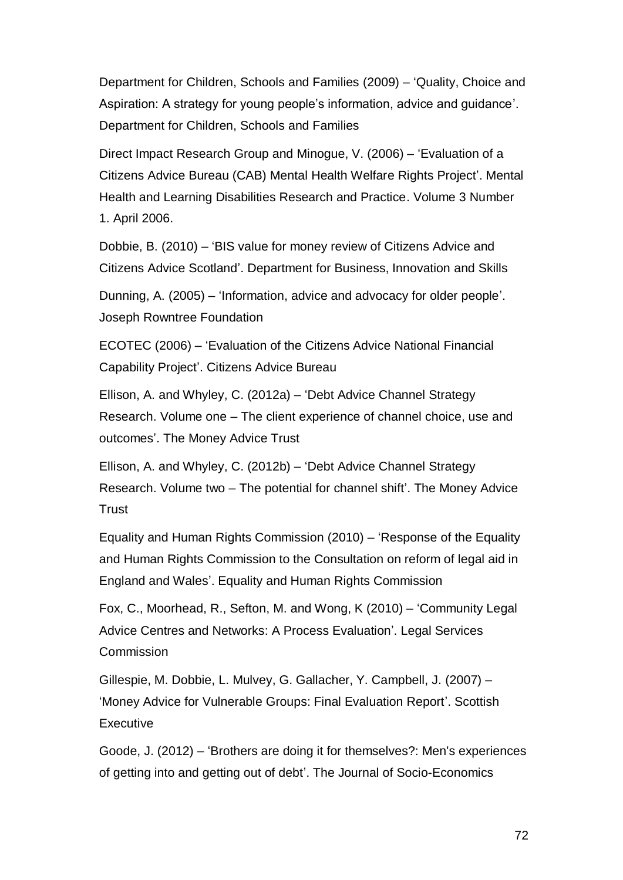Department for Children, Schools and Families (2009) – 'Quality, Choice and Aspiration: A strategy for young people's information, advice and guidance'. Department for Children, Schools and Families

Direct Impact Research Group and Minogue, V. (2006) – 'Evaluation of a Citizens Advice Bureau (CAB) Mental Health Welfare Rights Project'. Mental Health and Learning Disabilities Research and Practice. Volume 3 Number 1. April 2006.

Dobbie, B. (2010) – 'BIS value for money review of Citizens Advice and Citizens Advice Scotland'. Department for Business, Innovation and Skills

Dunning, A. (2005) – 'Information, advice and advocacy for older people'. Joseph Rowntree Foundation

ECOTEC (2006) – 'Evaluation of the Citizens Advice National Financial Capability Project'. Citizens Advice Bureau

Ellison, A. and Whyley, C. (2012a) – 'Debt Advice Channel Strategy Research. Volume one – The client experience of channel choice, use and outcomes'. The Money Advice Trust

Ellison, A. and Whyley, C. (2012b) – 'Debt Advice Channel Strategy Research. Volume two – The potential for channel shift'. The Money Advice Trust

Equality and Human Rights Commission (2010) – 'Response of the Equality and Human Rights Commission to the Consultation on reform of legal aid in England and Wales'. Equality and Human Rights Commission

Fox, C., Moorhead, R., Sefton, M. and Wong, K (2010) – 'Community Legal Advice Centres and Networks: A Process Evaluation'. Legal Services Commission

Gillespie, M. Dobbie, L. Mulvey, G. Gallacher, Y. Campbell, J. (2007) – 'Money Advice for Vulnerable Groups: Final Evaluation Report'. Scottish **Executive** 

Goode, J. (2012) – 'Brothers are doing it for themselves?: Men's experiences of getting into and getting out of debt'. The Journal of Socio-Economics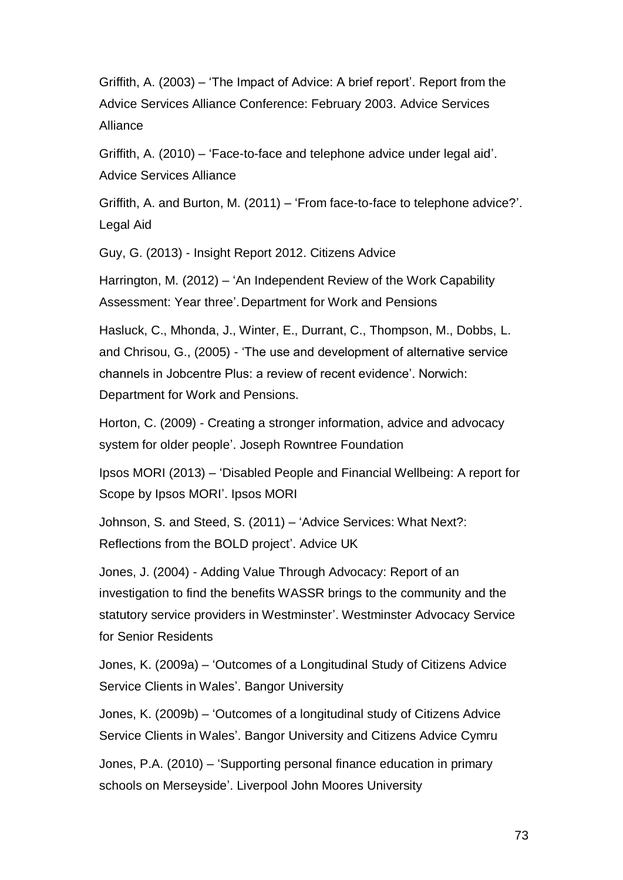Griffith, A. (2003) – 'The Impact of Advice: A brief report'. Report from the Advice Services Alliance Conference: February 2003. Advice Services Alliance

Griffith, A. (2010) – 'Face-to-face and telephone advice under legal aid'. Advice Services Alliance

Griffith, A. and Burton, M. (2011) – 'From face-to-face to telephone advice?'. Legal Aid

Guy, G. (2013) - Insight Report 2012. Citizens Advice

Harrington, M. (2012) – 'An Independent Review of the Work Capability Assessment: Year three'.Department for Work and Pensions

Hasluck, C., Mhonda, J., Winter, E., Durrant, C., Thompson, M., Dobbs, L. and Chrisou, G., (2005) - 'The use and development of alternative service channels in Jobcentre Plus: a review of recent evidence'. Norwich: Department for Work and Pensions.

Horton, C. (2009) - Creating a stronger information, advice and advocacy system for older people'. Joseph Rowntree Foundation

Ipsos MORI (2013) – 'Disabled People and Financial Wellbeing: A report for Scope by Ipsos MORI'. Ipsos MORI

Johnson, S. and Steed, S. (2011) – 'Advice Services: What Next?: Reflections from the BOLD project'. Advice UK

Jones, J. (2004) - Adding Value Through Advocacy: Report of an investigation to find the benefits WASSR brings to the community and the statutory service providers in Westminster'. Westminster Advocacy Service for Senior Residents

Jones, K. (2009a) – 'Outcomes of a Longitudinal Study of Citizens Advice Service Clients in Wales'. Bangor University

Jones, K. (2009b) – ['Outcomes of a longitudinal study of Citizens Advice](http://www.citizensadvice.org.uk/print/print/outcomes_of_cab_advice-2.pdf)  [Service Clients in Wales'](http://www.citizensadvice.org.uk/print/print/outcomes_of_cab_advice-2.pdf). Bangor University and Citizens Advice Cymru

Jones, P.A. (2010) – 'Supporting personal finance education in primary schools on Merseyside'. Liverpool John Moores University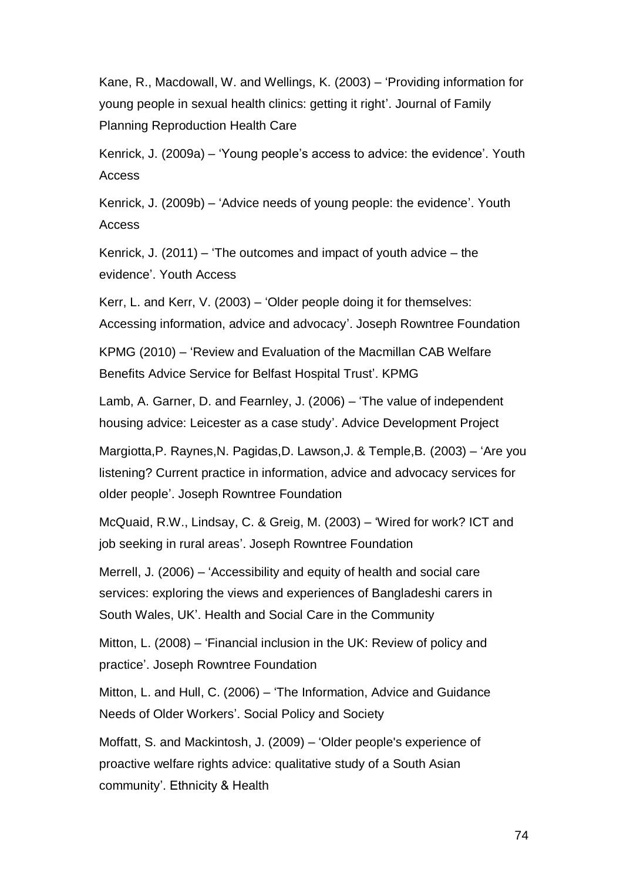[Kane, R., Macdowall, W. and](http://www.ncbi.nlm.nih.gov/pubmed/12885308/) Wellings, K. (2003) – ['Providing information for](http://www.ncbi.nlm.nih.gov/pubmed/12885308/)  [young people in sexual health clinics: getting it right'.](http://www.ncbi.nlm.nih.gov/pubmed/12885308/) Journal of Family Planning Reproduction Health Care

Kenrick, J. (2009a) – 'Young people's access to advice: the evidence'. Youth Access

Kenrick, J. (2009b) – 'Advice needs of young people: the evidence'. Youth Access

Kenrick, J. (2011) – 'The outcomes and impact of youth advice – the evidence'. Youth Access

Kerr, L. and Kerr, V. (2003) – 'Older people doing it for themselves: Accessing information, advice and advocacy'. Joseph Rowntree Foundation

KPMG (2010) – 'Review and Evaluation of the Macmillan CAB Welfare Benefits Advice Service for Belfast Hospital Trust'. KPMG

Lamb, A. Garner, D. and Fearnley, J. (2006) – 'The value of independent housing advice: Leicester as a case study'. Advice Development Project

Margiotta,P. Raynes,N. Pagidas,D. Lawson,J. & Temple,B. (2003) – 'Are you listening? Current practice in information, advice and advocacy services for older people'. Joseph Rowntree Foundation

McQuaid, R.W., Lindsay, C. & Greig, M. (2003) – 'Wired for work? ICT and job seeking in rural areas'. Joseph Rowntree Foundation

Merrell, J. (2006) – 'Accessibility and equity of health and social care services: exploring the views and experiences of Bangladeshi carers in South Wales, UK'. Health and Social Care in the Community

Mitton, L. (2008) – 'Financial inclusion in the UK: Review of policy and practice'. Joseph Rowntree Foundation

Mitton, L. and Hull, C. (2006) – 'The Information, Advice and Guidance Needs of Older Workers'. Social Policy and Society

Moffatt, S. and Mackintosh, J. (2009) – ['Older people's experience of](http://www.tandfonline.com/doi/abs/10.1080/13557850802056455)  [proactive welfare rights advice: qualitative study of a South Asian](http://www.tandfonline.com/doi/abs/10.1080/13557850802056455)  [community'](http://www.tandfonline.com/doi/abs/10.1080/13557850802056455). Ethnicity & Health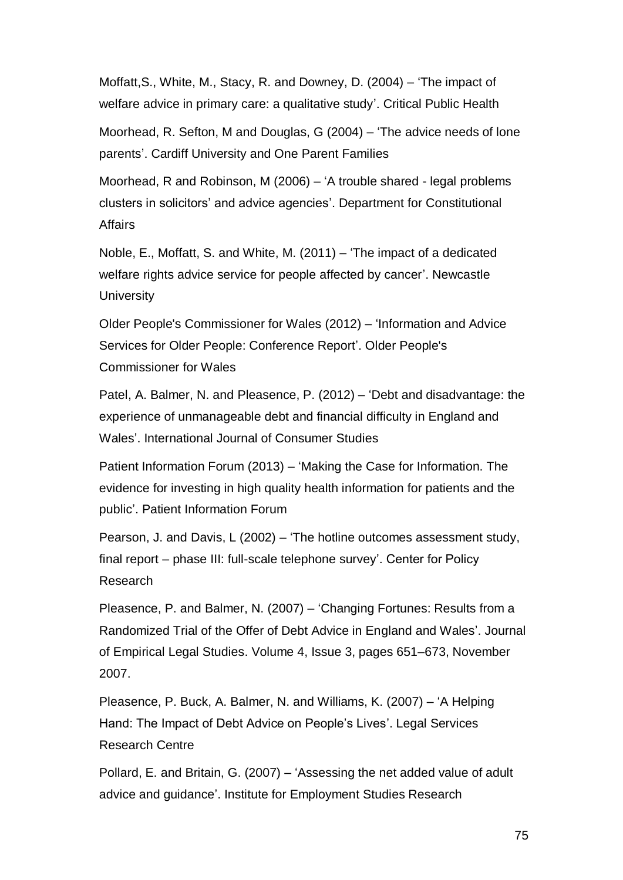[Moffatt,S., White, M., Stacy, R. and](http://scholar.google.co.uk/citations?user=Qj1CGEkAAAAJ&hl=en&oi=sra) Downey, D. (2004) – ['The impact of](http://www.tandfonline.com/doi/abs/10.1080/09581590400007959)  [welfare advice in primary care: a qualitative study'](http://www.tandfonline.com/doi/abs/10.1080/09581590400007959). Critical Public Health

Moorhead, R. Sefton, M and Douglas, G (2004) – 'The advice needs of lone parents'. Cardiff University and One Parent Families

Moorhead, R and Robinson, M (2006) – ['A trouble shared -](http://iris.ucl.ac.uk/iris/publication/446115/1) legal problems [clusters in solicitors' and advice agencies'](http://iris.ucl.ac.uk/iris/publication/446115/1). Department for Constitutional Affairs

Noble, E., Moffatt, S. and White, M. (2011) – 'The impact of a dedicated welfare rights advice service for people affected by cancer'. Newcastle **University** 

Older People's Commissioner for Wales (2012) – 'Information and Advice Services for Older People: Conference Report'. Older People's Commissioner for Wales

Patel, A. Balmer, N. and Pleasence, P. (2012) – 'Debt and disadvantage: the experience of unmanageable debt and financial difficulty in England and Wales'. International Journal of Consumer Studies

Patient Information Forum (2013) – 'Making the Case for Information. The evidence for investing in high quality health information for patients and the public'. Patient Information Forum

Pearson, J. and Davis, L (2002) – 'The hotline outcomes assessment study, final report – phase III: full-scale telephone survey'. Center for Policy Research

Pleasence, P. and Balmer, N. (2007) – 'Changing Fortunes: Results from a Randomized Trial of the Offer of Debt Advice in England and Wales'. Journal of Empirical Legal Studies. Volume 4, Issue 3, pages 651–673, November 2007.

Pleasence, P. Buck, A. Balmer, N. and Williams, K. (2007) – 'A Helping Hand: The Impact of Debt Advice on People's Lives'. Legal Services Research Centre

Pollard, E. and Britain, G. (2007) – ['Assessing the net added value of adult](http://www.employment-studies.co.uk/pdflibrary/rr825a.pdf)  [advice and guidance'](http://www.employment-studies.co.uk/pdflibrary/rr825a.pdf). Institute for Employment Studies Research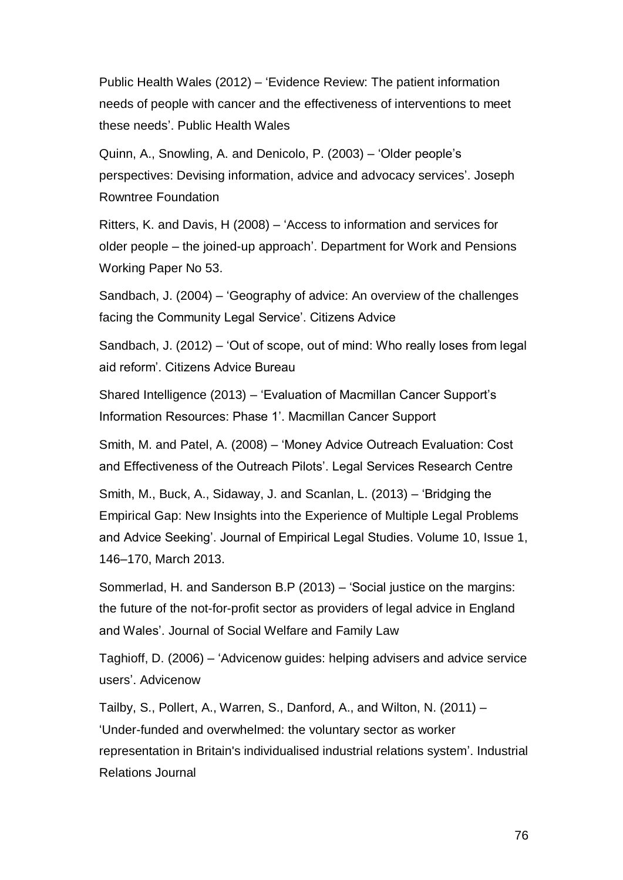Public Health Wales (2012) – 'Evidence Review: The patient information needs of people with cancer and the effectiveness of interventions to meet these needs'. Public Health Wales

Quinn, A., Snowling, A. and Denicolo, P. (2003) – 'Older people's perspectives: Devising information, advice and advocacy services'. Joseph Rowntree Foundation

Ritters, K. and Davis, H (2008) – 'Access to information and services for older people – the joined-up approach'. Department for Work and Pensions Working Paper No 53.

Sandbach, J. (2004) – 'Geography of advice: An overview of the challenges facing the Community Legal Service'. Citizens Advice

Sandbach, J. (2012) – 'Out of scope, out of mind: Who really loses from legal aid reform'. Citizens Advice Bureau

Shared Intelligence (2013) – 'Evaluation of Macmillan Cancer Support's Information Resources: Phase 1'. Macmillan Cancer Support

Smith, M. and Patel, A. (2008) – 'Money Advice Outreach Evaluation: Cost and Effectiveness of the Outreach Pilots'. Legal Services Research Centre

Smith, M., Buck, A., Sidaway, J. and Scanlan, L. (2013) – 'Bridging the Empirical Gap: New Insights into the Experience of Multiple Legal Problems and Advice Seeking'. Journal of Empirical Legal Studies. Volume 10, Issue 1, 146–170, March 2013.

Sommerlad, H. and Sanderson B.P (2013) – 'Social justice on the margins: the future of the not-for-profit sector as providers of legal advice in England and Wales'. Journal of Social Welfare and Family Law

Taghioff, D. (2006) – 'Advicenow guides: helping advisers and advice service users'. Advicenow

Tailby, S., Pollert, A., Warren, S., Danford, A., and Wilton, N. (2011) – 'Under-funded and overwhelmed: the voluntary sector as worker representation in Britain's individualised industrial relations system'. Industrial Relations Journal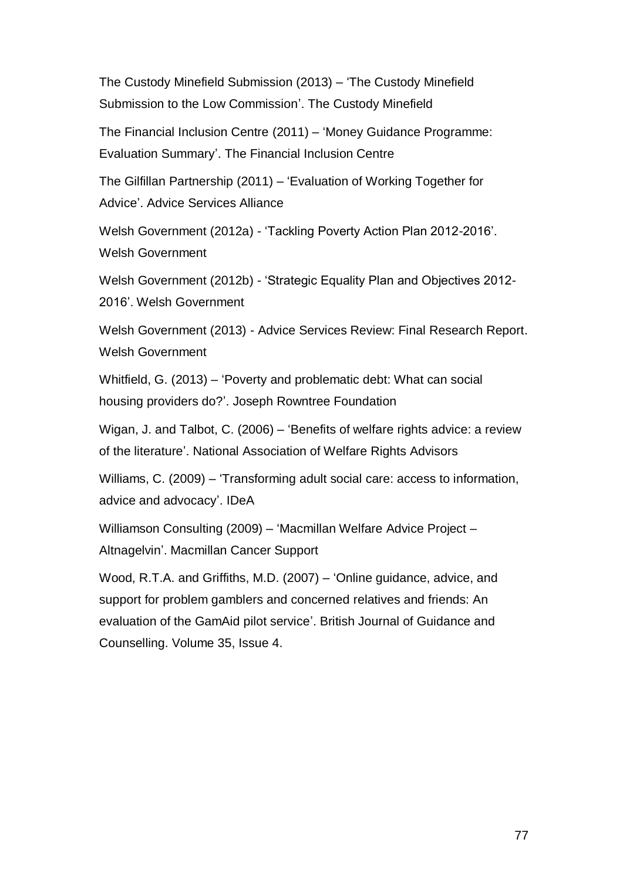The Custody Minefield Submission (2013) – 'The Custody Minefield Submission to the Low Commission'. The Custody Minefield

The Financial Inclusion Centre (2011) – 'Money Guidance Programme: Evaluation Summary'. The Financial Inclusion Centre

The Gilfillan Partnership (2011) – 'Evaluation of Working Together for Advice'. Advice Services Alliance

Welsh Government (2012a) - 'Tackling Poverty Action Plan 2012-2016'. Welsh Government

Welsh Government (2012b) - 'Strategic Equality Plan and Objectives 2012- 2016'. Welsh Government

Welsh Government (2013) - Advice Services Review: Final Research Report. Welsh Government

Whitfield, G. (2013) – 'Poverty and problematic debt: What can social housing providers do?'. Joseph Rowntree Foundation

Wigan, J. and Talbot, C. (2006) – 'Benefits of welfare rights advice: a review of the literature'. National Association of Welfare Rights Advisors

Williams, C. (2009) – 'Transforming adult social care: access to information, advice and advocacy'. IDeA

Williamson Consulting (2009) – 'Macmillan Welfare Advice Project – Altnagelvin'. Macmillan Cancer Support

[Wood, R.T.A. and](http://scholar.google.co.uk/citations?user=Ptx0xPkAAAAJ&hl=en&oi=sra) Griffiths, M.D. (2007) – 'Online guidance, advice, and support for problem gamblers and concerned relatives and friends: An evaluation of the GamAid pilot service'. British Journal of Guidance and Counselling. Volume 35, Issue 4.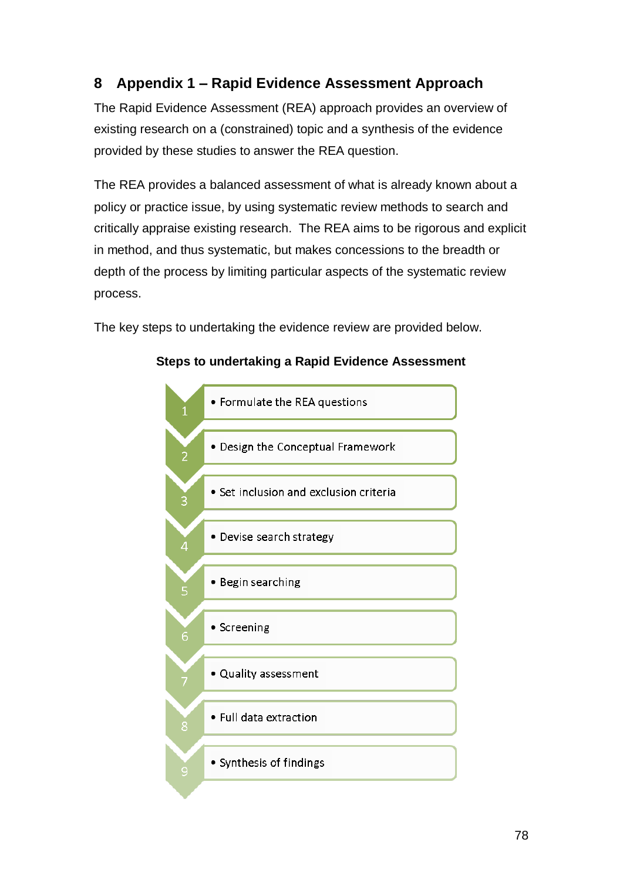# **8 Appendix 1 – Rapid Evidence Assessment Approach**

The Rapid Evidence Assessment (REA) approach provides an overview of existing research on a (constrained) topic and a synthesis of the evidence provided by these studies to answer the REA question.

The REA provides a balanced assessment of what is already known about a policy or practice issue, by using systematic review methods to search and critically appraise existing research. The REA aims to be rigorous and explicit in method, and thus systematic, but makes concessions to the breadth or depth of the process by limiting particular aspects of the systematic review process.

The key steps to undertaking the evidence review are provided below.



## **Steps to undertaking a Rapid Evidence Assessment**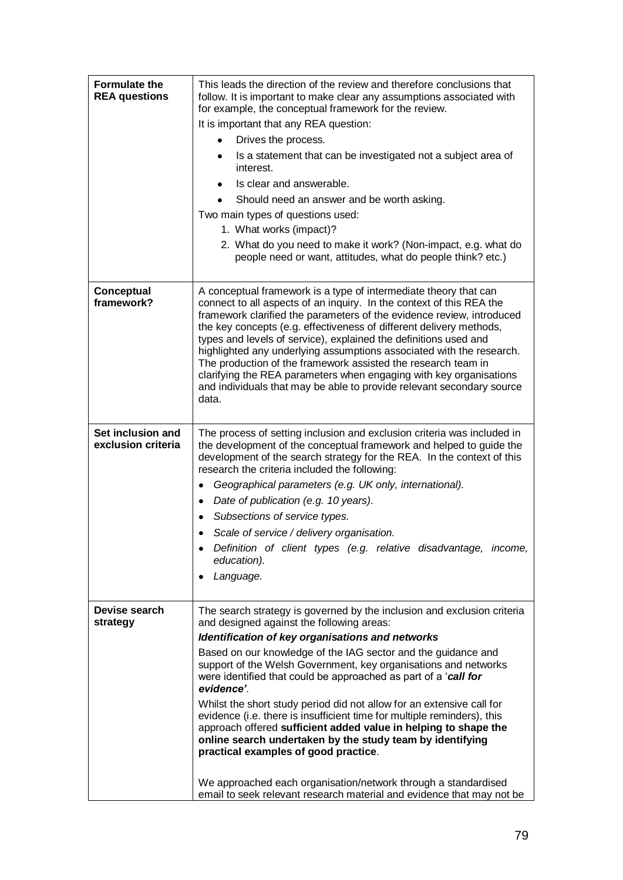| <b>Formulate the</b><br><b>REA questions</b> | This leads the direction of the review and therefore conclusions that<br>follow. It is important to make clear any assumptions associated with<br>for example, the conceptual framework for the review.<br>It is important that any REA question:<br>Drives the process.<br>Is a statement that can be investigated not a subject area of<br>interest.<br>Is clear and answerable.<br>Should need an answer and be worth asking.<br>Two main types of questions used:<br>1. What works (impact)?<br>2. What do you need to make it work? (Non-impact, e.g. what do<br>people need or want, attitudes, what do people think? etc.)                                                                                                                                                                                                                                    |
|----------------------------------------------|----------------------------------------------------------------------------------------------------------------------------------------------------------------------------------------------------------------------------------------------------------------------------------------------------------------------------------------------------------------------------------------------------------------------------------------------------------------------------------------------------------------------------------------------------------------------------------------------------------------------------------------------------------------------------------------------------------------------------------------------------------------------------------------------------------------------------------------------------------------------|
| Conceptual<br>framework?                     | A conceptual framework is a type of intermediate theory that can<br>connect to all aspects of an inquiry. In the context of this REA the<br>framework clarified the parameters of the evidence review, introduced<br>the key concepts (e.g. effectiveness of different delivery methods,<br>types and levels of service), explained the definitions used and<br>highlighted any underlying assumptions associated with the research.<br>The production of the framework assisted the research team in<br>clarifying the REA parameters when engaging with key organisations<br>and individuals that may be able to provide relevant secondary source<br>data.                                                                                                                                                                                                        |
| Set inclusion and<br>exclusion criteria      | The process of setting inclusion and exclusion criteria was included in<br>the development of the conceptual framework and helped to guide the<br>development of the search strategy for the REA. In the context of this<br>research the criteria included the following:<br>Geographical parameters (e.g. UK only, international).<br>Date of publication (e.g. 10 years).<br>٠<br>Subsections of service types.<br>Scale of service / delivery organisation.<br>Definition of client types (e.g. relative disadvantage, income,<br>education).<br>Language.                                                                                                                                                                                                                                                                                                        |
| Devise search<br>strategy                    | The search strategy is governed by the inclusion and exclusion criteria<br>and designed against the following areas:<br>Identification of key organisations and networks<br>Based on our knowledge of the IAG sector and the guidance and<br>support of the Welsh Government, key organisations and networks<br>were identified that could be approached as part of a 'call for<br>evidence'.<br>Whilst the short study period did not allow for an extensive call for<br>evidence (i.e. there is insufficient time for multiple reminders), this<br>approach offered sufficient added value in helping to shape the<br>online search undertaken by the study team by identifying<br>practical examples of good practice.<br>We approached each organisation/network through a standardised<br>email to seek relevant research material and evidence that may not be |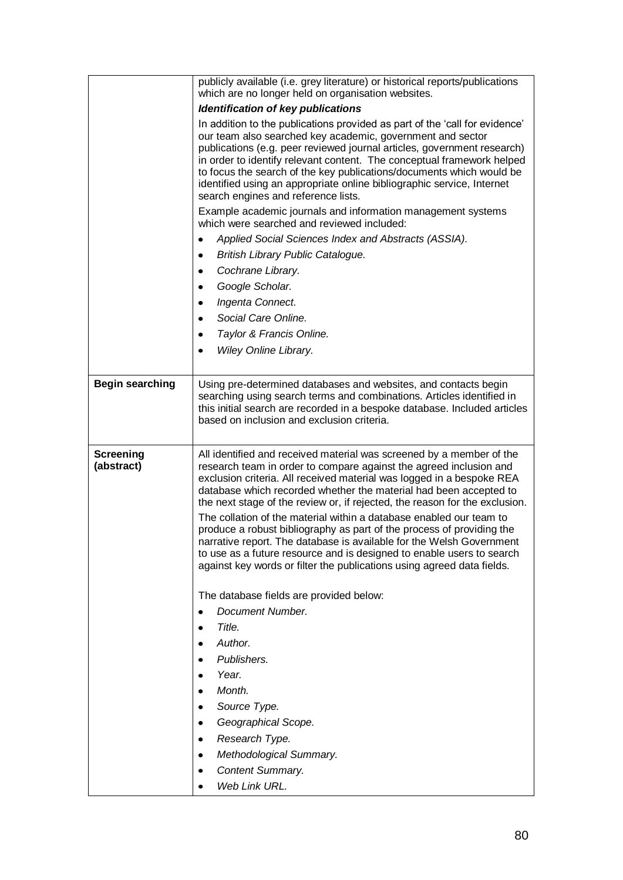|                                | publicly available (i.e. grey literature) or historical reports/publications<br>which are no longer held on organisation websites.                                                                                                                                                                                                                                                                                                                                                                                                                                                                                                                                                                                                                                                                                                       |  |  |  |  |  |  |  |  |  |
|--------------------------------|------------------------------------------------------------------------------------------------------------------------------------------------------------------------------------------------------------------------------------------------------------------------------------------------------------------------------------------------------------------------------------------------------------------------------------------------------------------------------------------------------------------------------------------------------------------------------------------------------------------------------------------------------------------------------------------------------------------------------------------------------------------------------------------------------------------------------------------|--|--|--|--|--|--|--|--|--|
|                                | <b>Identification of key publications</b>                                                                                                                                                                                                                                                                                                                                                                                                                                                                                                                                                                                                                                                                                                                                                                                                |  |  |  |  |  |  |  |  |  |
|                                | In addition to the publications provided as part of the 'call for evidence'<br>our team also searched key academic, government and sector<br>publications (e.g. peer reviewed journal articles, government research)<br>in order to identify relevant content. The conceptual framework helped<br>to focus the search of the key publications/documents which would be<br>identified using an appropriate online bibliographic service, Internet<br>search engines and reference lists.                                                                                                                                                                                                                                                                                                                                                  |  |  |  |  |  |  |  |  |  |
|                                | Example academic journals and information management systems<br>which were searched and reviewed included:                                                                                                                                                                                                                                                                                                                                                                                                                                                                                                                                                                                                                                                                                                                               |  |  |  |  |  |  |  |  |  |
|                                | Applied Social Sciences Index and Abstracts (ASSIA).<br>٠                                                                                                                                                                                                                                                                                                                                                                                                                                                                                                                                                                                                                                                                                                                                                                                |  |  |  |  |  |  |  |  |  |
|                                | British Library Public Catalogue.<br>٠                                                                                                                                                                                                                                                                                                                                                                                                                                                                                                                                                                                                                                                                                                                                                                                                   |  |  |  |  |  |  |  |  |  |
|                                | Cochrane Library.                                                                                                                                                                                                                                                                                                                                                                                                                                                                                                                                                                                                                                                                                                                                                                                                                        |  |  |  |  |  |  |  |  |  |
|                                | Google Scholar.                                                                                                                                                                                                                                                                                                                                                                                                                                                                                                                                                                                                                                                                                                                                                                                                                          |  |  |  |  |  |  |  |  |  |
|                                | Ingenta Connect.<br>٠                                                                                                                                                                                                                                                                                                                                                                                                                                                                                                                                                                                                                                                                                                                                                                                                                    |  |  |  |  |  |  |  |  |  |
|                                | Social Care Online.<br>$\bullet$                                                                                                                                                                                                                                                                                                                                                                                                                                                                                                                                                                                                                                                                                                                                                                                                         |  |  |  |  |  |  |  |  |  |
|                                | Taylor & Francis Online.<br>$\bullet$                                                                                                                                                                                                                                                                                                                                                                                                                                                                                                                                                                                                                                                                                                                                                                                                    |  |  |  |  |  |  |  |  |  |
|                                | Wiley Online Library.                                                                                                                                                                                                                                                                                                                                                                                                                                                                                                                                                                                                                                                                                                                                                                                                                    |  |  |  |  |  |  |  |  |  |
|                                |                                                                                                                                                                                                                                                                                                                                                                                                                                                                                                                                                                                                                                                                                                                                                                                                                                          |  |  |  |  |  |  |  |  |  |
| <b>Begin searching</b>         | Using pre-determined databases and websites, and contacts begin<br>searching using search terms and combinations. Articles identified in<br>this initial search are recorded in a bespoke database. Included articles<br>based on inclusion and exclusion criteria.                                                                                                                                                                                                                                                                                                                                                                                                                                                                                                                                                                      |  |  |  |  |  |  |  |  |  |
|                                |                                                                                                                                                                                                                                                                                                                                                                                                                                                                                                                                                                                                                                                                                                                                                                                                                                          |  |  |  |  |  |  |  |  |  |
| <b>Screening</b><br>(abstract) | All identified and received material was screened by a member of the<br>research team in order to compare against the agreed inclusion and<br>exclusion criteria. All received material was logged in a bespoke REA<br>database which recorded whether the material had been accepted to<br>the next stage of the review or, if rejected, the reason for the exclusion.<br>The collation of the material within a database enabled our team to<br>produce a robust bibliography as part of the process of providing the<br>narrative report. The database is available for the Welsh Government<br>to use as a future resource and is designed to enable users to search<br>against key words or filter the publications using agreed data fields.<br>The database fields are provided below:<br>Document Number.<br>$\bullet$<br>Title. |  |  |  |  |  |  |  |  |  |
|                                | Author.<br>٠                                                                                                                                                                                                                                                                                                                                                                                                                                                                                                                                                                                                                                                                                                                                                                                                                             |  |  |  |  |  |  |  |  |  |
|                                | Publishers.                                                                                                                                                                                                                                                                                                                                                                                                                                                                                                                                                                                                                                                                                                                                                                                                                              |  |  |  |  |  |  |  |  |  |
|                                | Year.                                                                                                                                                                                                                                                                                                                                                                                                                                                                                                                                                                                                                                                                                                                                                                                                                                    |  |  |  |  |  |  |  |  |  |
|                                | Month.                                                                                                                                                                                                                                                                                                                                                                                                                                                                                                                                                                                                                                                                                                                                                                                                                                   |  |  |  |  |  |  |  |  |  |
|                                | Source Type.<br>٠                                                                                                                                                                                                                                                                                                                                                                                                                                                                                                                                                                                                                                                                                                                                                                                                                        |  |  |  |  |  |  |  |  |  |
|                                | Geographical Scope.<br>٠                                                                                                                                                                                                                                                                                                                                                                                                                                                                                                                                                                                                                                                                                                                                                                                                                 |  |  |  |  |  |  |  |  |  |
|                                | Research Type.                                                                                                                                                                                                                                                                                                                                                                                                                                                                                                                                                                                                                                                                                                                                                                                                                           |  |  |  |  |  |  |  |  |  |
|                                | Methodological Summary.<br>٠                                                                                                                                                                                                                                                                                                                                                                                                                                                                                                                                                                                                                                                                                                                                                                                                             |  |  |  |  |  |  |  |  |  |
|                                | Content Summary.<br>Web Link URL.                                                                                                                                                                                                                                                                                                                                                                                                                                                                                                                                                                                                                                                                                                                                                                                                        |  |  |  |  |  |  |  |  |  |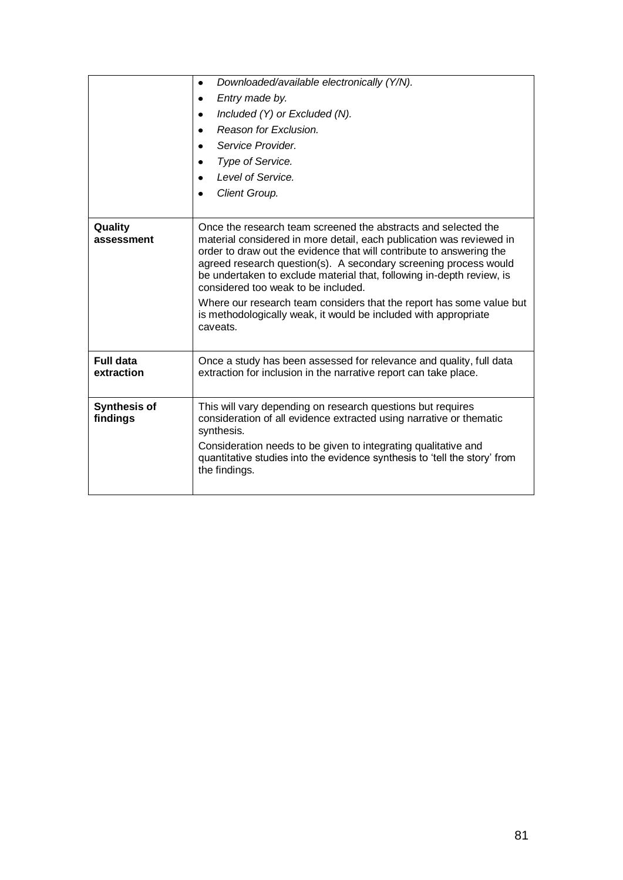|                                 | Downloaded/available electronically (Y/N).<br>$\bullet$                                                                                                                                                                                                                                                                                                                                            |  |  |  |  |  |  |  |  |
|---------------------------------|----------------------------------------------------------------------------------------------------------------------------------------------------------------------------------------------------------------------------------------------------------------------------------------------------------------------------------------------------------------------------------------------------|--|--|--|--|--|--|--|--|
|                                 | Entry made by.<br>$\bullet$                                                                                                                                                                                                                                                                                                                                                                        |  |  |  |  |  |  |  |  |
|                                 | Included $(Y)$ or Excluded $(N)$ .                                                                                                                                                                                                                                                                                                                                                                 |  |  |  |  |  |  |  |  |
|                                 | Reason for Exclusion.                                                                                                                                                                                                                                                                                                                                                                              |  |  |  |  |  |  |  |  |
|                                 | Service Provider.<br>$\bullet$                                                                                                                                                                                                                                                                                                                                                                     |  |  |  |  |  |  |  |  |
|                                 | Type of Service.<br>$\bullet$                                                                                                                                                                                                                                                                                                                                                                      |  |  |  |  |  |  |  |  |
|                                 | Level of Service.<br>$\bullet$                                                                                                                                                                                                                                                                                                                                                                     |  |  |  |  |  |  |  |  |
|                                 | Client Group.                                                                                                                                                                                                                                                                                                                                                                                      |  |  |  |  |  |  |  |  |
|                                 |                                                                                                                                                                                                                                                                                                                                                                                                    |  |  |  |  |  |  |  |  |
| Quality<br>assessment           | Once the research team screened the abstracts and selected the<br>material considered in more detail, each publication was reviewed in<br>order to draw out the evidence that will contribute to answering the<br>agreed research question(s). A secondary screening process would<br>be undertaken to exclude material that, following in-depth review, is<br>considered too weak to be included. |  |  |  |  |  |  |  |  |
|                                 | Where our research team considers that the report has some value but<br>is methodologically weak, it would be included with appropriate<br>caveats.                                                                                                                                                                                                                                                |  |  |  |  |  |  |  |  |
| <b>Full data</b><br>extraction  | Once a study has been assessed for relevance and quality, full data<br>extraction for inclusion in the narrative report can take place.                                                                                                                                                                                                                                                            |  |  |  |  |  |  |  |  |
| <b>Synthesis of</b><br>findings | This will vary depending on research questions but requires<br>consideration of all evidence extracted using narrative or thematic<br>synthesis.                                                                                                                                                                                                                                                   |  |  |  |  |  |  |  |  |
|                                 | Consideration needs to be given to integrating qualitative and<br>quantitative studies into the evidence synthesis to 'tell the story' from<br>the findings.                                                                                                                                                                                                                                       |  |  |  |  |  |  |  |  |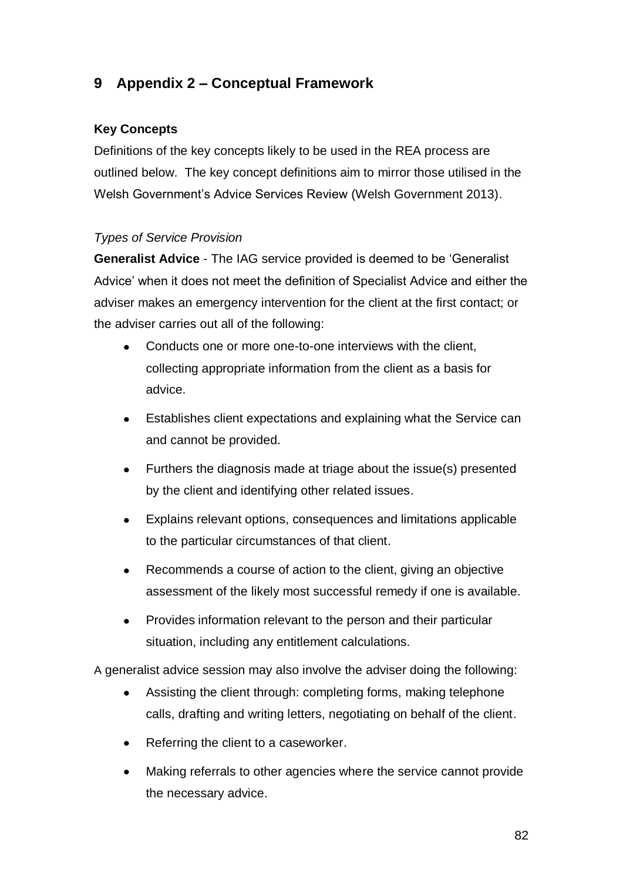## **9 Appendix 2 – Conceptual Framework**

## **Key Concepts**

Definitions of the key concepts likely to be used in the REA process are outlined below. The key concept definitions aim to mirror those utilised in the Welsh Government's Advice Services Review (Welsh Government 2013).

### *Types of Service Provision*

**Generalist Advice** - The IAG service provided is deemed to be 'Generalist Advice' when it does not meet the definition of Specialist Advice and either the adviser makes an emergency intervention for the client at the first contact; or the adviser carries out all of the following:

- Conducts one or more one-to-one interviews with the client, collecting appropriate information from the client as a basis for advice.
- Establishes client expectations and explaining what the Service can  $\bullet$ and cannot be provided.
- Furthers the diagnosis made at triage about the issue(s) presented by the client and identifying other related issues.
- Explains relevant options, consequences and limitations applicable to the particular circumstances of that client.
- Recommends a course of action to the client, giving an objective  $\bullet$ assessment of the likely most successful remedy if one is available.
- Provides information relevant to the person and their particular  $\bullet$ situation, including any entitlement calculations.

A generalist advice session may also involve the adviser doing the following:

- Assisting the client through: completing forms, making telephone calls, drafting and writing letters, negotiating on behalf of the client.
- Referring the client to a caseworker.  $\bullet$
- Making referrals to other agencies where the service cannot provide the necessary advice.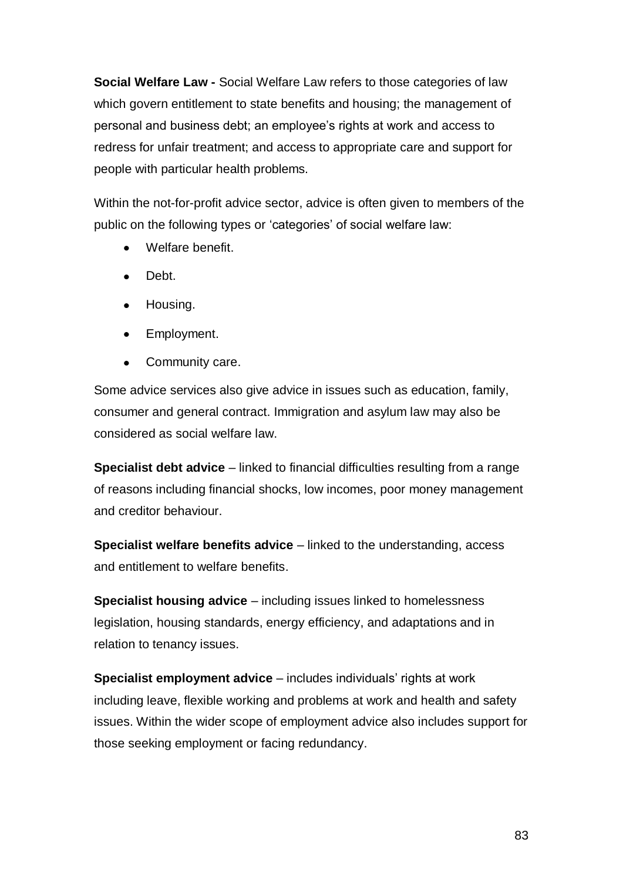**Social Welfare Law -** Social Welfare Law refers to those categories of law which govern entitlement to state benefits and housing; the management of personal and business debt; an employee's rights at work and access to redress for unfair treatment; and access to appropriate care and support for people with particular health problems.

Within the not-for-profit advice sector, advice is often given to members of the public on the following types or 'categories' of social welfare law:

- Welfare benefit.
- Debt.  $\bullet$
- Housing.
- Employment.
- Community care.

Some advice services also give advice in issues such as education, family, consumer and general contract. Immigration and asylum law may also be considered as social welfare law.

**Specialist debt advice** – linked to financial difficulties resulting from a range of reasons including financial shocks, low incomes, poor money management and creditor behaviour.

**Specialist welfare benefits advice** – linked to the understanding, access and entitlement to welfare benefits.

**Specialist housing advice** – including issues linked to homelessness legislation, housing standards, energy efficiency, and adaptations and in relation to tenancy issues.

**Specialist employment advice** – includes individuals' rights at work including leave, flexible working and problems at work and health and safety issues. Within the wider scope of employment advice also includes support for those seeking employment or facing redundancy.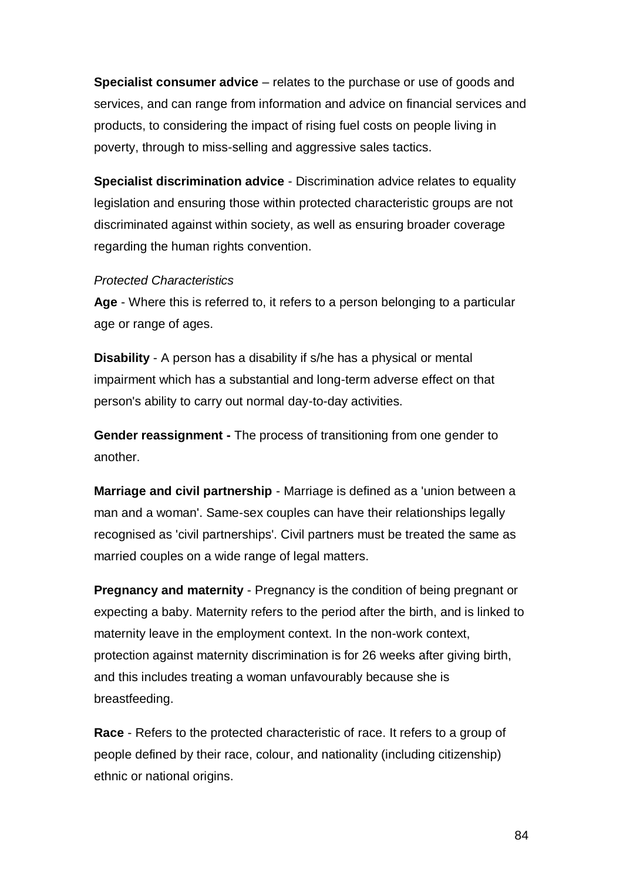**Specialist consumer advice** – relates to the purchase or use of goods and services, and can range from information and advice on financial services and products, to considering the impact of rising fuel costs on people living in poverty, through to miss-selling and aggressive sales tactics.

**Specialist discrimination advice** - Discrimination advice relates to equality legislation and ensuring those within protected characteristic groups are not discriminated against within society, as well as ensuring broader coverage regarding the human rights convention.

#### *Protected Characteristics*

**Age** - Where this is referred to, it refers to a person belonging to a particular age or range of ages.

**Disability** - A person has a disability if s/he has a physical or mental impairment which has a substantial and long-term adverse effect on that person's ability to carry out normal day-to-day activities.

**Gender reassignment -** The process of transitioning from one gender to another.

**Marriage and civil partnership** - Marriage is defined as a 'union between a man and a woman'. Same-sex couples can have their relationships legally recognised as 'civil partnerships'. Civil partners must be treated the same as married couples on a wide range of legal matters.

**Pregnancy and maternity** - Pregnancy is the condition of being pregnant or expecting a baby. Maternity refers to the period after the birth, and is linked to maternity leave in the employment context. In the non-work context, protection against maternity discrimination is for 26 weeks after giving birth, and this includes treating a woman unfavourably because she is breastfeeding.

**Race** - Refers to the protected characteristic of race. It refers to a group of people defined by their race, colour, and nationality (including citizenship) ethnic or national origins.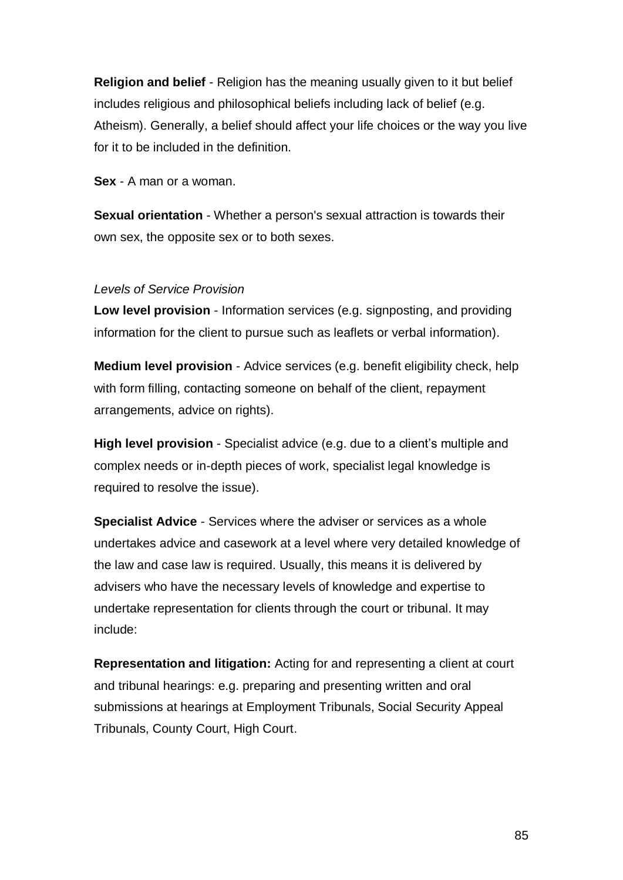**Religion and belief** - Religion has the meaning usually given to it but belief includes religious and philosophical beliefs including lack of belief (e.g. Atheism). Generally, a belief should affect your life choices or the way you live for it to be included in the definition.

**Sex** - A man or a woman.

**Sexual orientation** - Whether a person's sexual attraction is towards their own sex, the opposite sex or to both sexes.

#### *Levels of Service Provision*

**Low level provision** - Information services (e.g. signposting, and providing information for the client to pursue such as leaflets or verbal information).

**Medium level provision** - Advice services (e.g. benefit eligibility check, help with form filling, contacting someone on behalf of the client, repayment arrangements, advice on rights).

**High level provision** - Specialist advice (e.g. due to a client's multiple and complex needs or in-depth pieces of work, specialist legal knowledge is required to resolve the issue).

**Specialist Advice** - Services where the adviser or services as a whole undertakes advice and casework at a level where very detailed knowledge of the law and case law is required. Usually, this means it is delivered by advisers who have the necessary levels of knowledge and expertise to undertake representation for clients through the court or tribunal. It may include:

**Representation and litigation:** Acting for and representing a client at court and tribunal hearings: e.g. preparing and presenting written and oral submissions at hearings at Employment Tribunals, Social Security Appeal Tribunals, County Court, High Court.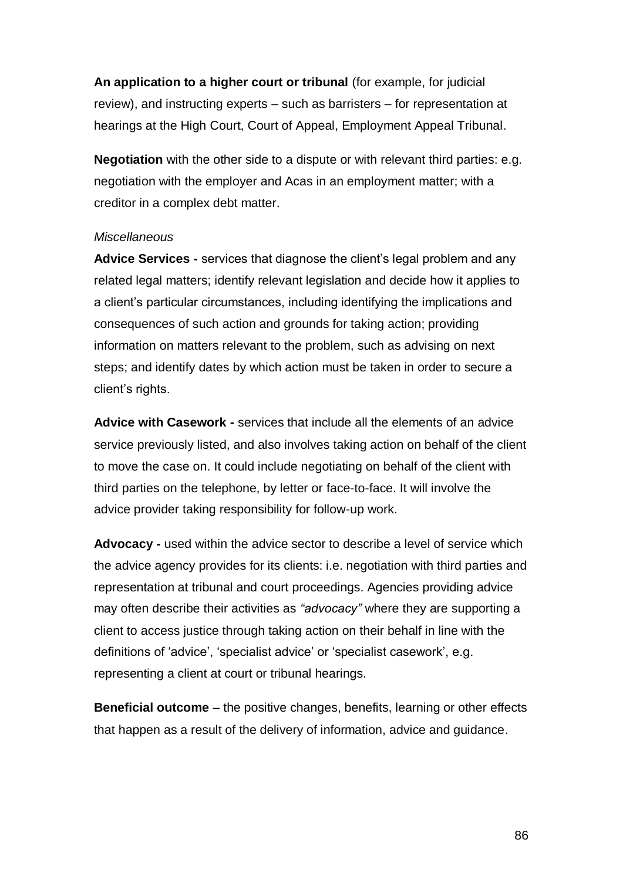**An application to a higher court or tribunal** (for example, for judicial review), and instructing experts – such as barristers – for representation at hearings at the High Court, Court of Appeal, Employment Appeal Tribunal.

**Negotiation** with the other side to a dispute or with relevant third parties: e.g. negotiation with the employer and Acas in an employment matter; with a creditor in a complex debt matter.

#### *Miscellaneous*

**Advice Services -** services that diagnose the client's legal problem and any related legal matters; identify relevant legislation and decide how it applies to a client's particular circumstances, including identifying the implications and consequences of such action and grounds for taking action; providing information on matters relevant to the problem, such as advising on next steps; and identify dates by which action must be taken in order to secure a client's rights.

**Advice with Casework -** services that include all the elements of an advice service previously listed, and also involves taking action on behalf of the client to move the case on. It could include negotiating on behalf of the client with third parties on the telephone, by letter or face-to-face. It will involve the advice provider taking responsibility for follow-up work.

**Advocacy -** used within the advice sector to describe a level of service which the advice agency provides for its clients: i.e. negotiation with third parties and representation at tribunal and court proceedings. Agencies providing advice may often describe their activities as *"advocacy"* where they are supporting a client to access justice through taking action on their behalf in line with the definitions of 'advice', 'specialist advice' or 'specialist casework', e.g. representing a client at court or tribunal hearings.

**Beneficial outcome** – the positive changes, benefits, learning or other effects that happen as a result of the delivery of information, advice and guidance.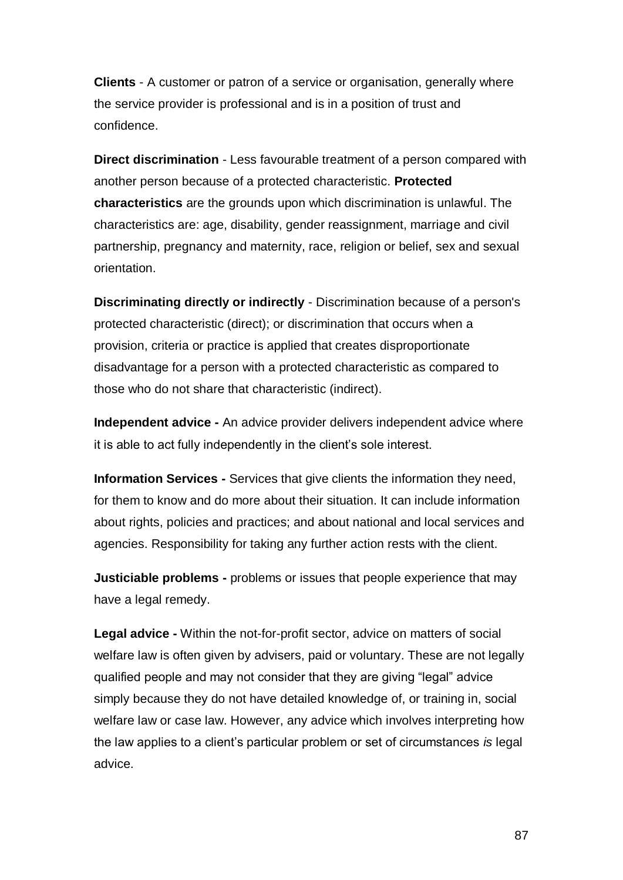**Clients** - A customer or patron of a service or organisation, generally where the service provider is professional and is in a position of trust and confidence.

**Direct discrimination** - Less favourable treatment of a person compared with another person because of a protected characteristic. **Protected characteristics** are the grounds upon which discrimination is unlawful. The characteristics are: age, disability, gender reassignment, marriage and civil partnership, pregnancy and maternity, race, religion or belief, sex and sexual orientation.

**Discriminating directly or indirectly** - Discrimination because of a person's protected characteristic (direct); or discrimination that occurs when a provision, criteria or practice is applied that creates disproportionate disadvantage for a person with a protected characteristic as compared to those who do not share that characteristic (indirect).

**Independent advice -** An advice provider delivers independent advice where it is able to act fully independently in the client's sole interest.

**Information Services -** Services that give clients the information they need, for them to know and do more about their situation. It can include information about rights, policies and practices; and about national and local services and agencies. Responsibility for taking any further action rests with the client.

**Justiciable problems -** problems or issues that people experience that may have a legal remedy.

**Legal advice -** Within the not-for-profit sector, advice on matters of social welfare law is often given by advisers, paid or voluntary. These are not legally qualified people and may not consider that they are giving "legal" advice simply because they do not have detailed knowledge of, or training in, social welfare law or case law. However, any advice which involves interpreting how the law applies to a client's particular problem or set of circumstances *is* legal advice.

87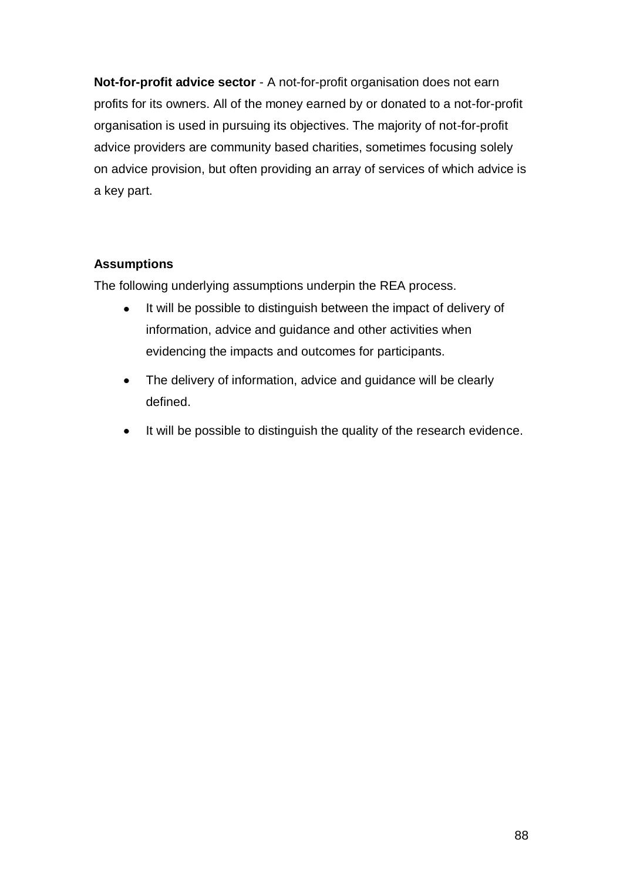**Not-for-profit advice sector** - A not-for-profit organisation does not earn profits for its owners. All of the money earned by or donated to a not-for-profit organisation is used in pursuing its objectives. The majority of not-for-profit advice providers are community based charities, sometimes focusing solely on advice provision, but often providing an array of services of which advice is a key part.

## **Assumptions**

The following underlying assumptions underpin the REA process.

- It will be possible to distinguish between the impact of delivery of  $\bullet$ information, advice and guidance and other activities when evidencing the impacts and outcomes for participants.
- The delivery of information, advice and guidance will be clearly  $\bullet$ defined.
- It will be possible to distinguish the quality of the research evidence. $\bullet$